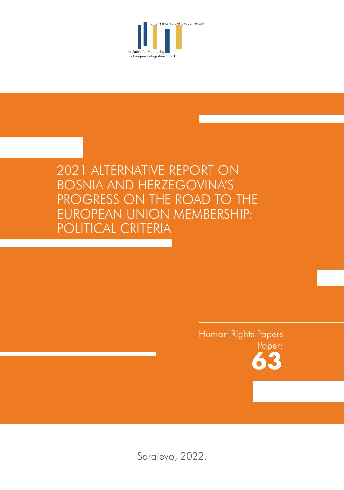

# 2021 ALTERNATIVE REPORT ON BOSNIA AND HERZEGOVINA'S PROGRESS ON THE ROAD TO THE EUROPEAN UNION MEMBERSHIP: POLITICAL CRITERIA

# Human Rights Papers Paper: **63**

Sarajevo, 2022.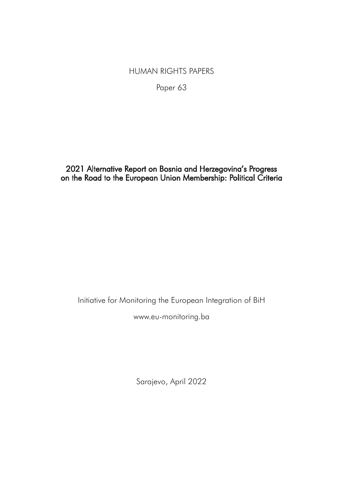# HUMAN RIGHTS PAPERS

Paper 63

# 2021 Alternative Report on Bosnia and Herzegovina's Progress on the Road to the European Union Membership: Political Criteria

Initiative for Monitoring the European Integration of BiH

www.eu-monitoring.ba

Sarajevo, April 2022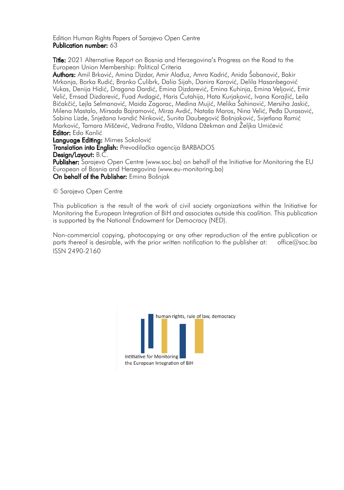### Edition Human Rights Papers of Sarajevo Open Centre Publication number: 63

Title: 2021 Alternative Report on Bosnia and Herzegovina's Progress on the Road to the European Union Membership: Political Criteria

Authors: Amil Brković, Amina Dizdar, Amir Alađuz, Amra Kadrić, Anida Šabanović, Bakir Mrkonja, Borka Rudić, Branko Ćulibrk, Dalio Sijah, Danira Karović, Delila Hasanbegović Vukas, Denija Hidić, Dragana Dardić, Emina Dizdarević, Emina Kuhinja, Emina Veljović, Emir Velić, Emsad Dizdarević, Fuad Avdagić, Haris Ćutahija, Hata Kurjaković, Ivana Korajlić, Leila Bičakčić, Lejla Selmanović, Maida Zagorac, Medina Mujić, Melika Šahinović, Mersiha Jaskić, Milena Mastalo, Mirsada Bajramović, Mirza Avdić, Nataša Maros, Nina Velić, Peđa Durasović, Sabina Lizde, Snježana Ivandić Ninković, Sunita Daubegović Bošnjaković, Svjetlana Ramić Marković, Tamara Miščević, Vedrana Frašto, Vildana Džekman and Željka Umićević Editor: Edo Kanlić

Language Editing: Mirnes Sokolović

Translation into English: Prevodilačka agencija BARBADOS Design/Layout: B.C.

Publisher: Sarajevo Open Centre (www.soc.ba) on behalf of the Initiative for Monitoring the EU European of Bosnia and Herzegovina (www.eu-monitoring.ba) On behalf of the Publisher: Emina Bošnjak

© Sarajevo Open Centre

This publication is the result of the work of civil society organizations within the Initiative for Monitoring the European Integration of BiH and associates outside this coalition. This publication is supported by the National Endowment for Democracy (NED).

Non-commercial copying, photocopying or any other reproduction of the entire publication or<br>parts thereof is desirable, with the prior written notification to the publisher at: office@soc.ba parts thereof is desirable, with the prior written notification to the publisher at: ISSN 2490-2160

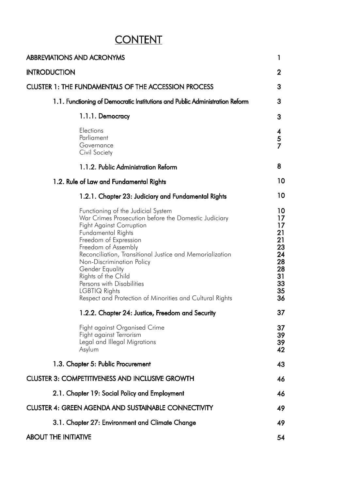# **CONTENT**

| <b>ABBREVIATIONS AND ACRONYMS</b>                                                                                                                                                                                                                                                                                                                                                                                                                | 1                                                                          |
|--------------------------------------------------------------------------------------------------------------------------------------------------------------------------------------------------------------------------------------------------------------------------------------------------------------------------------------------------------------------------------------------------------------------------------------------------|----------------------------------------------------------------------------|
| <b>INTRODUCTION</b>                                                                                                                                                                                                                                                                                                                                                                                                                              | $\mathbf{2}$                                                               |
| <b>CLUSTER 1: THE FUNDAMENTALS OF THE ACCESSION PROCESS</b>                                                                                                                                                                                                                                                                                                                                                                                      | 3                                                                          |
| 1.1. Functioning of Democratic Institutions and Public Administration Reform                                                                                                                                                                                                                                                                                                                                                                     | 3.                                                                         |
| 1.1.1. Democracy                                                                                                                                                                                                                                                                                                                                                                                                                                 | 3                                                                          |
| Elections<br>Parliament<br>Governance<br>Civil Society                                                                                                                                                                                                                                                                                                                                                                                           | 4<br>5<br>$\overline{7}$                                                   |
| 1.1.2. Public Administration Reform                                                                                                                                                                                                                                                                                                                                                                                                              | 8                                                                          |
| 1.2. Rule of Law and Fundamental Rights                                                                                                                                                                                                                                                                                                                                                                                                          | 10                                                                         |
| 1.2.1. Chapter 23: Judiciary and Fundamental Rights                                                                                                                                                                                                                                                                                                                                                                                              | 10                                                                         |
| Functioning of the Judicial System<br>War Crimes Prosecution before the Domestic Judiciary<br><b>Fight Against Corruption</b><br>Fundamental Rights<br>Freedom of Expression<br>Freedom of Assembly<br>Reconciliation, Transitional Justice and Memorialization<br>Non-Discrimination Policy<br>Gender Equality<br>Rights of the Child<br>Persons with Disabilities<br>LGBTIQ Rights<br>Respect and Protection of Minorities and Cultural Rights | 10<br>17<br>17<br>21<br>21<br>23<br>24<br>28<br>28<br>31<br>33<br>35<br>36 |
| 1.2.2. Chapter 24: Justice, Freedom and Security                                                                                                                                                                                                                                                                                                                                                                                                 | 37                                                                         |
| Fight against Organised Crime<br>Fight against Terrorism<br>Legal and Illegal Migrations<br>Asylum                                                                                                                                                                                                                                                                                                                                               | 37<br>39<br>39<br>42                                                       |
| 1.3. Chapter 5: Public Procurement                                                                                                                                                                                                                                                                                                                                                                                                               | 43                                                                         |
| <b>CLUSTER 3: COMPETITIVENESS AND INCLUSIVE GROWTH</b>                                                                                                                                                                                                                                                                                                                                                                                           | 46                                                                         |
| 2.1. Chapter 19: Social Policy and Employment                                                                                                                                                                                                                                                                                                                                                                                                    | 46                                                                         |
| CLUSTER 4: GREEN AGENDA AND SUSTAINABLE CONNECTIVITY                                                                                                                                                                                                                                                                                                                                                                                             | 49                                                                         |
| 3.1. Chapter 27: Environment and Climate Change                                                                                                                                                                                                                                                                                                                                                                                                  | 49                                                                         |
| <b>ABOUT THE INITIATIVE</b>                                                                                                                                                                                                                                                                                                                                                                                                                      | 54                                                                         |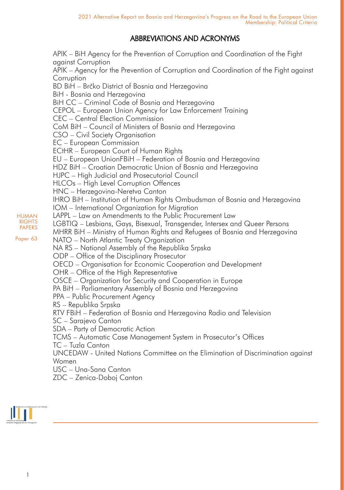# ABBREVIATIONS AND ACRONYMS

APIK – BiH Agency for the Prevention of Corruption and Coordination of the Fight against Corruption APIK – Agency for the Prevention of Corruption and Coordination of the Fight against **Corruption** BD BiH – Brčko District of Bosnia and Herzegovina BiH - Bosnia and Herzegovina BiH CC – Criminal Code of Bosnia and Herzegovina CEPOL – European Union Agency for Law Enforcement Training CEC – Central Election Commission CoM BiH – Council of Ministers of Bosnia and Herzegovina CSO – Civil Society Organisation EC – European Commission ECtHR – European Court of Human Rights EU – European UnionFBiH – Federation of Bosnia and Herzegovina HDZ BiH – Croatian Democratic Union of Bosnia and Herzegovina HJPC – High Judicial and Prosecutorial Council HLCOs – High Level Corruption Offences HNC – Herzegovina-Neretva Canton IHRO BiH – Institution of Human Rights Ombudsman of Bosnia and Herzegovina IOM – International Organization for Migration LAPPL – Law on Amendments to the Public Procurement Law LGBTIQ – Lesbians, Gays, Bisexual, Transgender, Intersex and Queer Persons MHRR BiH – Ministry of Human Rights and Refugees of Bosnia and Herzegovina NATO – North Atlantic Treaty Organization NA RS – National Assembly of the Republika Srpska ODP – Office of the Disciplinary Prosecutor OECD – Organisation for Economic Cooperation and Development OHR – Office of the High Representative OSCE – Organization for Security and Cooperation in Europe PA BiH – Parliamentary Assembly of Bosnia and Herzegovina PPA – Public Procurement Agency RS – Republika Srpska RTV FBiH – Federation of Bosnia and Herzegovina Radio and Television SC – Sarajevo Canton SDA – Party of Democratic Action TCMS – Automatic Case Management System in Prosecutor's Offices TC – Tuzla Canton UNCEDAW - United Nations Committee on the Elimination of Discrimination against Women USC – Una-Sana Canton ZDC – Zenica-Doboj Canton



HUMAN **RIGHTS** PAPERS Paper 63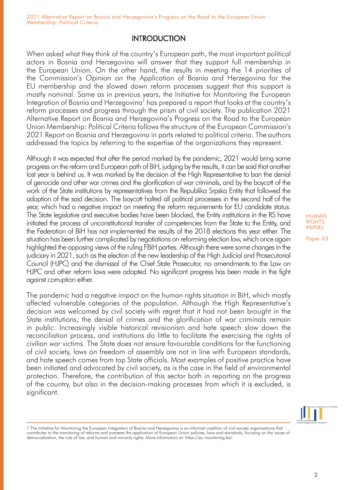# **INTRODUCTION**

When asked what they think of the country's European path, the most important political actors in Bosnia and Herzegovina will answer that they support full membership in the European Union. On the other hand, the results in meeting the 14 priorities of the Commission's Opinion on the Application of Bosnia and Herzegovina for the EU membership and the slowed down reform processes suggest that this support is mostly nominal. Same as in previous years, the Initiative for Monitoring the European Integration of Bosnia and Herzegovina<sup>1</sup> has prepared a report that looks at the country's reform processes and progress through the prism of civil society. The publication 2021 Alternative Report on Bosnia and Herzegovina's Progress on the Road to the European Union Membership: Political Criteria follows the structure of the European Commission's 2021 Report on Bosnia and Herzegovina in parts related to political criteria. The authors addressed the topics by referring to the expertise of the organizations they represent.

Although it was expected that after the period marked by the pandemic, 2021 would bring some progress on the reform and European path of BiH, judging by the results, it can be said that another lost year is behind us. It was marked by the decision of the High Representative to ban the denial of genocide and other war crimes and the glorification of war criminals, and by the boycott of the work of the State institutions by representatives from the Republika Srpska Entity that followed the adoption of the said decision. The boycott halted all political processes in the second half of the year, which had a negative impact on meeting the reform requirements for EU candidate status. The State legislative and executive bodies have been blocked, the Entity institutions in the RS have initiated the process of unconstitutional transfer of competencies from the State to the Entity, and the Federation of BiH has not implemented the results of the 2018 elections this year either. The situation has been further complicated by negotiations on reforming election law, which once again highlighted the opposing views of the ruling FBiH parties. Although there were some changes in the judiciary in 2021, such as the election of the new leadership of the High Judicial and Prosecutorial Council (HJPC) and the dismissal of the Chief State Prosecutor, no amendments to the Law on HJPC and other reform laws were adopted. No significant progress has been made in the fight against corruption either.

The pandemic had a negative impact on the human rights situation in BiH, which mostly affected vulnerable categories of the population. Although the High Representative's decision was welcomed by civil society with regret that it had not been brought in the State institutions, the denial of crimes and the glorification of war criminals remain in public. Increasingly visible historical revisionism and hate speech slow down the reconciliation process, and institutions do little to facilitate the exercising the rights of civilian war victims. The State does not ensure favourable conditions for the functioning of civil society, laws on freedom of assembly are not in line with European standards, and hate speech comes from top State officials. Most examples of positive practice have been initiated and advocated by civil society, as is the case in the field of environmental protection. Therefore, the contribution of this sector both in reporting on the progress of the country, but also in the decision-making processes from which it is excluded, is significant.



<sup>1</sup> The Initiative for Monitoring the European Integration of Bosnia and Herzegovina is an informal coalition of civil society organisations that contributes to the monitoring of reforms and oversees the application of European Union policies, laws and standards, focusing on the issues of democratisation, the rule of law, and human and minority rights. More information at: https://eu-monitoring.ba/

HUMAN **RIGHTS** PAPERS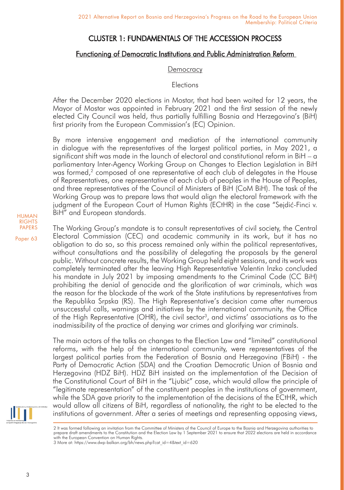# CLUSTER 1: FUNDAMENTALS OF THE ACCESSION PROCESS

# Functioning of Democratic Institutions and Public Administration Reform

## **Democracy**

# Elections

After the December 2020 elections in Mostar, that had been waited for 12 years, the Mayor of Mostar was appointed in February 2021 and the first session of the newly elected City Council was held, thus partially fulfilling Bosnia and Herzegovina's (BiH) first priority from the European Commission's (EC) Opinion.

By more intensive engagement and mediation of the international community in dialogue with the representatives of the largest political parties, in May 2021, a significant shift was made in the launch of electoral and constitutional reform in BiH – a parliamentary Inter-Agency Working Group on Changes to Election Legislation in BiH was formed,<sup>2</sup> composed of one representative of each club of delegates in the House of Representatives, one representative of each club of peoples in the House of Peoples, and three representatives of the Council of Ministers of BiH (CoM BiH). The task of the Working Group was to prepare laws that would align the electoral framework with the judgment of the European Court of Human Rights (ECtHR) in the case "Sejdić-Finci v. BiH" and European standards.

The Working Group's mandate is to consult representatives of civil society, the Central Electoral Commission (CEC) and academic community in its work, but it has no obligation to do so, so this process remained only within the political representatives, without consultations and the possibility of delegating the proposals by the general public. Without concrete results, the Working Group held eight sessions, and its work was completely terminated after the leaving High Representative Valentin Inzko concluded his mandate in July 2021 by imposing amendments to the Criminal Code (CC BiH) prohibiting the denial of genocide and the glorification of war criminals, which was the reason for the blockade of the work of the State institutions by representatives from the Republika Srpska (RS). The High Representative's decision came after numerous unsuccessful calls, warnings and initiatives by the international community, the Office of the High Representative (OHR), the civil sector<sup>3</sup>, and victims' associations as to the inadmissibility of the practice of denying war crimes and glorifying war criminals.

The main actors of the talks on changes to the Election Law and "limited" constitutional reforms, with the help of the international community, were representatives of the largest political parties from the Federation of Bosnia and Herzegovina (FBiH) - the Party of Democratic Action (SDA) and the Croatian Democratic Union of Bosnia and Herzegovina (HDZ BiH). HDZ BiH insisted on the implementation of the Decision of the Constitutional Court of BiH in the "Ljubić" case, which would allow the principle of "legitimate representation" of the constituent peoples in the institutions of government, while the SDA gave priority to the implementation of the decisions of the ECtHR, which would allow all citizens of BiH, regardless of nationality, the right to be elected to the institutions of government. After a series of meetings and representing opposing views,



<sup>2</sup> It was formed following an invitation from the Committee of Ministers of the Council of Europe to the Bosnia and Herzegovina authorities to prepare draft amendments to the Constitution and the Election Law by 1 September 2021 to ensure that 2022 elections are held in accordance with the European Convention on Human Rights.

3 More at: https://www.dwp-balkan.org/bh/news.php?cat\_id=4&text\_id=620

HUMAN RIGHTS PAPERS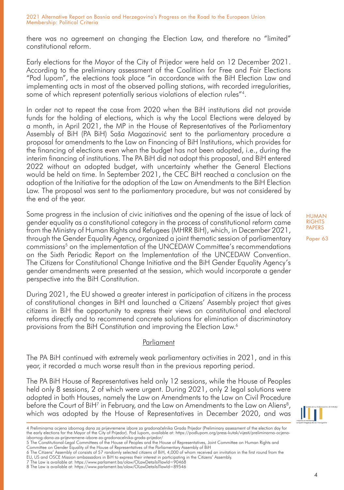there was no agreement on changing the Election Law, and therefore no "limited" constitutional reform.

Early elections for the Mayor of the City of Prijedor were held on 12 December 2021. According to the preliminary assessment of the Coalition for Free and Fair Elections "Pod lupom", the elections took place "in accordance with the BiH Election Law and implementing acts in most of the observed polling stations, with recorded irregularities, some of which represent potentially serious violations of election rules"4.

In order not to repeat the case from 2020 when the BiH institutions did not provide funds for the holding of elections, which is why the Local Elections were delayed by a month, in April 2021, the MP in the House of Representatives of the Parliamentary Assembly of BiH (PA BiH) Saša Magazinović sent to the parliamentary procedure a proposal for amendments to the Law on Financing of BiH Institutions, which provides for the financing of elections even when the budget has not been adopted, i.e., during the interim financing of institutions. The PA BiH did not adopt this proposal, and BiH entered 2022 without an adopted budget, with uncertainty whether the General Elections would be held on time. In September 2021, the CEC BiH reached a conclusion on the adoption of the Initiative for the adoption of the Law on Amendments to the BiH Election Law. The proposal was sent to the parliamentary procedure, but was not considered by the end of the year.

Some progress in the inclusion of civic initiatives and the opening of the issue of lack of gender equality as a constitutional category in the process of constitutional reform came from the Ministry of Human Rights and Refugees (MHRR BiH), which, in December 2021, through the Gender Equality Agency, organized a joint thematic session of parliamentary commissions<sup>5</sup> on the implementation of the UNCEDAW Committee's recommendations on the Sixth Periodic Report on the Implementation of the UNCEDAW Convention. The Citizens for Constitutional Change Initiative and the BiH Gender Equality Agency's gender amendments were presented at the session, which would incorporate a gender perspective into the BiH Constitution.

During 2021, the EU showed a greater interest in participation of citizens in the process of constitutional changes in BiH and launched a Citizens' Assembly project that gives citizens in BiH the opportunity to express their views on constitutional and electoral reforms directly and to recommend concrete solutions for elimination of discriminatory provisions from the BiH Constitution and improving the Election Law.<sup>6</sup>

# Parliament

The PA BiH continued with extremely weak parliamentary activities in 2021, and in this year, it recorded a much worse result than in the previous reporting period.

The PA BiH House of Representatives held only 12 sessions, while the House of Peoples held only 8 sessions, 2 of which were urgent. During 2021, only 2 legal solutions were adopted in both Houses, namely the Law on Amendments to the Law on Civil Procedure before the Court of BiH7 in February, and the Law on Amendments to the Law on Aliens<sup>8</sup>, which was adopted by the House of Representatives in December 2020, and was

HUMAN **RIGHTS** PAPERS

<sup>4</sup> Preliminarna ocjena izbornog dana za prijevremene izbore za gradonačelnika Grada Prijedor (Preliminary assessment of the election day for the early elections for the Mayor of the City of Prijedor). Pod lupom, available at: https://podlupom.org/press-kutak/vijesti/preliminarna-ocjenaizbornog-dana-za-prijevremene-izbore-za-gradonacelnika-grada-prijedor/

<sup>5</sup> The Constitutional-Legal Committees of the House of Peoples and the House of Representatives, Joint Committee on Human Rights and Committee on Gender Equality of the House of Representatives of the Parliamentary Assembly of BiH

<sup>6</sup> The Citizens' Assembly of consists of 57 randomly selected citizens of BiH, 4,000 of whom received an invitation in the first round from the EU, US and OSCE Mission ambassadors in BiH to express their interest in participating in the Citizens' Assembly.

<sup>7</sup> The Law is available at: https://www.parlament.ba/olaw/OLawDetails?lawId=90468

<sup>8</sup> The Law is available at: https://www.parlament.ba/olaw/OLawDetails?lawId=89546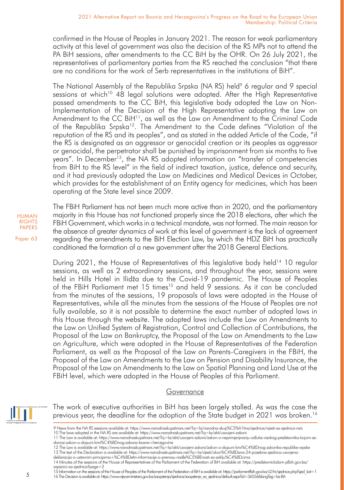confirmed in the House of Peoples in January 2021. The reason for weak parliamentary activity at this level of government was also the decision of the RS MPs not to attend the PA BiH sessions, after amendments to the CC BiH by the OHR. On 26 July 2021, the representatives of parliamentary parties from the RS reached the conclusion "that there are no conditions for the work of Serb representatives in the institutions of BiH".

The National Assembly of the Republika Srpska (NA RS) held<sup>9</sup> 6 regular and 9 special sessions at which<sup>10</sup> 48 legal solutions were adopted. After the High Representative passed amendments to the CC BiH, this legislative body adopted the Law on Non-Implementation of the Decision of the High Representative adopting the Law on Amendment to the CC BiH11, as well as the Law on Amendment to the Criminal Code of the Republika Srpska12. The Amendment to the Code defines "Violation of the reputation of the RS and its peoples", and as stated in the added Article of the Code, "if the RS is designated as an aggressor or genocidal creation or its peoples as aggressor or genocidal, the perpetrator shall be punished by imprisonment from six months to five years". In December<sup>13</sup>, the NA RS adopted information on "transfer of competencies from BiH to the RS level" in the field of indirect taxation, justice, defence and security, and it had previously adopted the Law on Medicines and Medical Devices in October, which provides for the establishment of an Entity agency for medicines, which has been operating at the State level since 2009.

HUMAN RIGHTS PAPERS

Paper 63

The FBiH Parliament has not been much more active than in 2020, and the parliamentary majority in this House has not functioned properly since the 2018 elections, after which the FBiH Government, which works in a technical mandate, was not formed. The main reason for the absence of greater dynamics of work at this level of government is the lack of agreement regarding the amendments to the BiH Election Law, by which the HDZ BiH has practically conditioned the formation of a new government after the 2018 General Elections.

During 2021, the House of Representatives of this legislative body held<sup>14</sup> 10 regular sessions, as well as 2 extraordinary sessions, and throughout the year, sessions were held in Hills Hotel in Ilidža due to the Covid-19 pandemic. The House of Peoples of the FBiH Parliament met 15 times<sup>15</sup> and held 9 sessions. As it can be concluded from the minutes of the sessions, 19 proposals of laws were adopted in the House of Representatives, while all the minutes from the sessions of the House of Peoples are not fully available, so it is not possible to determine the exact number of adopted laws in this House through the website. The adopted laws include the Law on Amendments to the Law on Unified System of Registration, Control and Collection of Contributions, the Proposal of the Law on Bankruptcy, the Proposal of the Law on Amendments to the Law on Agriculture, which were adopted in the House of Representatives of the Federation Parliament, as well as the Proposal of the Law on Parents-Caregivers in the FBiH, the Proposal of the Law on Amendments to the Law on Pension and Disability Insurance, the Proposal of the Law on Amendments to the Law on Spatial Planning and Land Use at the FBiH level, which were adopted in the House of Peoples of this Parliament.

### Governance



The work of executive authorities in BiH has been largely stalled. As was the case the previous year, the deadline for the adoption of the State budget in 2021 was broken.<sup>16</sup>

- 9 News from the NA RS sessions available at: https://www.narodnaskupstinars.net/?q=la/narodna-skup%C5%A1tina/sjednice/vijesti-sa-sjednica-nsrs
- 10 The laws adopted in the NA RS are available at: https://www.narodnaskupstinars.net/?q=la/akti/usvojeni-zakoni

15 Information on the sessions of the House of Peoples of the Parliament of the Federation of BiH is available at: https://parlamentfbih.gov.ba/v2/hr/sjednice.php?sjed\_kat=1 16 The Decision is available at: https://www.vijeceministara.gov.ba/saopstenja/sjednice/saopstenja\_sa\_sjednica/default.aspx?id=36556&langTag=bs-BA

<sup>11</sup> The Law is available at: https://www.narodnaskupstinars.net/?q=la/akti/usvojeni-zakoni/zakon-o-neprimjenjivanju-odluke-visokog-predstavnika-kojom-sedonosi-zakon-o-dopuni-krivi%C4%8Dnog-zakona-bosne-i-hercegovine

<sup>12</sup> The Law is available at: https://www.narodnaskupstinars.net/?q=la/akti/usvojeni-zakoni/zakon-o-dopuni-krivi%C4%8Dnog-zakonika-republike-srpske<br>13 The text of the Declaration is available at: https://www.narodnaskupstina deklaracija-o-ustavnim-principima-i-%C4%8Detiri-informacije-o-prenosu-nadle%C5%BEnosti-sa-zaklju%C4%8Dcima

<sup>14</sup> Minutes of the sessions of the House of Representatives of the Parliament of the Federation of BiH available at: https://predstavnickidom-pfbih.gov.ba/ zapisnici-sa-sjednica?page=2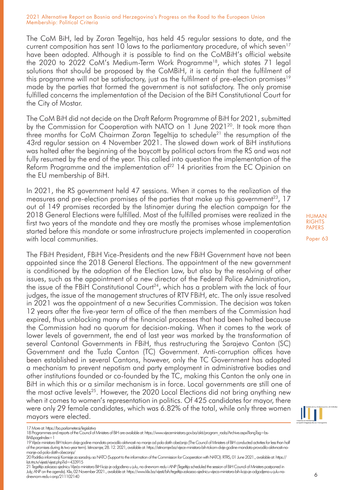The CoM BiH, led by Zoran Tegeltija, has held 45 regular sessions to date, and the current composition has sent 10 laws to the parliamentary procedure, of which seven<sup>17</sup> have been adopted. Although it is possible to find on the CoMBiH's official website the 2020 to 2022 CoM's Medium-Term Work Programme<sup>18</sup>, which states 71 legal solutions that should be proposed by the CoMBiH, it is certain that the fulfilment of this programme will not be satisfactory, just as the fulfilment of pre-election promises<sup>19</sup> made by the parties that formed the government is not satisfactory. The only promise fulfilled concerns the implementation of the Decision of the BiH Constitutional Court for the City of Mostar.

The CoM BiH did not decide on the Draft Reform Programme of BiH for 2021, submitted by the Commission for Cooperation with NATO on 1 June 2021<sup>20</sup>. It took more than three months for CoM Chairman Zoran Tegeltija to schedule<sup>21</sup> the resumption of the 43rd regular session on 4 November 2021. The slowed down work of BiH institutions was halted after the beginning of the boycott by political actors from the RS and was not fully resumed by the end of the year. This called into question the implementation of the Reform Programme and the implementation of $^{22}$  14 priorities from the EC Opinion on the EU membership of BiH.

In 2021, the RS government held 47 sessions. When it comes to the realization of the measures and pre-election promises of the parties that make up this government<sup>23</sup>. 17 out of 149 promises recorded by the Istinomjer during the election campaign for the 2018 General Elections were fulfilled. Most of the fulfilled promises were realized in the first two years of the mandate and they are mostly the promises whose implementation started before this mandate or some infrastructure projects implemented in cooperation with local communities.

The FBiH President, FBiH Vice-Presidents and the new FBiH Government have not been appointed since the 2018 General Elections. The appointment of the new government is conditioned by the adoption of the Election Law, but also by the resolving of other issues, such as the appointment of a new director of the Federal Police Administration, the issue of the FBiH Constitutional Court<sup>24</sup>, which has a problem with the lack of four judges, the issue of the management structures of RTV FBiH, etc. The only issue resolved in 2021 was the appointment of a new Securities Commission. The decision was taken 12 years after the five-year term of office of the then members of the Commission had expired, thus unblocking many of the financial processes that had been halted because the Commission had no quorum for decision-making. When it comes to the work of lower levels of government, the end of last year was marked by the transformation of several Cantonal Governments in FBiH, thus restructuring the Sarajevo Canton (SC) Government and the Tuzla Canton (TC) Government. Anti-corruption offices have been established in several Cantons, however, only the TC Government has adopted a mechanism to prevent nepotism and party employment in administrative bodies and other institutions founded or co-founded by the TC, making this Canton the only one in BiH in which this or a similar mechanism is in force. Local governments are still one of the most active levels<sup>25</sup>. However, the 2020 Local Elections did not bring anything new when it comes to women's representation in politics. Of 425 candidates for mayor, there were only 29 female candidates, which was 6.82% of the total, while only three women mayors were elected.



6

17 More at: https://ba.parlameter.si/legislativa

19 Vijeće ministara BiH tokom dvije godine mandata provodilo aktivnosti na manje od pola datih obećanja (The Council of Ministers of BiH conducted activities for less than half of the promises during its two-year term). Istinosmjer, 28. 12. 2021, available at: https://istinomjer.ba/vijece-ministara-bih-tokom-dvije-godine-mandata-provodilo-aktivnosti-namanje-od-pola-datih-obecanja/

21 Tegeltija zakazao sjednicu Vijeća ministara BiH koja je odgođena u julu, na dnevnom redu i ANP (Tegeltija scheduled the session of BiH Council of Ministers postponed in July; ANP on the agenda). Klix, 02 November 2021., available at: https://www.klix.ba/vijesti/bih/tegeltija-zakazao-sjednicu-vijeca-ministara-bih-koja-je-odgodjena-u-julu-nadnevnom-redu-i-anp/211102140

<sup>18</sup> Programmes and reports of the Council of Ministers of BiH are available at: https://www.vijeceministara.gov.ba/akti/program\_rada/Archive.aspx?langTag=bs-BA&pageIndex=1

<sup>20</sup> Podrška informaciji Komisije za saradnju sa NATO (Support to the information of the Commission for Cooperation with NATO). RTRS, 01 June 2021., available at: https:// lat.rtrs.tv/vijesti/vijest.php?id=433915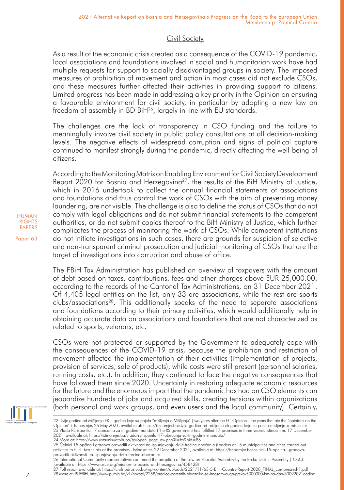# Civil Society

As a result of the economic crisis created as a consequence of the COVID-19 pandemic, local associations and foundations involved in social and humanitarian work have had multiple requests for support to socially disadvantaged groups in society. The imposed measures of prohibition of movement and action in most cases did not exclude CSOs, and these measures further affected their activities in providing support to citizens. Limited progress has been made in addressing a key priority in the Opinion on ensuring a favourable environment for civil society, in particular by adopting a new law on freedom of assembly in BD BiH<sup>26</sup>, largely in line with EU standards.

The challenges are the lack of transparency in CSO funding and the failure to meaningfully involve civil society in public policy consultations at all decision-making levels. The negative effects of widespread corruption and signs of political capture continued to manifest strongly during the pandemic, directly affecting the well-being of citizens.

According to the Monitoring Matrix on Enabling Environment for Civil Society Development Report  $2020$  for Bosnia and Herzegovina<sup>27</sup>, the results of the BiH Ministry of Justice, which in 2016 undertook to collect the annual financial statements of associations and foundations and thus control the work of CSOs with the aim of preventing money laundering, are not visible. The challenge is also to define the status of CSOs that do not comply with legal obligations and do not submit financial statements to the competent authorities, or do not submit copies thereof to the BiH Ministry of Justice, which further complicates the process of monitoring the work of CSOs. While competent institutions do not initiate investigations in such cases, there are grounds for suspicion of selective and non-transparent criminal prosecution and judicial monitoring of CSOs that are the target of investigations into corruption and abuse of office.

The FBiH Tax Administration has published an overview of taxpayers with the amount of debt based on taxes, contributions, fees and other charges above EUR 25,000.00, according to the records of the Cantonal Tax Administrations, on 31 December 2021. Of 4,405 legal entities on the list, only 33 are associations, while the rest are sports clubs/associations28. This additionally speaks of the need to separate associations and foundations according to their primary activities, which would additionally help in obtaining accurate data on associations and foundations that are not characterized as related to sports, veterans, etc.

CSOs were not protected or supported by the Government to adequately cope with the consequences of the COVID-19 crisis, because the prohibition and restriction of movement affected the implementation of their activities (implementation of projects, provision of services, sale of products), while costs were still present (personnel salaries, running costs, etc.). In addition, they continued to face the negative consequences that have followed them since 2020. Uncertainty in restoring adequate economic resources for the future and the enormous impact that the pandemic has had on CSO elements can jeopardize hundreds of jobs and acquired skills, creating tensions within organizations (both personal and work groups, and even users and the local community). Certainly,



<sup>22</sup> Dvije godine od Mišljenja EK – godine koje su pojela "mišljenja o Mišljenju" (Two years after the EC Opinion - the years that ate the "opinions on the<br>Opinion".). Istinosmjer, 26 May 2021, available at: https://istinomj

27 Full report available at: https://civilnodrustvo.ba/wp-content/uploads/2021/11/63-5-BiH-Country-Report-2020\_FINAL\_compressed-1.pdf 28 More at: PUFBiH, http://www.pufbih.ba/v1/novosti/2258/pregled-poreznih-obveznika-sa-iznosom-duga-preko-5000000-km-na-dan-30092021godine

HUMAN RIGHTS PAPERS

<sup>25</sup> Celnici 15 općina i gradova provodili aktivnosti na ispunjavanju dvije trećine obećanja (Leaders of 15 municipalities and cities carried out<br>activities to fulfill two thirds of the promises). Istinosmjer, 22 December 20

provodili-aktivnosti-na-ispunjavanju-dvije-trecine-obecanja/<br>26 International Community representatives commend the adoption of the Law on Peaceful Assembly by the Brcko District Assembly | OSCE (available at: https://www.osce.org/mission-to-bosnia-and-herzegovina/458428)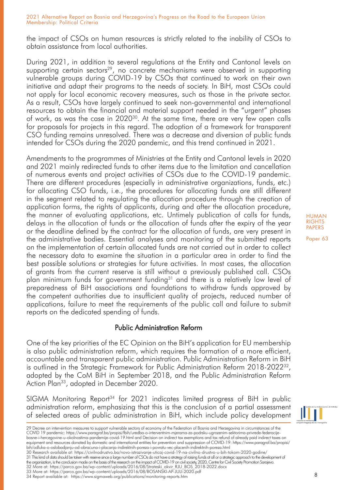the impact of CSOs on human resources is strictly related to the inability of CSOs to obtain assistance from local authorities.

During 2021, in addition to several regulations at the Entity and Cantonal levels on supporting certain sectors<sup>29</sup>, no concrete mechanisms were observed in supporting vulnerable groups during COVID-19 by CSOs that continued to work on their own initiative and adapt their programs to the needs of society. In BiH, most CSOs could not apply for local economic recovery measures, such as those in the private sector. As a result, CSOs have largely continued to seek non-governmental and international resources to obtain the financial and material support needed in the "urgent" phases of work, as was the case in 202030. At the same time, there are very few open calls for proposals for projects in this regard. The adoption of a framework for transparent CSO funding remains unresolved. There was a decrease and diversion of public funds intended for CSOs during the 2020 pandemic, and this trend continued in 2021.

Amendments to the programmes of Ministries at the Entity and Cantonal levels in 2020 and 2021 mainly redirected funds to other items due to the limitation and cancellation of numerous events and project activities of CSOs due to the COVID-19 pandemic. There are different procedures (especially in administrative organizations, funds, etc.) for allocating CSO funds, i.e., the procedures for allocating funds are still different in the segment related to regulating the allocation procedure through the creation of application forms, the rights of applicants, during and after the allocation procedure, the manner of evaluating applications, etc. Untimely publication of calls for funds, delays in the allocation of funds or the allocation of funds after the expiry of the year or the deadline defined by the contract for the allocation of funds, are very present in the administrative bodies. Essential analyses and monitoring of the submitted reports on the implementation of certain allocated funds are not carried out in order to collect the necessary data to examine the situation in a particular area in order to find the best possible solutions or strategies for future activities. In most cases, the allocation of grants from the current reserve is still without a previously published call. CSOs plan minimum funds for government funding<sup>31</sup> and there is a relatively low level of preparedness of BiH associations and foundations to withdraw funds approved by the competent authorities due to insufficient quality of projects, reduced number of applications, failure to meet the requirements of the public call and failure to submit reports on the dedicated spending of funds.

# Public Administration Reform

One of the key priorities of the EC Opinion on the BiH's application for EU membership is also public administration reform, which requires the formation of a more efficient, accountable and transparent public administration. Public Administration Reform in BiH is outlined in the Strategic Framework for Public Administration Reform 2018-2022 $^{32}$ . adopted by the CoM BiH in September 2018, and the Public Administration Reform Action Plan<sup>33</sup>, adopted in December 2020.

SIGMA Monitoring Report<sup>34</sup> for 2021 indicates limited progress of BiH in public administration reform, emphasizing that this is the conclusion of a partial assessment of selected areas of public administration in BiH, which include policy development

31 This kind of data should be taken with reserve since a large number of CSOs do not have a strategy of raising funds at all or a strategic approach to the development of

the organization, is the conclusion made on the basis of the research on the impact of COVID-19 on civil society, 2020, Centre for Civil Society Promotion Sarajevo.

32 More at: https://parco.gov.ba/wp-content/uploads/2016/08/Strateski\_okvir\_RJU\_BOS\_2018-2022.docx 33 More at: https://parco.gov.ba/wp-content/uploads/2016/08/BOSANSKI-AP-JULI-2020.pdf

34 Report available at: https://www.sigmaweb.org/publications/monitoring-reports.htm



<sup>29</sup> Decree on intervention measures to support vulnerable sectors of economy of the Federation of Bosnia and Herzegovina in circumstances of the COVID 19 pandemic: https://www.paragraf.ba/propisi/fbih/uredba-o-interventnim-mjerama-za-podrsku-ugrozenim-sektorima-privrede-federacijebosne-i-hercegovine-u-okolnostima-pandemije-covid-19.html and Decision on indirect tax exemptions and tax refund of already paid indirect taxes on equipment and resources donated by domestic and international entities for prevention and suppression of COVID-19: https://www.paragraf.ba/propisi/ bih/odluka-o-oslobadjanju-od-obracuna-i-placanja-indirektnih-poreza-i-povratu-vec-placenih-indirektnih-poreza.html 30 Research available at: https://civilnodrustvo.ba/novo-istrazivanje-uticaj-covid-19-na-civilno-drustvo-u-bih-tokom-2020-godine/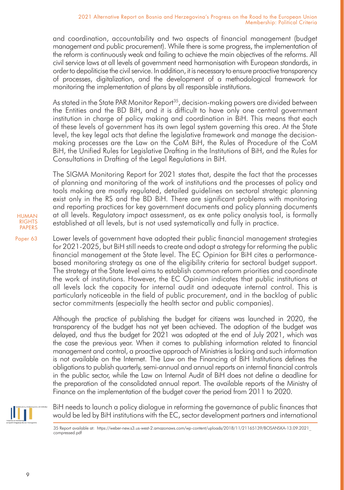and coordination, accountability and two aspects of financial management (budget management and public procurement). While there is some progress, the implementation of the reform is continuously weak and failing to achieve the main objectives of the reforms. All civil service laws at all levels of government need harmonisation with European standards, in order to depoliticise the civil service. In addition, it is necessary to ensure proactive transparency of processes, digitalization, and the development of a methodological framework for monitoring the implementation of plans by all responsible institutions.

As stated in the State PAR Monitor Report<sup>35</sup>, decision-making powers are divided between the Entities and the BD BiH, and it is difficult to have only one central government institution in charge of policy making and coordination in BiH. This means that each of these levels of government has its own legal system governing this area. At the State level, the key legal acts that define the legislative framework and manage the decisionmaking processes are the Law on the CoM BiH, the Rules of Procedure of the CoM BiH, the Unified Rules for Legislative Drafting in the Institutions of BiH, and the Rules for Consultations in Drafting of the Legal Regulations in BiH.

The SIGMA Monitoring Report for 2021 states that, despite the fact that the processes of planning and monitoring of the work of institutions and the processes of policy and tools making are mostly regulated, detailed guidelines on sectoral strategic planning exist only in the RS and the BD BiH. There are significant problems with monitoring and reporting practices for key government documents and policy planning documents at all levels. Regulatory impact assessment, as ex ante policy analysis tool, is formally established at all levels, but is not used systematically and fully in practice.

Paper 63 Lower levels of government have adopted their public financial management strategies for 2021-2025, but BiH still needs to create and adopt a strategy for reforming the public financial management at the State level. The EC Opinion for BiH cites a performancebased monitoring strategy as one of the eligibility criteria for sectoral budget support. The strategy at the State level aims to establish common reform priorities and coordinate the work of institutions. However, the EC Opinion indicates that public institutions at all levels lack the capacity for internal audit and adequate internal control. This is particularly noticeable in the field of public procurement, and in the backlog of public sector commitments (especially the health sector and public companies).

> Although the practice of publishing the budget for citizens was launched in 2020, the transparency of the budget has not yet been achieved. The adoption of the budget was delayed, and thus the budget for 2021 was adopted at the end of July 2021, which was the case the previous year. When it comes to publishing information related to financial management and control, a proactive approach of Ministries is lacking and such information is not available on the Internet. The Law on the Financing of BiH Institutions defines the obligations to publish quarterly, semi-annual and annual reports on internal financial controls in the public sector, while the Law on Internal Audit of BiH does not define a deadline for the preparation of the consolidated annual report. The available reports of the Ministry of Finance on the implementation of the budget cover the period from 2011 to 2020.



BiH needs to launch a policy dialogue in reforming the governance of public finances that would be led by BiH institutions with the EC, sector development partners and international

35 Report available at: https://weber-new.s3.us-west-2.amazonaws.com/wp-content/uploads/2018/11/21165139/BOSANSKA-13.09.2021\_ compressed.pdf

HUMAN **RIGHTS** PAPERS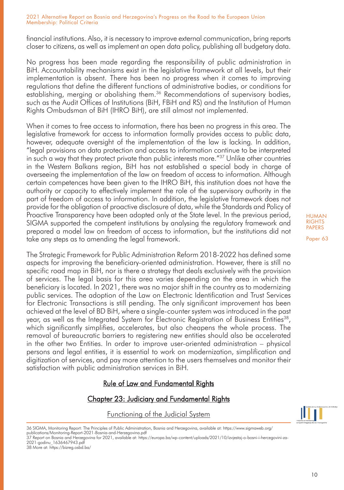financial institutions. Also, it is necessary to improve external communication, bring reports closer to citizens, as well as implement an open data policy, publishing all budgetary data.

No progress has been made regarding the responsibility of public administration in BiH. Accountability mechanisms exist in the legislative framework at all levels, but their implementation is absent. There has been no progress when it comes to improving regulations that define the different functions of administrative bodies, or conditions for establishing, merging or abolishing them.<sup>36</sup> Recommendations of supervisory bodies, such as the Audit Offices of Institutions (BiH, FBiH and RS) and the Institution of Human Rights Ombudsman of BiH (IHRO BiH), are still almost not implemented.

When it comes to free access to information, there has been no progress in this area. The legislative framework for access to information formally provides access to public data, however, adequate oversight of the implementation of the law is lacking. In addition, "legal provisions on data protection and access to information continue to be interpreted in such a way that they protect private than public interests more."37 Unlike other countries in the Western Balkans region, BiH has not established a special body in charge of overseeing the implementation of the law on freedom of access to information. Although certain competences have been given to the IHRO BiH, this institution does not have the authority or capacity to effectively implement the role of the supervisory authority in the part of freedom of access to information. In addition, the legislative framework does not provide for the obligation of proactive disclosure of data, while the Standards and Policy of Proactive Transparency have been adopted only at the State level. In the previous period, SIGMA supported the competent institutions by analysing the regulatory framework and prepared a model law on freedom of access to information, but the institutions did not take any steps as to amending the legal framework.

The Strategic Framework for Public Administration Reform 2018-2022 has defined some aspects for improving the beneficiary-oriented administration. However, there is still no specific road map in BiH, nor is there a strategy that deals exclusively with the provision of services. The legal basis for this area varies depending on the area in which the beneficiary is located. In 2021, there was no major shift in the country as to modernizing public services. The adoption of the Law on Electronic Identification and Trust Services for Electronic Transactions is still pending. The only significant improvement has been achieved at the level of BD BiH, where a single-counter system was introduced in the past year, as well as the Integrated System for Electronic Registration of Business Entities<sup>38</sup>, which significantly simplifies, accelerates, but also cheapens the whole process. The removal of bureaucratic barriers to registering new entities should also be accelerated in the other two Entities. In order to improve user-oriented administration – physical persons and legal entities, it is essential to work on modernization, simplification and digitization of services, and pay more attention to the users themselves and monitor their satisfaction with public administration services in BiH.

# Rule of Law and Fundamental Rights

# Chapter 23: Judiciary and Fundamental Rights

### Functioning of the Judicial System

36 SIGMA, Monitoring Report: The Principles of Public Administration, Bosnia and Herzegovina, available at: https://www.sigmaweb.org/ publications/Monitoring-Report-2021-Bosnia-and-Herzegovina.pdf

37 Report on Bosnia and Herzegovina for 2021, available at: https://europa.ba/wp-content/uploads/2021/10/izvjestaj-o-bosni-i-hercegovini-za-2021-godinu\_1636467943.pdf 38 More at: https://bizreg.osbd.ba/

HUMAN RIGHTS PAPERS

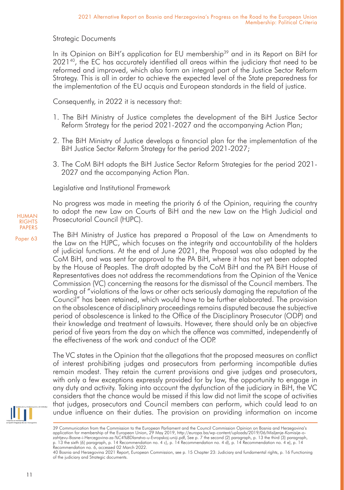# Strategic Documents

In its Opinion on BiH's application for EU membership<sup>39</sup> and in its Report on BiH for 2021<sup>40</sup>, the EC has accurately identified all areas within the judiciary that need to be reformed and improved, which also form an integral part of the Justice Sector Reform Strategy. This is all in order to achieve the expected level of the State preparedness for the implementation of the EU acquis and European standards in the field of justice.

Consequently, in 2022 it is necessary that:

- 1. The BiH Ministry of Justice completes the development of the BiH Justice Sector Reform Strategy for the period 2021-2027 and the accompanying Action Plan;
- 2. The BiH Ministry of Justice develops a financial plan for the implementation of the BiH Justice Sector Reform Strategy for the period 2021-2027;
- 3. The CoM BiH adopts the BiH Justice Sector Reform Strategies for the period 2021- 2027 and the accompanying Action Plan.

Legislative and Institutional Framework

No progress was made in meeting the priority 6 of the Opinion, requiring the country to adopt the new Law on Courts of BiH and the new Law on the High Judicial and Prosecutorial Council (HJPC).

The BiH Ministry of Justice has prepared a Proposal of the Law on Amendments to the Law on the HJPC, which focuses on the integrity and accountability of the holders of judicial functions. At the end of June 2021, the Proposal was also adopted by the CoM BiH, and was sent for approval to the PA BiH, where it has not yet been adopted by the House of Peoples. The draft adopted by the CoM BiH and the PA BiH House of Representatives does not address the recommendations from the Opinion of the Venice Commission (VC) concerning the reasons for the dismissal of the Council members. The wording of "violations of the laws or other acts seriously damaging the reputation of the Council" has been retained, which would have to be further elaborated. The provision on the obsolescence of disciplinary proceedings remains disputed because the subjective period of obsolescence is linked to the Office of the Disciplinary Prosecutor (ODP) and their knowledge and treatment of lawsuits. However, there should only be an objective period of five years from the day on which the offence was committed, independently of the effectiveness of the work and conduct of the ODP.

The VC states in the Opinion that the allegations that the proposed measures on conflict of interest prohibiting judges and prosecutors from performing incompatible duties remain modest. They retain the current provisions and give judges and prosecutors, with only a few exceptions expressly provided for by law, the opportunity to engage in any duty and activity. Taking into account the dysfunction of the judiciary in BiH, the VC considers that the chance would be missed if this law did not limit the scope of activities that judges, prosecutors and Council members can perform, which could lead to an undue influence on their duties. The provision on providing information on income



<sup>39</sup> Communication from the Commission to the European Parliament and the Council Commission Opinion on Bosnia and Herzegovina's application for membership of the European Union, 29 May 2019, http://europa.ba/wp-content/uploads/2019/06/Misljenje-Komisije-ozahtjevu-Bosne-i-Hercegovina-za-%C4%8Dlanstvo-u-Evropskoj-uniji.pdf, See p. 7 the second (2) paragraph, p. 13 the third (3) paragraph, p. 13 the sixth (6) paragraph, p. 14 Recommendation no. 4 c), p. 14 Recommendation no. 4 d), p. 14 Recommendation no. 4 e), p. 14 Recommendation no. 6, accessed 02 March 2022.

HUMAN RIGHTS PAPERS

<sup>40</sup> Bosnia and Herzegovina 2021 Report, European Commission, see p. 15 Chapter 23: Judiciary and fundamental rights, p. 16 Functioning of the judiciary and Strategic documents.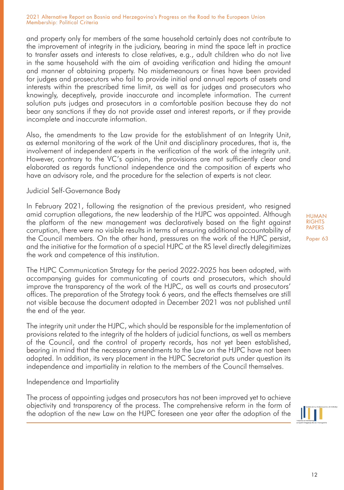and property only for members of the same household certainly does not contribute to the improvement of integrity in the judiciary, bearing in mind the space left in practice to transfer assets and interests to close relatives, e.g., adult children who do not live in the same household with the aim of avoiding verification and hiding the amount and manner of obtaining property. No misdemeanours or fines have been provided for judges and prosecutors who fail to provide initial and annual reports of assets and interests within the prescribed time limit, as well as for judges and prosecutors who knowingly, deceptively, provide inaccurate and incomplete information. The current solution puts judges and prosecutors in a comfortable position because they do not bear any sanctions if they do not provide asset and interest reports, or if they provide incomplete and inaccurate information.

Also, the amendments to the Law provide for the establishment of an Integrity Unit, as external monitoring of the work of the Unit and disciplinary procedures, that is, the involvement of independent experts in the verification of the work of the integrity unit. However, contrary to the VC's opinion, the provisions are not sufficiently clear and elaborated as regards functional independence and the composition of experts who have an advisory role, and the procedure for the selection of experts is not clear.

## Judicial Self-Governance Body

In February 2021, following the resignation of the previous president, who resigned amid corruption allegations, the new leadership of the HJPC was appointed. Although the platform of the new management was declaratively based on the fight against corruption, there were no visible results in terms of ensuring additional accountability of the Council members. On the other hand, pressures on the work of the HJPC persist, and the initiative for the formation of a special HJPC at the RS level directly delegitimizes the work and competence of this institution.

The HJPC Communication Strategy for the period 2022-2025 has been adopted, with accompanying guides for communicating of courts and prosecutors, which should improve the transparency of the work of the HJPC, as well as courts and prosecutors' offices. The preparation of the Strategy took 6 years, and the effects themselves are still not visible because the document adopted in December 2021 was not published until the end of the year.

The integrity unit under the HJPC, which should be responsible for the implementation of provisions related to the integrity of the holders of judicial functions, as well as members of the Council, and the control of property records, has not yet been established, bearing in mind that the necessary amendments to the Law on the HJPC have not been adopted. In addition, its very placement in the HJPC Secretariat puts under question its independence and impartiality in relation to the members of the Council themselves.

### Independence and Impartiality

The process of appointing judges and prosecutors has not been improved yet to achieve objectivity and transparency of the process. The comprehensive reform in the form of the adoption of the new Law on the HJPC foreseen one year after the adoption of the

HUMAN RIGHTS PAPERS

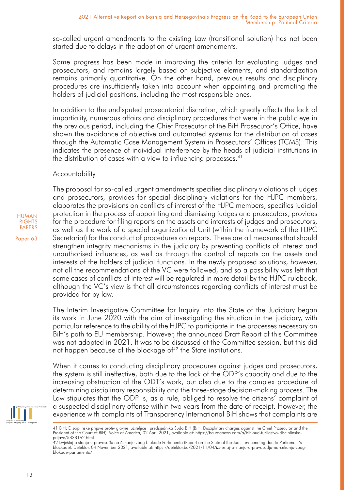so-called urgent amendments to the existing Law (transitional solution) has not been started due to delays in the adoption of urgent amendments.

Some progress has been made in improving the criteria for evaluating judges and prosecutors, and remains largely based on subjective elements, and standardization remains primarily quantitative. On the other hand, previous results and disciplinary procedures are insufficiently taken into account when appointing and promoting the holders of judicial positions, including the most responsible ones.

In addition to the undisputed prosecutorial discretion, which greatly affects the lack of impartiality, numerous affairs and disciplinary procedures that were in the public eye in the previous period, including the Chief Prosecutor of the BiH Prosecutor's Office, have shown the avoidance of objective and automated systems for the distribution of cases through the Automatic Case Management System in Prosecutors' Offices (TCMS). This indicates the presence of individual interference by the heads of judicial institutions in the distribution of cases with a view to influencing processes.<sup>41</sup>

## Accountability

HUMAN **RIGHTS** PAPERS

Paper 63

The proposal for so-called urgent amendments specifies disciplinary violations of judges and prosecutors, provides for special disciplinary violations for the HJPC members, elaborates the provisions on conflicts of interest of the HJPC members, specifies judicial protection in the process of appointing and dismissing judges and prosecutors, provides for the procedure for filing reports on the assets and interests of judges and prosecutors, as well as the work of a special organizational Unit (within the framework of the HJPC Secretariat) for the conduct of procedures on reports. These are all measures that should strengthen integrity mechanisms in the judiciary by preventing conflicts of interest and unauthorised influences, as well as through the control of reports on the assets and interests of the holders of judicial functions. In the newly proposed solutions, however, not all the recommendations of the VC were followed, and so a possibility was left that some cases of conflicts of interest will be regulated in more detail by the HJPC rulebook, although the VC's view is that all circumstances regarding conflicts of interest must be provided for by law.

The Interim Investigative Committee for Inquiry into the State of the Judiciary began its work in June 2020 with the aim of investigating the situation in the judiciary, with particular reference to the ability of the HJPC to participate in the processes necessary on BiH's path to EU membership. However, the announced Draft Report of this Committee was not adopted in 2021. It was to be discussed at the Committee session, but this did not happen because of the blockage of<sup>42</sup> the State institutions.

When it comes to conducting disciplinary procedures against judges and prosecutors, the system is still ineffective, both due to the lack of the ODP's capacity and due to the increasing obstruction of the ODT's work, but also due to the complex procedure of determining disciplinary responsibility and the three-stage decision-making process. The Law stipulates that the ODP is, as a rule, obliged to resolve the citizens' complaint of a suspected disciplinary offense within two years from the date of receipt. However, the experience with complaints of Transparency International BiH shows that complaints are

<sup>41</sup> BiH: Disciplinske prijave protiv glavne tužiteljice i predsjednika Suda BiH (BiH: Disciplinary charges against the Chief Prosecutor and the President of the Court of BiH). Voice of America, 02 April 2021, available at: https://ba.voanews.com/a/bih-sud-tuzilastvo-disciplinskeprijave/5838162.html

<sup>42</sup> Izvještaj o stanju u pravosuđu na čekanju zbog blokade Parlamenta (Report on the State of the Judiciary pending due to Parliament's blockade). Detektor, 04 November 2021, available at: https://detektor.ba/2021/11/04/izvjestaj-o-stanju-u-pravosudju-na-cekanju-zbogblokade-parlamenta/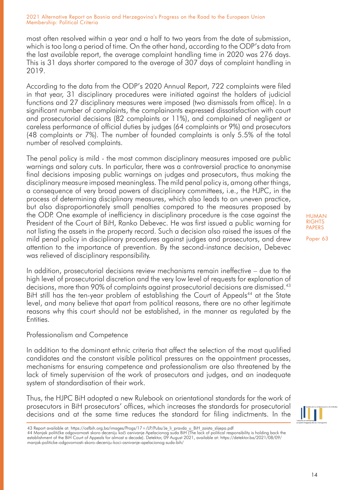most often resolved within a year and a half to two years from the date of submission, which is too long a period of time. On the other hand, according to the ODP's data from the last available report, the average complaint handling time in 2020 was 276 days. This is 31 days shorter compared to the average of 307 days of complaint handling in 2019.

According to the data from the ODP's 2020 Annual Report, 722 complaints were filed in that year, 31 disciplinary procedures were initiated against the holders of judicial functions and 27 disciplinary measures were imposed (two dismissals from office). In a significant number of complaints, the complainants expressed dissatisfaction with court and prosecutorial decisions (82 complaints or 11%), and complained of negligent or careless performance of official duties by judges (64 complaints or 9%) and prosecutors (48 complaints or 7%). The number of founded complaints is only 5.5% of the total number of resolved complaints.

The penal policy is mild - the most common disciplinary measures imposed are public warnings and salary cuts. In particular, there was a controversial practice to anonymise final decisions imposing public warnings on judges and prosecutors, thus making the disciplinary measure imposed meaningless. The mild penal policy is, among other things, a consequence of very broad powers of disciplinary committees, i.e., the HJPC, in the process of determining disciplinary measures, which also leads to an uneven practice, but also disproportionately small penalties compared to the measures proposed by the ODP. One example of inefficiency in disciplinary procedure is the case against the President of the Court of BiH, Ranko Debevec. He was first issued a public warning for not listing the assets in the property record. Such a decision also raised the issues of the mild penal policy in disciplinary procedures against judges and prosecutors, and drew attention to the importance of prevention. By the second-instance decision, Debevec was relieved of disciplinary responsibility.

In addition, prosecutorial decisions review mechanisms remain ineffective – due to the high level of prosecutorial discretion and the very low level of requests for explanation of decisions, more than 90% of complaints against prosecutorial decisions are dismissed.43 BiH still has the ten-year problem of establishing the Court of Appeals<sup>44</sup> at the State level, and many believe that apart from political reasons, there are no other legitimate reasons why this court should not be established, in the manner as regulated by the **Entities** 

# Professionalism and Competence

In addition to the dominant ethnic criteria that affect the selection of the most qualified candidates and the constant visible political pressures on the appointment processes, mechanisms for ensuring competence and professionalism are also threatened by the lack of timely supervision of the work of prosecutors and judges, and an inadequate system of standardisation of their work.

Thus, the HJPC BiH adopted a new Rulebook on orientational standards for the work of prosecutors in BiH prosecutors' offices, which increases the standards for prosecutorial decisions and at the same time reduces the standard for filing indictments. In the

43 Report available at: https://osfbih.org.ba/images/Progs/17+/LP/Pubs/Je\_li\_pravda\_u\_BiH\_zaista\_slijepa.pdf<br>44 Manjak političke odgovornosti skoro deceniju koči osnivanje Apelacionog suda BiH (The lack of political respon establishment of the BiH Court of Appeals for almost a decade). Detektor, 09 August 2021, available at: https://detektor.ba/2021/08/09/ manjak-politicke-odgovornosti-skoro-deceniju-koci-osnivanje-apelacionog-suda-bih/

HUMAN **RIGHTS** PAPERS

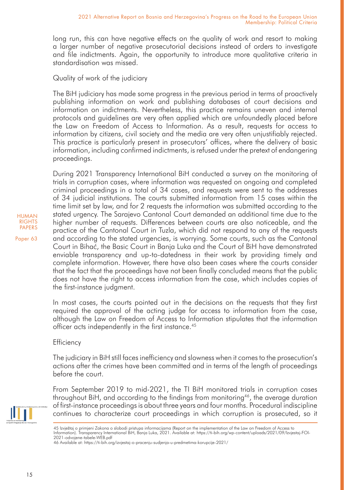long run, this can have negative effects on the quality of work and resort to making a larger number of negative prosecutorial decisions instead of orders to investigate and file indictments. Again, the opportunity to introduce more qualitative criteria in standardisation was missed.

## Quality of work of the judiciary

The BiH judiciary has made some progress in the previous period in terms of proactively publishing information on work and publishing databases of court decisions and information on indictments. Nevertheless, this practice remains uneven and internal protocols and guidelines are very often applied which are unfoundedly placed before the Law on Freedom of Access to Information. As a result, requests for access to information by citizens, civil society and the media are very often unjustifiably rejected. This practice is particularly present in prosecutors' offices, where the delivery of basic information, including confirmed indictments, is refused under the pretext of endangering proceedings.

During 2021 Transparency International BiH conducted a survey on the monitoring of trials in corruption cases, where information was requested on ongoing and completed criminal proceedings in a total of 34 cases, and requests were sent to the addresses of 34 judicial institutions. The courts submitted information from 15 cases within the time limit set by law, and for 2 requests the information was submitted according to the stated urgency. The Sarajevo Cantonal Court demanded an additional time due to the higher number of requests. Differences between courts are also noticeable, and the practice of the Cantonal Court in Tuzla, which did not respond to any of the requests and according to the stated urgencies, is worrying. Some courts, such as the Cantonal Court in Bihać, the Basic Court in Banja Luka and the Court of BiH have demonstrated enviable transparency and up-to-datedness in their work by providing timely and complete information. However, there have also been cases where the courts consider that the fact that the proceedings have not been finally concluded means that the public does not have the right to access information from the case, which includes copies of the first-instance judgment.

In most cases, the courts pointed out in the decisions on the requests that they first required the approval of the acting judge for access to information from the case, although the Law on Freedom of Access to Information stipulates that the information officer acts independently in the first instance.<sup>45</sup>

# **Efficiency**

The judiciary in BiH still faces inefficiency and slowness when it comes to the prosecution's actions after the crimes have been committed and in terms of the length of proceedings before the court.

From September 2019 to mid-2021, the TI BiH monitored trials in corruption cases throughout BiH, and according to the findings from monitoring46, the average duration of first-instance proceedings is about three years and four months. Procedural indiscipline continues to characterize court proceedings in which corruption is prosecuted, so it

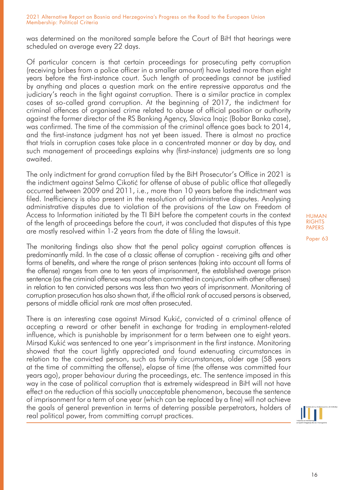was determined on the monitored sample before the Court of BiH that hearings were scheduled on average every 22 days.

Of particular concern is that certain proceedings for prosecuting petty corruption (receiving bribes from a police officer in a smaller amount) have lasted more than eight years before the first-instance court. Such length of proceedings cannot be justified by anything and places a question mark on the entire repressive apparatus and the judiciary's reach in the fight against corruption. There is a similar practice in complex cases of so-called grand corruption. At the beginning of 2017, the indictment for criminal offences of organised crime related to abuse of official position or authority against the former director of the RS Banking Agency, Slavica Inajc (Bobar Banka case), was confirmed. The time of the commission of the criminal offence goes back to 2014, and the first-instance judgment has not yet been issued. There is almost no practice that trials in corruption cases take place in a concentrated manner or day by day, and such management of proceedings explains why (first-instance) judgments are so long awaited.

The only indictment for grand corruption filed by the BiH Prosecutor's Office in 2021 is the indictment against Selmo Cikotić for offense of abuse of public office that allegedly occurred between 2009 and 2011, i.e., more than 10 years before the indictment was filed. Inefficiency is also present in the resolution of administrative disputes. Analysing administrative disputes due to violation of the provisions of the Law on Freedom of Access to Information initiated by the TI BiH before the competent courts in the context of the length of proceedings before the court, it was concluded that disputes of this type are mostly resolved within 1-2 years from the date of filing the lawsuit.

The monitoring findings also show that the penal policy against corruption offences is predominantly mild. In the case of a classic offense of corruption - receiving gifts and other forms of benefits, and where the range of prison sentences (taking into account all forms of the offense) ranges from one to ten years of imprisonment, the established average prison sentence (as the criminal offence was most often committed in conjunction with other offenses) in relation to ten convicted persons was less than two years of imprisonment. Monitoring of corruption prosecution has also shown that, if the official rank of accused persons is observed, persons of middle official rank are most often prosecuted.

There is an interesting case against Mirsad Kukić, convicted of a criminal offence of accepting a reward or other benefit in exchange for trading in employment-related influence, which is punishable by imprisonment for a term between one to eight years. Mirsad Kukić was sentenced to one year's imprisonment in the first instance. Monitoring showed that the court lightly appreciated and found extenuating circumstances in relation to the convicted person, such as family circumstances, older age (58 years at the time of committing the offense), elapse of time (the offense was committed four years ago), proper behaviour during the proceedings, etc. The sentence imposed in this way in the case of political corruption that is extremely widespread in BiH will not have effect on the reduction of this socially unacceptable phenomenon, because the sentence of imprisonment for a term of one year (which can be replaced by a fine) will not achieve the goals of general prevention in terms of deterring possible perpetrators, holders of real political power, from committing corrupt practices.

HUMAN RIGHTS PAPERS

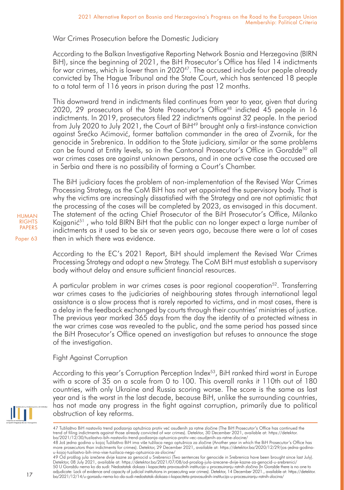War Crimes Prosecution before the Domestic Judiciary

According to the Balkan Investigative Reporting Network Bosnia and Herzegovina (BIRN BiH), since the beginning of 2021, the BiH Prosecutor's Office has filed 14 indictments for war crimes, which is lower than in 2020<sup>47</sup>. The accused include four people already convicted by The Hague Tribunal and the State Court, which has sentenced 18 people to a total term of 116 years in prison during the past 12 months.

This downward trend in indictments filed continues from year to year, given that during 2020, 29 prosecutors of the State Prosecutor's Office<sup>48</sup> indicted  $45$  people in  $16$ indictments. In 2019, prosecutors filed 22 indictments against 32 people. In the period from July 2020 to July 2021, the Court of BiH<sup>49</sup> brought only a first-instance conviction against Srećko Aćimović, former battalion commander in the area of Zvornik, for the genocide in Srebrenica. In addition to the State judiciary, similar or the same problems can be found at Entity levels, so in the Cantonal Prosecutor's Office in Goražde<sup>50</sup> all war crimes cases are against unknown persons, and in one active case the accused are in Serbia and there is no possibility of forming a Court's Chamber.

The BiH judiciary faces the problem of non-implementation of the Revised War Crimes Processing Strategy, as the CoM BiH has not yet appointed the supervisory body. That is why the victims are increasingly dissatisfied with the Strategy and are not optimistic that the processing of the cases will be completed by 2023, as envisaged in this document. The statement of the acting Chief Prosecutor of the BiH Prosecutor's Office, Milanko Kajganić<sup>51</sup>, who told BIRN BiH that the public can no longer expect a large number of indictments as it used to be six or seven years ago, because there were a lot of cases then in which there was evidence.

According to the EC's 2021 Report, BiH should implement the Revised War Crimes Processing Strategy and adopt a new Strategy. The CoM BiH must establish a supervisory body without delay and ensure sufficient financial resources.

A particular problem in war crimes cases is poor regional cooperation<sup>52</sup>. Transferring war crimes cases to the judiciaries of neighbouring states through international legal assistance is a slow process that is rarely reported to victims, and in most cases, there is a delay in the feedback exchanged by courts through their countries' ministries of justice. The previous year marked 365 days from the day the identity of a protected witness in the war crimes case was revealed to the public, and the same period has passed since the BiH Prosecutor's Office opened an investigation but refuses to announce the stage of the investigation.

# Fight Against Corruption

According to this year's Corruption Perception Index $53$ , BiH ranked third worst in Europe with a score of 35 on a scale from 0 to 100. This overall ranks it 110th out of 180 countries, with only Ukraine and Russia scoring worse. The score is the same as last year and is the worst in the last decade, because BiH, unlike the surrounding countries, has not made any progress in the fight against corruption, primarily due to political obstruction of key reforms.



<sup>47</sup> Tužilaštvo BiH nastavilo trend podizanja optužnica protiv već osuđenih za ratne zločine (The BiH Prosecutor's Office has continued the trend of filing indictments against those already convicted of war crimes). Detektor, 30 December 2021, available at: https://detektor. ba/2021/12/30/tuzilastvo-bih-nastavilo-trend-podizanja-optuznica-protiv-vec-osudjenih-za-ratne-zlocine/

Paper 63

17

<sup>48</sup> Još jedna godina u kojoj Tužilaštvo BiH ima više tužilaca nego optužnica za zločine (Another year in which the BiH Prosecutor's Office has more prosecutors than indictments for crimes). Detektor, 29 December 2021, available at: https://detektor.ba/2020/12/29/jos-jedna-godinau-kojoj-tuzilastvo-bih-ima-vise-tuzilaca-nego-optuznica-za-zlocine/

<sup>49</sup> Od prošlog jula izrečene dvije kazne za genocid u Srebrenici (Two sentences for genocide in Srebrenica have been brought since last July). Detektor, 08 July 2021, available at: https://detektor.ba/2021/07/08/od-proslog-jula-izrecene-dvije-kazne-za-genocid-u-srebrenici/ 50 U Goraždu nema ko da sudi: Nedostatak dokaza i kapaciteta pravosudnih institucija u procesuiranju ratnih zločina (In Goražde there is no one to

adjudicate: Lack of evidence and capacity of judicial institutions in prosecuting war crimes). Detektor, 14 December 2021., available at: https://detektor. ba/2021/12/14/u-gorazdu-nema-ko-da-sudi-nedostatak-dokaza-i-kapaciteta-pravosudnih-institucija-u-procesuiranju-ratnih-zlocina/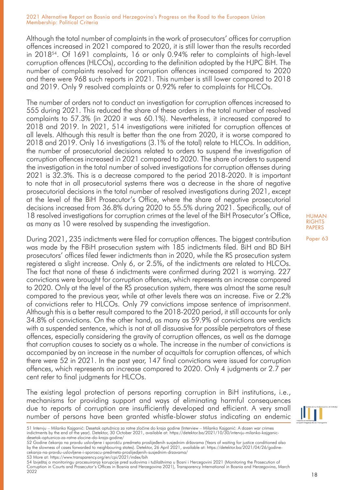Although the total number of complaints in the work of prosecutors' offices for corruption offences increased in 2021 compared to 2020, it is still lower than the results recorded in 201854. Of 1691 complaints, 16 or only 0.94% refer to complaints of high-level corruption offences (HLCOs), according to the definition adopted by the HJPC BiH. The number of complaints resolved for corruption offences increased compared to 2020 and there were 968 such reports in 2021. This number is still lower compared to 2018 and 2019. Only 9 resolved complaints or 0.92% refer to complaints for HLCOs.

The number of orders not to conduct an investigation for corruption offences increased to 555 during 2021. This reduced the share of these orders in the total number of resolved complaints to 57.3% (in 2020 it was 60.1%). Nevertheless, it increased compared to 2018 and 2019. In 2021, 514 investigations were initiated for corruption offences at all levels. Although this result is better than the one from 2020, it is worse compared to 2018 and 2019. Only 16 investigations (3.1% of the total) relate to HLCOs. In addition, the number of prosecutorial decisions related to orders to suspend the investigation of corruption offences increased in 2021 compared to 2020. The share of orders to suspend the investigation in the total number of solved investigations for corruption offenses during 2021 is 32.3%. This is a decrease compared to the period 2018-2020. It is important to note that in all prosecutorial systems there was a decrease in the share of negative prosecutorial decisions in the total number of resolved investigations during 2021, except at the level of the BiH Prosecutor's Office, where the share of negative prosecutorial decisions increased from 36.8% during 2020 to 55.5% during 2021. Specifically, out of 18 resolved investigations for corruption crimes at the level of the BiH Prosecutor's Office, as many as 10 were resolved by suspending the investigation.

During 2021, 235 indictments were filed for corruption offences. The biggest contribution was made by the FBiH prosecution system with 185 indictments filed. BiH and BD BiH prosecutors' offices filed fewer indictments than in 2020, while the RS prosecution system registered a slight increase. Only 6, or 2.5%, of the indictments are related to HLCOs. The fact that none of these 6 indictments were confirmed during 2021 is worrying. 227 convictions were brought for corruption offences, which represents an increase compared to 2020. Only at the level of the RS prosecution system, there was almost the same result compared to the previous year, while at other levels there was an increase. Five or 2.2% of convictions refer to HLCOs. Only 79 convictions impose sentence of imprisonment. Although this is a better result compared to the 2018-2020 period, it still accounts for only 34.8% of convictions. On the other hand, as many as 59.9% of convictions are verdicts with a suspended sentence, which is not at all dissuasive for possible perpetrators of these offences, especially considering the gravity of corruption offences, as well as the damage that corruption causes to society as a whole. The increase in the number of convictions is accompanied by an increase in the number of acquittals for corruption offences, of which there were 52 in 2021. In the past year, 147 final convictions were issued for corruption offences, which represents an increase compared to 2020. Only 4 judgments or 2.7 per cent refer to final judgments for HLCOs.

The existing legal protection of persons reporting corruption in BiH institutions, i.e., mechanisms for providing support and ways of eliminating harmful consequences due to reports of corruption are insufficiently developed and efficient. A very small number of persons have been granted whistle-blower status indicating an endemic

53 More at: https://www.transparency.org/en/cpi/2021/index/bih

54 Izvještaj o monitoringu procesuiranja korupcije pred sudovima i tužilaštvima u Bosni i Hercegovini 2021 (Monitoring the Prosecution of Corruption in Courts and Prosecutor's Offices in Bosnia and Herzegovina 2021), Transparency International in Bosnia and Herzegovina, March 2022



18

<sup>51</sup> Intervju – Milanko Kajganić: Desetak optužnica za ratne zločine do kraja godine (Interview – Milanko Kajganić: A dozen war crimes indictments by the end of the year). Detektor, 30 October 2021, available at: https://detektor.ba/2021/10/30/intervju-milanko-kajganicdesetak-optuznica-za-ratne-zlocine-do-kraja-godine/

<sup>52</sup> Godine čekanja na pravdu uslovljene i sporošću predmeta proslijeđenih susjednim državama (Years of waiting for justice conditioned also by the slowness of cases forwarded to neighbouring states). Detektor, 26 April 2021, available at: https://detektor.ba/2021/04/26/godinecekanja-na-pravdu-uslovljene-i-sporoscu-predmeta-proslijedjenih-susjednim-drzavama/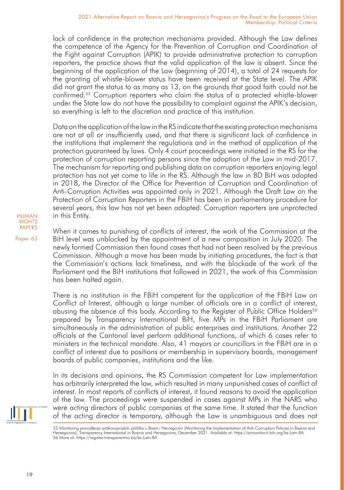lack of confidence in the protection mechanisms provided. Although the Law defines the competence of the Agency for the Prevention of Corruption and Coordination of the Fight against Corruption (APIK) to provide administrative protection to corruption reporters, the practice shows that the valid application of the law is absent. Since the beginning of the application of the Law (beginning of 2014), a total of 24 requests for the granting of whistle-blower status have been received at the State level. The APIK did not grant the status to as many as 13, on the grounds that good faith could not be confirmed.55 Corruption reporters who claim the status of a protected whistle-blower under the State law do not have the possibility to complaint against the APIK's decision, so everything is left to the discretion and practice of this institution.

Data on the application of the law in the RS indicate that the existing protection mechanisms are not at all or insufficiently used, and that there is significant lack of confidence in the institutions that implement the regulations and in the method of application of the protection guaranteed by laws. Only 4 court proceedings were initiated in the RS for the protection of corruption reporting persons since the adoption of the Law in mid-2017. The mechanism for reporting and publishing data on corruption reporters enjoying legal protection has not yet come to life in the RS. Although the law in BD BiH was adopted in 2018, the Director of the Office for Prevention of Corruption and Coordination of Anti-Corruption Activities was appointed only in 2021. Although the Draft Law on the Protection of Corruption Reporters in the FBiH has been in parliamentary procedure for several years, this law has not yet been adopted. Corruption reporters are unprotected in this Entity.

When it comes to punishing of conflicts of interest, the work of the Commission at the BiH level was unblocked by the appointment of a new composition in July 2020. The newly formed Commission then found cases that had not been resolved by the previous Commission. Although a move has been made by initiating procedures, the fact is that the Commission's actions lack timeliness, and with the blockade of the work of the Parliament and the BiH institutions that followed in 2021, the work of this Commission has been halted again.

There is no institution in the FBiH competent for the application of the FBiH Law on Conflict of Interest, although a large number of officials are in a conflict of interest, abusing the absence of this body. According to the Register of Public Office Holders<sup>56</sup> prepared by Transparency International BiH, five MPs in the FBiH Parliament are simultaneously in the administration of public enterprises and institutions. Another 22 officials at the Cantonal level perform additional functions, of which 6 cases refer to ministers in the technical mandate. Also, 41 mayors or councillors in the FBiH are in a conflict of interest due to positions or membership in supervisory boards, management boards of public companies, institutions and the like.

In its decisions and opinions, the RS Commission competent for Law implementation has arbitrarily interpreted the law, which resulted in many unpunished cases of conflict of interest. In most reports of conflicts of interest, it found reasons to avoid the application of the law. The proceedings were suspended in cases against MPs in the NARS who were acting directors of public companies at the same time. It stated that the function of the acting director is temporary, although the Law is unambiguous and does not





<sup>55</sup> Monitoring provođenja antikorupcijskih politika u Bosni i Hercegovini (Monitoring the Implementation of Anti-Corruption Policies in Bosnia and Herzegovina), Transparency International in Bosnia and Herzegovina, December 2021. Available at: https://acmonitor.ti-bih.org/bs-Latn-BA 56 More at: https://registar.transparentno.ba/bs-Latn-BA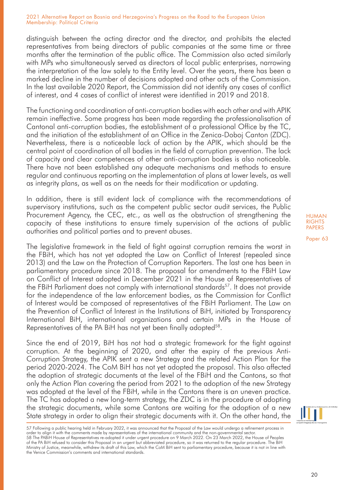distinguish between the acting director and the director, and prohibits the elected representatives from being directors of public companies at the same time or three months after the termination of the public office. The Commission also acted similarly with MPs who simultaneously served as directors of local public enterprises, narrowing the interpretation of the law solely to the Entity level. Over the years, there has been a marked decline in the number of decisions adopted and other acts of the Commission. In the last available 2020 Report, the Commission did not identify any cases of conflict of interest, and 4 cases of conflict of interest were identified in 2019 and 2018.

The functioning and coordination of anti-corruption bodies with each other and with APIK remain ineffective. Some progress has been made regarding the professionalisation of Cantonal anti-corruption bodies, the establishment of a professional Office by the TC, and the initiation of the establishment of an Office in the Zenica-Doboj Canton (ZDC). Nevertheless, there is a noticeable lack of action by the APIK, which should be the central point of coordination of all bodies in the field of corruption prevention. The lack of capacity and clear competences of other anti-corruption bodies is also noticeable. There have not been established any adequate mechanisms and methods to ensure regular and continuous reporting on the implementation of plans at lower levels, as well as integrity plans, as well as on the needs for their modification or updating.

In addition, there is still evident lack of compliance with the recommendations of supervisory institutions, such as the competent public sector audit services, the Public Procurement Agency, the CEC, etc., as well as the obstruction of strengthening the capacity of these institutions to ensure timely supervision of the actions of public authorities and political parties and to prevent abuses.

The legislative framework in the field of fight against corruption remains the worst in the FBiH, which has not yet adopted the Law on Conflict of Interest (repealed since 2013) and the Law on the Protection of Corruption Reporters. The last one has been in parliamentary procedure since 2018. The proposal for amendments to the FBiH Law on Conflict of Interest adopted in December 2021 in the House of Representatives of the FBiH Parliament does not comply with international standards<sup>57</sup>. It does not provide for the independence of the law enforcement bodies, as the Commission for Conflict of Interest would be composed of representatives of the FBiH Parliament. The Law on the Prevention of Conflict of Interest in the Institutions of BiH, initiated by Transparency International BiH, international organizations and certain MPs in the House of Representatives of the PA BiH has not yet been finally adopted<sup>58</sup>.

Since the end of 2019, BiH has not had a strategic framework for the fight against corruption. At the beginning of 2020, and after the expiry of the previous Anti-Corruption Strategy, the APIK sent a new Strategy and the related Action Plan for the period 2020-2024. The CoM BiH has not yet adopted the proposal. This also affected the adoption of strategic documents at the level of the FBiH and the Cantons, so that only the Action Plan covering the period from 2021 to the adoption of the new Strategy was adopted at the level of the FBiH, while in the Cantons there is an uneven practice. The TC has adopted a new long-term strategy, the ZDC is in the procedure of adopting the strategic documents, while some Cantons are waiting for the adoption of a new State strategy in order to align their strategic documents with it. On the other hand, the

HUMAN **RIGHTS** PAPERS

<sup>57</sup> Following a public hearing held in February 2022, it was announced that the Proposal of the Law would undergo a refinement process in order to align it with the comments made by representatives of the international community and the non-governmental sector. 58 The PABiH House of Representatives re-adopted it under urgent procedure on 9 March 2022. On 23 March 2022, the House of Peoples of the PA BiH refused to consider this Proposal in an urgent but abbreviated procedure, so it was returned to the regular procedure. The BiH Ministry of Justice, meanwhile, withdrew its draft of this Law, which the CoM BiH sent to parliamentary procedure, because it is not in line with the Venice Commission's comments and international standards.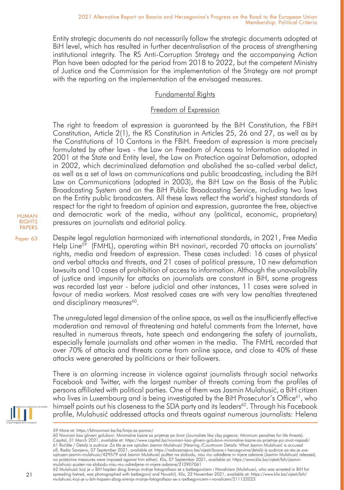Entity strategic documents do not necessarily follow the strategic documents adopted at BiH level, which has resulted in further decentralisation of the process of strengthening institutional integrity. The RS Anti-Corruption Strategy and the accompanying Action Plan have been adopted for the period from 2018 to 2022, but the competent Ministry of Justice and the Commission for the implementation of the Strategy are not prompt with the reporting on the implementation of the envisaged measures.

# Fundamental Rights

# Freedom of Expression

The right to freedom of expression is guaranteed by the BiH Constitution, the FBiH Constitution, Article 2(1), the RS Constitution in Articles 25, 26 and 27, as well as by the Constitutions of 10 Cantons in the FBiH. Freedom of expression is more precisely formulated by other laws - the Law on Freedom of Access to Information adopted in 2001 at the State and Entity level, the Law on Protection against Defamation, adopted in 2002, which decriminalized defamation and abolished the so-called verbal delict, as well as a set of laws on communications and public broadcasting, including the BiH Law on Communications (adopted in 2003), the BiH Law on the Basis of the Public Broadcasting System and on the BiH Public Broadcasting Service, including two laws on the Entity public broadcasters. All these laws reflect the world's highest standards of respect for the right to freedom of opinion and expression, guarantee the free, objective and democratic work of the media, without any (political, economic, proprietary) pressures on journalists and editorial policy.

Paper 63 Despite legal regulation harmonized with international standards, in 2021, Free Media Help Line<sup>59</sup> (FMHL), operating within BH novinari, recorded 70 attacks on journalists' rights, media and freedom of expression. These cases included: 16 cases of physical and verbal attacks and threats, and 21 cases of political pressure, 10 new defamation lawsuits and 10 cases of prohibition of access to information. Although the unavailability of justice and impunity for attacks on journalists are constant in BiH, some progress was recorded last year - before judicial and other instances, 11 cases were solved in favour of media workers. Most resolved cases are with very low penalties threatened and disciplinary measures<sup>60</sup>.

> The unregulated legal dimension of the online space, as well as the insufficiently effective moderation and removal of threatening and hateful comments from the Internet, have resulted in numerous threats, hate speech and endangering the safety of journalists, especially female journalists and other women in the media. The FMHL recorded that over 70% of attacks and threats come from online space, and close to 40% of these attacks were generated by politicians or their followers.

> There is an alarming increase in violence against journalists through social networks Facebook and Twitter, with the largest number of threats coming from the profiles of persons affiliated with political parties. One of them was Jasmin Mulahusić, a BiH citizen who lives in Luxembourg and is being investigated by the BiH Prosecutor's Office $61$ , who himself points out his closeness to the SDA party and its leaders<sup>62</sup>. Through his Facebook profile, Mulahusić addressed attacks and threats against numerous journalists: Helena



<sup>59</sup> More at: https://bhnovinari.ba/bs/linija-za-pomoc/

<sup>60</sup> Novinari kao glineni golubovi: Minimalne kazne za prijetnje po život (Journalists like clay pigeons: Minimum penalties for life threats). Capital, 31 March 2021, available at: https://www.capital.ba/novinari-kao-glineni-golubovi-minimalne-kazne-za-prijetnje-po-zivot-napadi/<br>61 Ročište / Detalji iz sudnice: Za šta je sve optužen Jasmin Mulahusić (Hearing /Cou optuzen-jasmin-mulahusic/429579 and Jasmin Mulahusić pušten na slobodu, nisu mu određene ni mjere zabrane (Jasmin Mulahusić released,<br>no protective measures were imposed against him either). Klix, 07 September 2021, availa

mulahusic-pusten-na-slobodu-nisu-mu-odredjene-ni-mjere-zabrane/210907061<br>62 Mulahusić koji je u BiH hapšen zbog širenja mržnje fotografisao se s Izetbegovićem i Novalićem (Mulahusić, who was arrested in BiH for spreading hatred, was photographed with Izetbegović and Novalić). Klix, 22 November 2021, available at: https://www.klix.ba/vijesti/bih/ mulahusic-koji-je-u-bih-hapsen-zbog-sirenja-mrznje-fotografisao-se-s-izetbegovicem-i-novalicem/211122023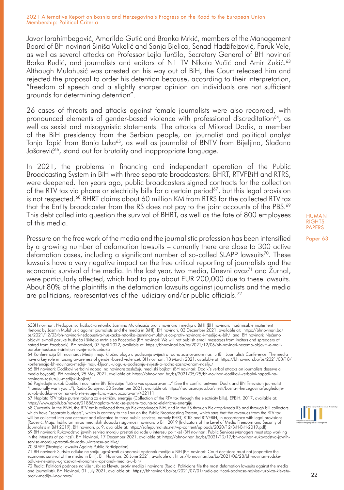Javor Ibrahimbegović, Amarildo Gutić and Branka Mrkić, members of the Management Board of BH novinari Siniša Vukelić and Sanja Bjelica, Senad Hadžifejzović, Faruk Vele, as well as several attacks on Professor Lejla Turčilo, Secretary General of BH novinari Borka Rudić, and journalists and editors of N1 TV Nikola Vučić and Amir Zukić.<sup>63</sup> Although Mulahusić was arrested on his way out of BiH, the Court released him and rejected the proposal to order his detention because, according to their interpretation, "freedom of speech and a slightly sharper opinion on individuals are not sufficient grounds for determining detention".

26 cases of threats and attacks against female journalists were also recorded, with pronounced elements of gender-based violence with professional discreditation<sup>64</sup>, as well as sexist and misogynistic statements. The attacks of Milorad Dodik, a member of the BiH presidency from the Serbian people, on journalist and political analyst Tanja Topić from Banja Luka<sup>65</sup>, as well as journalist of BNTV from Bijeljina, Slađana Jašarević<sup>66</sup>, stand out for brutality and inappropriate language.

In 2021, the problems in financing and independent operation of the Public Broadcasting System in BiH with three separate broadcasters: BHRT, RTVFBiH and RTRS, were deepened. Ten years ago, public broadcasters signed contracts for the collection of the RTV tax via phone or electricity bills for a certain period<sup>67</sup>, but this legal provision is not respected.68 BHRT claims about 60 million KM from RTRS for the collected RTV tax that the Entity broadcaster from the RS does not pay to the joint accounts of the PBS.<sup>69</sup> This debt called into question the survival of BHRT, as well as the fate of 800 employees of this media.

Pressure on the free work of the media and the journalistic profession has been intensified by a growing number of defamation lawsuits – currently there are close to 300 active defamation cases, including a significant number of so-called SLAPP lawsuits<sup>70</sup>. These lawsuits have a very negative impact on the free critical reporting of journalists and the economic survival of the media. In the last year, two media, Dnevni avaz<sup>71</sup> and Žurnal, were particularly affected, which had to pay about EUR 200,000 due to these lawsuits. About 80% of the plaintiffs in the defamation lawsuits against journalists and the media are politicians, representatives of the judiciary and/or public officials.<sup>72</sup>

media boycott!). BH novinari, 25 May 2021, available at: https://bhnovinari.ba/bs/2021/05/25/bh-novinari-dodikovi-verbalni-napadi-nanovinare-zasluzuju-medijski-bojkot/

66 Pogledajte sukob Dodika i novinarke BN Televizije: "Lično vas upozoravam..." (See the conflict between Dodik and BN Television journalist "I personally warn you..."). Radio Sarajevo, 30 September 2021, available at: https://radiosarajevo.ba/vijesti/bosna-i-hercegovina/pogledajtesukob-dodika-i-novinarke-bn-televizije-licno-vas-upozoravam/432111

67 Naplata RTV takse putem računa za električnu energiju (Collection of the RTV tax through the electricity bills). EPBiH, 2017, available at: https://www.epbih.ba/novost/21886/naplata-rtv-takse-putem-racuna-za-elektricnu-energiju

in the interests of politics!). BH Novinari, 17 December 2021, available at: https://bhnovinari.ba/bs/2021/12/17/bh-novinari-rukovodstva-javnihservisa-moraju-prestati-da-rade-u-interesu-politike/

70 SLAPP (Strategic Lawsuits Againts Public Participation)



odluke-ne-smiju-ugrozavati-ekonomski-opstanak-medija-u-bih/<br>72 Rudić: Političari podnose najviše tužbi za klevetu protiv medija i novinara (Rudić: Politicians file the most defamation lawsuits against the media and journalists). BH Novinari, 01 July 2021, available at: https://bhnovinari.ba/bs/2021/07/01/rudic-politicari-podnose-najvise-tuzbi-za-klevetuprotiv-medija-i-novinara/

#### HUMAN **RIGHTS** PAPERS



<sup>63</sup>BH novinari: Nedopustiva huškačka retorika Jasmina Mulahusića protiv novinara i medija u BiH! (BH novinari; Inadmissible incitement rhetoric by Jasmin Mulahusić against journalists and the media in BiH!). BH novinari, 03 December 2021, available at: https://bhnovinari.ba/ bs/2021/12/03/bh-novinari-nedopustiva-huskacka-retorika-jasmina-mulahusica-protiv-novinara-i-medija-u-bih/ and BH novinari: Nećemo objaviti e-mail poruke huškača i širitelja mržnje sa Faceboka (BH novinari: We will not publish email messages from inciters and spreaders of hatred from Facebook). BH novinari, 07 April 2022, available at: https://bhnovinari.ba/bs/2021/12/06/bh-novinari-necemo-objaviti-e-mailporuke-huskaca-i-siritelja-mrznje-sa-faceboka

<sup>64</sup> Konferencija BH novinara: Mediji imaju ključnu ulogu u podizanju svijesti o rodno zasnovanom nasilju (BH Journalists Conference: The media have a key role in raising awareness of gender-based violence). BH novinari, 18 March 2021, available at: https://bhnovinari.ba/bs/2021/03/18/ konferencija-bh-novinara-mediji-imaju-kljucnu-ulogu-u-podizanju-svijesti-o-rodno-zasnovanom-nasilju/<br>65 BH novinari: Dodikovi verbalni napadi na novinare zaslužuju medijski bojkot! (BH novinari: Dodik's verbal attacks on j

<sup>68</sup> Currently, in the FBiH, the RTV tax is collected through Elektroprivreda BiH, and in the RS through Elektroprivreda RS and through bill collectors, which have "separate budgets", which is contrary to the Law on the Public Broadcasting System, which says that the revenues from the RTV tax<br>will be collected into one account and allocated to three public services, namely (Radević, Maja. Indikatori nivoa medijskih sloboda i sigurnosti novinara u BiH 2019 (Indicators of the Level of Media Freedom and Security of Journalists in BiH 2019). BH novinari, p. 9, available at: https://safejournalists.net/wp-content/uploads/2020/12/BiH-BiH-2019.pdf) 69 BH novinari: Rukovodstva javnih servisa moraju prestati da rade u interesu politike! (BH novinari: Public Services Managers must stop working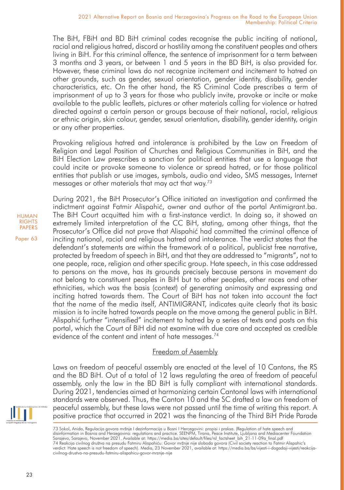The BiH, FBiH and BD BiH criminal codes recognise the public inciting of national, racial and religious hatred, discord or hostility among the constituent peoples and others living in BiH. For this criminal offence, the sentence of imprisonment for a term between 3 months and 3 years, or between 1 and 5 years in the BD BiH, is also provided for. However, these criminal laws do not recognize incitement and incitement to hatred on other grounds, such as gender, sexual orientation, gender identity, disability, gender characteristics, etc. On the other hand, the RS Criminal Code prescribes a term of imprisonment of up to 3 years for those who publicly invite, provoke or incite or make available to the public leaflets, pictures or other materials calling for violence or hatred directed against a certain person or groups because of their national, racial, religious or ethnic origin, skin colour, gender, sexual orientation, disability, gender identity, origin or any other properties.

Provoking religious hatred and intolerance is prohibited by the Law on Freedom of Religion and Legal Position of Churches and Religious Communities in BiH, and the BiH Election Law prescribes a sanction for political entities that use a language that could incite or provoke someone to violence or spread hatred, or for those political entities that publish or use images, symbols, audio and video, SMS messages, Internet messages or other materials that may act that way.73

During 2021, the BiH Prosecutor's Office initiated an investigation and confirmed the indictment against Fatmir Alispahić, owner and author of the portal Antimigrant.ba. The BiH Court acquitted him with a first-instance verdict. In doing so, it showed an extremely limited interpretation of the CC BiH, stating, among other things, that the Prosecutor's Office did not prove that Alispahić had committed the criminal offence of inciting national, racial and religious hatred and intolerance. The verdict states that the defendant's statements are within the framework of a political, publicist free narrative, protected by freedom of speech in BiH, and that they are addressed to "migrants", not to one people, race, religion and other specific group. Hate speech, in this case addressed to persons on the move, has its grounds precisely because persons in movement do not belong to constituent peoples in BiH but to other peoples, other races and other ethnicities, which was the basis (context) of generating animosity and expressing and inciting hatred towards them. The Court of BiH has not taken into account the fact that the name of the media itself, ANTIMIGRANT, indicates quite clearly that its basic mission is to incite hatred towards people on the move among the general public in BiH. Alispahić further "intensified" incitement to hatred by a series of texts and posts on this portal, which the Court of BiH did not examine with due care and accepted as credible evidence of the content and intent of hate messages.<sup>74</sup>

# Freedom of Assembly

Laws on freedom of peaceful assembly are enacted at the level of 10 Cantons, the RS and the BD BiH. Out of a total of 12 laws regulating the area of freedom of peaceful assembly, only the law in the BD BiH is fully compliant with international standards. During 2021, tendencies aimed at harmonizing certain Cantonal laws with international standards were observed. Thus, the Canton 10 and the SC drafted a law on freedom of peaceful assembly, but these laws were not passed until the time of writing this report. A positive practice that occurred in 2021 was the financing of the Third BiH Pride Parade

73 Sokol, Anida, Regulacija govora mržnje I dezinformacija u Bosni I Hercegovini: propisi i praksa. (Regulation of hate speech and<br>disinformation in Bosnia and Herzegovina: regulations and practice. SEENPM, Tirana, Peace I 74 Reakcija civilnog društva na presudu Fatmiru Alispahiću: Govor mržnje nije sloboda govora (Civil society reaction to Fatmir Alispahic's<br>verdict: Hate speech is not freedom of speech). Media, 23 November 2021, available civilnog-drustva-na-presudu-fatmiru-alispahicu-govor-mrznje-nije

HUMAN **RIGHTS** PAPERS

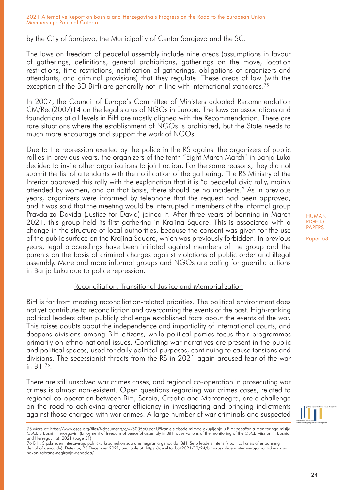by the City of Sarajevo, the Municipality of Centar Sarajevo and the SC.

The laws on freedom of peaceful assembly include nine areas (assumptions in favour of gatherings, definitions, general prohibitions, gatherings on the move, location restrictions, time restrictions, notification of gatherings, obligations of organizers and attendants, and criminal provisions) that they regulate. These areas of law (with the exception of the BD BiH) are generally not in line with international standards.<sup>75</sup>

In 2007, the Council of Europe's Committee of Ministers adopted Recommendation CM/Rec(2007)14 on the legal status of NGOs in Europe. The laws on associations and foundations at all levels in BiH are mostly aligned with the Recommendation. There are rare situations where the establishment of NGOs is prohibited, but the State needs to much more encourage and support the work of NGOs.

Due to the repression exerted by the police in the RS against the organizers of public rallies in previous years, the organizers of the tenth "Eight March March" in Banja Luka decided to invite other organizations to joint action. For the same reasons, they did not submit the list of attendants with the notification of the gathering. The RS Ministry of the Interior approved this rally with the explanation that it is "a peaceful civic rally, mainly attended by women, and on that basis, there should be no incidents." As in previous years, organizers were informed by telephone that the request had been approved, and it was said that the meeting would be interrupted if members of the informal group Pravda za Davida (Justice for David) joined it. After three years of banning in March 2021, this group held its first gathering in Krajina Square. This is associated with a change in the structure of local authorities, because the consent was given for the use of the public surface on the Krajina Square, which was previously forbidden. In previous years, legal proceedings have been initiated against members of the group and the parents on the basis of criminal charges against violations of public order and illegal assembly. More and more informal groups and NGOs are opting for guerrilla actions in Banja Luka due to police repression.

## Reconciliation, Transitional Justice and Memorialization

BiH is far from meeting reconciliation-related priorities. The political environment does not yet contribute to reconciliation and overcoming the events of the past. High-ranking political leaders often publicly challenge established facts about the events of the war. This raises doubts about the independence and impartiality of international courts, and deepens divisions among BiH citizens, while political parties focus their programmes primarily on ethno-national issues. Conflicting war narratives are present in the public and political spaces, used for daily political purposes, continuing to cause tensions and divisions. The secessionist threats from the RS in 2021 again aroused fear of the war in BiH76.

There are still unsolved war crimes cases, and regional co-operation in prosecuting war crimes is almost non-existent. Open questions regarding war crimes cases, related to regional co-operation between BiH, Serbia, Croatia and Montenegro, are a challenge on the road to achieving greater efficiency in investigating and bringing indictments against those charged with war crimes. A large number of war criminals and suspected



<sup>75</sup> More at: https://www.osce.org/files/f/documents/c/4/500560.pdf Uživanje slobode mirnog okupljanja u BiH: zapažanja monitoringa misije<br>OSCE u Bosni i Hercegovini (Enjoyment of freedom of peaceful assembly in BiH: observa and Herzegovina), 2021 (page 31)

<sup>76</sup> BiH: Srpski lideri intenziviraju političku krizu nakon zabrane negiranja genocida (BiH: Serb leaders intensify political crisis after banning denial of genocide). Detektor, 23 December 2021, available at: https://detektor.ba/2021/12/24/bih-srpski-lideri-intenziviraju-politicku-krizunakon-zabrane-negiranja-genocida/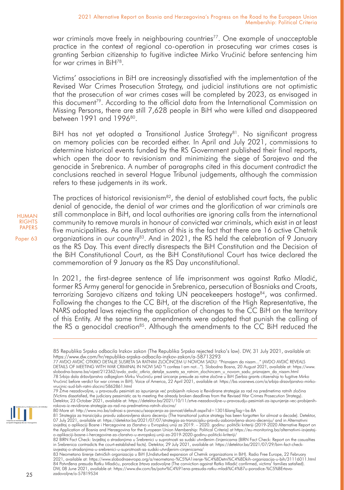war criminals move freely in neighbouring countries<sup>77</sup>. One example of unacceptable practice in the context of regional co-operation in prosecuting war crimes cases is granting Serbian citizenship to fugitive indictee Mirko Vrućinić before sentencing him for war crimes in BiH<sup>78</sup>

Victims' associations in BiH are increasingly dissatisfied with the implementation of the Revised War Crimes Prosecution Strategy, and judicial institutions are not optimistic that the prosecution of war crimes cases will be completed by 2023, as envisaged in this document79. According to the official data from the International Commission on Missing Persons, there are still 7,628 people in BiH who were killed and disappeared between 1991 and 1996<sup>80</sup>.

BiH has not yet adopted a Transitional Justice Strategy<sup>81</sup>. No significant progress on memory policies can be recorded either. In April and July 2021, commissions to determine historical events funded by the RS Government published their final reports, which open the door to revisionism and minimizing the siege of Sarajevo and the genocide in Srebrenica. A number of paragraphs cited in this document contradict the conclusions reached in several Hague Tribunal judgements, although the commission refers to these judgements in its work.

The practices of historical revisionism<sup>82</sup>, the denial of established court facts, the public denial of genocide, the denial of war crimes and the glorification of war criminals are still commonplace in BiH, and local authorities are ignoring calls from the international community to remove murals in honour of convicted war criminals, which exist in at least five municipalities. As one illustration of this is the fact that there are 16 active Chetnik organizations in our country<sup>83</sup>. And in 2021, the RS held the celebration of 9 January as the RS Day. This event directly disrespects the BiH Constitution and the Decision of the BiH Constitutional Court, as the BiH Constitutional Court has twice declared the commemoration of 9 January as the RS Day unconstitutional.

In 2021, the first-degree sentence of life imprisonment was against Ratko Mladić, former RS Army general for genocide in Srebrenica, persecution of Bosniaks and Croats, terrorizing Sarajevo citizens and taking UN peacekeepers hostage<sup>84</sup>, was confirmed. Following the changes to the CC BiH, at the discretion of the High Representative, the NARS adopted laws rejecting the application of changes to the CC BiH on the territory of this Entity. At the same time, amendments were adopted that punish the calling of the RS a genocidal creation<sup>85</sup>. Although the amendments to the CC BiH reduced the

<sup>85</sup> Republika Srpska odbacila Inzkov zakon (The Republika Srpska rejected Inzko's law). DW, 31 July 2021, available at: https://www.dw.com/hr/republika-srpska-odbacila-inzkov-zakon/a-58713293

<sup>77</sup> AVDO AVDIC OTKRIO DETALJE SUSRETA SA RATNIM ZLOCINCEM U NOVOM SADU: "Priznajem da nisam…" (AVDO AVDIC REVEALS<br>DETAILS OF MEETING WITH WAR CRIMINAL IN NOVI SAD "I confess I am not…"). Slobodna Bosna, 20 August 2021, avai slobodna-bosna.ba/vijest/212362/avdo\_avdic\_otkrio\_detalje\_susreta\_sa\_ratnim\_zlochincem\_u\_novom\_sadu\_priznajem\_da\_nisam.html<br>78 Srbija dala državljanstvo odbjeglom Mirku Vrućiniću pred izricanje presude za ratne zločine u B Vrućinić before verdict for war crimes in BiH). Voice of America, 22 April 2021, available at: https://ba.voanews.com/a/srbija-drzavljanstvo-mirkovrucinic-sud-bih-ratni-zlocini/5862861.html<br>79 Žrtve nezadovoljne, u pravosuđu pesimisti za ispunjenje već probijenih rokova iz Revidirane strategije za rad na predmetima ratnih zločina

<sup>(</sup>Victims dissatisfied, the judiciary pessimistic as to meeting the already broken deadlines from the Revised War Crimes Prosecution Strategy).<br>Detektor, 23 October 2021, available at: https://detektor.ba/2021/10/11/zrtve-n rokova-iz-revidirane-strategije-za-rad-na-predmetima-ratnih-zlocina/

<sup>80</sup> More at: http://www.ino.ba/odnosi-s-javnoscu/saopcenja-za-javnost/default.aspx?id=1301&langTag=bs-BA<br>81 Strategija za tranzicijsku pravdu zaboravljena skoro deceniju (The transitional justice strategy has been forgotten 07 July 2021, available at: https://detektor.ba/2021/07/07/strategija-za-tranzicijsku-pravdu-zaboravljena-skoro-deceniju/ and in Alternativni<br>izvještaj o aplikaciji Bosne i Hercegovine za članstvo u Evropskoj unij za 2010.

o-aplikaciji-bosne-i-hercegovine-za-clanstvo-u-evropskoj-uniji-za-2019-2020-godinu-politicki-kriteriji/<br>82 BIRN Fact Check: Izvještaj o stradanjima u Srebrenici u suprotnosti sa sudski utvrđenim činjenicama (BIRN Fact Chec in Srebrenica contradicts the court-established facts). Detektor, 29 July 2021, available at: https://detektor.ba/2021/07/29/birn-fact-checkizvjestaj-o-stradanjima-u-srebrenici-u-suprotnosti-sa-sudski-utvrdjenim-cinjenicama/

<sup>83</sup> Neometano širenje četničkih organizacija u BiH (Undisturbed expansion of Chetnik organizations in BiH). Radio Free Europe, 22 February 2021, available at: https://www.slobodnaevropa.org/a/neometano-%C5%A1irenje-%C4%8Detni%C4%8Dkih-organizacija-u-bih/31116011.html 84 Potvrđena presuda Ratku Mladiću, porodice žrtava zadovoljne (The conviction against Ratko Mladić confirmed, victims' families satisfied). DW, 08 June 2021, available at: https://www.dw.com/bs/potvr%C4%91ena-presuda-ratku-mladi%C4%87u-porodice-%C5%BErtavazadovoljne/a-57819534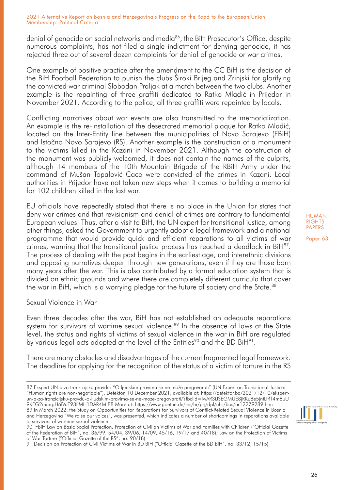denial of genocide on social networks and media86, the BiH Prosecutor's Office, despite numerous complaints, has not filed a single indictment for denying genocide, it has rejected three out of several dozen complaints for denial of genocide or war crimes.

One example of positive practice after the amendment to the CC BiH is the decision of the BiH Football Federation to punish the clubs Široki Brijeg and Zrinjski for glorifying the convicted war criminal Slobodan Praljak at a match between the two clubs. Another example is the repainting of three graffiti dedicated to Ratko Mladić in Prijedor in November 2021. According to the police, all three graffiti were repainted by locals.

Conflicting narratives about war events are also transmitted to the memorialization. An example is the re-installation of the desecrated memorial plaque for Ratko Mladić, located on the Inter-Entity line between the municipalities of Novo Sarajevo (FBiH) and Istočno Novo Sarajevo (RS). Another example is the construction of a monument to the victims killed in the Kazani in November 2021. Although the construction of the monument was publicly welcomed, it does not contain the names of the culprits, although 14 members of the 10th Mountain Brigade of the RBiH Army under the command of Mušan Topalović Caco were convicted of the crimes in Kazani. Local authorities in Prijedor have not taken new steps when it comes to building a memorial for 102 children killed in the last war.

EU officials have repeatedly stated that there is no place in the Union for states that deny war crimes and that revisionism and denial of crimes are contrary to fundamental European values. Thus, after a visit to BiH, the UN expert for transitional justice, among other things, asked the Government to urgently adopt a legal framework and a national programme that would provide quick and efficient reparations to all victims of war crimes, warning that the transitional justice process has reached a deadlock in  $BiH^{87}$ . The process of dealing with the past begins in the earliest age, and interethnic divisions and opposing narratives deepen through new generations, even if they are those born many years after the war. This is also contributed by a formal education system that is divided on ethnic grounds and where there are completely different curricula that cover the war in BiH, which is a worrying pledge for the future of society and the State.<sup>88</sup>

Sexual Violence in War

Even three decades after the war, BiH has not established an adequate reparations system for survivors of wartime sexual violence.<sup>89</sup> In the absence of laws at the State level, the status and rights of victims of sexual violence in the war in BiH are regulated by various legal acts adopted at the level of the Entities<sup>90</sup> and the BD BiH<sup>91</sup>.

There are many obstacles and disadvantages of the current fragmented legal framework. The deadline for applying for the recognition of the status of a victim of torture in the RS HUMAN RIGHTS PAPERS



<sup>87</sup> Ekspert UN-a za tranzicijsku pravdu: "O ljudskim pravima se ne može pregovarati" (UN Expert on Transitional Justice: "Human rights are non-negotiable"). Detektor, 10 December 2021, available at: https://detektor.ba/2021/12/10/ekspertun-a-za-tranzicijsku-pravdu-o-ljudskim-pravima-se-ne-moze-pregovarati/?fbclid=IwAR3iJSEGMUE8jRKu8e5jntLiRT4m8uU 9KEG2ipmrgH6lVaT93ftMH1DAR4M 88 More at: https://www.goethe.de/ins/hr/prj/dpl/nhs/bos/hr12279289.htm 89 In March 2022, the Study on Opportunities for Reparations for Survivors of Conflict-Related Sexual Violence in Bosnia and Herzegovina "We raise our voices", was presented, which indicates a number of shortcomings in reparations available to survivors of wartime sexual violence.

<sup>90</sup> FBiH Law on Basic Social Protection, Protection of Civilian Victims of War and Families with Children ("Official Gazette of the Federation of BiH", no. 36/99, 54/04, 39/06, 14/09, 45/16, 19/17 and 40/18); Law on the Protection of Victims of War Torture ("Official Gazette of the RS", no. 90/18)

<sup>91</sup> Decision on Protection of Civil Victims of War in BD BiH ("Official Gazette of the BD BiH", no. 33/12, 15/15)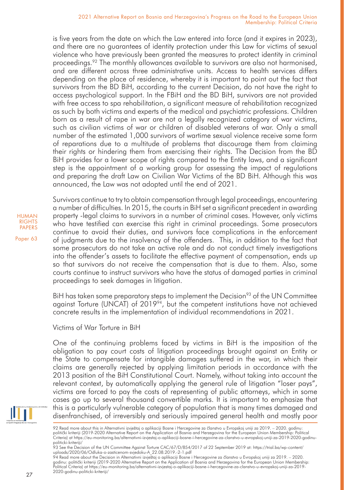is five years from the date on which the Law entered into force (and it expires in 2023), and there are no guarantees of identity protection under this Law for victims of sexual violence who have previously been granted the measures to protect identity in criminal proceedings.92 The monthly allowances available to survivors are also not harmonised, and are different across three administrative units. Access to health services differs depending on the place of residence, whereby it is important to point out the fact that survivors from the BD BiH, according to the current Decision, do not have the right to access psychological support. In the FBiH and the BD BiH, survivors are not provided with free access to spa rehabilitation, a significant measure of rehabilitation recognized as such by both victims and experts of the medical and psychiatric professions. Children born as a result of rape in war are not a legally recognized category of war victims, such as civilian victims of war or children of disabled veterans of war. Only a small number of the estimated 1,000 survivors of wartime sexual violence receive some form of reparations due to a multitude of problems that discourage them from claiming their rights or hindering them from exercising their rights. The Decision from the BD BiH provides for a lower scope of rights compared to the Entity laws, and a significant step is the appointment of a working group for assessing the impact of regulations and preparing the draft Law on Civilian War Victims of the BD BiH. Although this was announced, the Law was not adopted until the end of 2021.



Paper 63

Survivors continue to try to obtain compensation through legal proceedings, encountering a number of difficulties. In 2015, the courts in BiH set a significant precedent in awarding property -legal claims to survivors in a number of criminal cases. However, only victims who have testified can exercise this right in criminal proceedings. Some prosecutors continue to avoid their duties, and survivors face complications in the enforcement of judgments due to the insolvency of the offenders. This, in addition to the fact that some prosecutors do not take an active role and do not conduct timely investigations into the offender's assets to facilitate the effective payment of compensation, ends up so that survivors do not receive the compensation that is due to them. Also, some courts continue to instruct survivors who have the status of damaged parties in criminal proceedings to seek damages in litigation.

BiH has taken some preparatory steps to implement the Decision<sup>93</sup> of the UN Committee against Torture (UNCAT) of  $2019<sup>94</sup>$ , but the competent institutions have not achieved concrete results in the implementation of individual recommendations in 2021.

Victims of War Torture in BiH

One of the continuing problems faced by victims in BiH is the imposition of the obligation to pay court costs of litigation proceedings brought against an Entity or the State to compensate for intangible damages suffered in the war, in which their claims are generally rejected by applying limitation periods in accordance with the 2013 position of the BiH Constitutional Court. Namely, without taking into account the relevant context, by automatically applying the general rule of litigation "loser pays", victims are forced to pay the costs of representing of public attorneys, which in some cases go up to several thousand convertible marks. It is important to emphasize that this is a particularly vulnerable category of population that is many times damaged and disenfranchised, of irreversibly and seriously impaired general health and mostly poor

93 See the Decision of the UN Committee Against Torture CAC/67/D/854/2017 of 22 September 2019 at: https://trial.ba/wp-content/<br>uploads/2020/06/Odluka-o-zasticenom-svjedoku-A\_22.08.2019.-2-1.pdf

94 Read more about the Decision in Alternativni izvještaj o aplikaciji Bosne i Hercegovine za članstvo u Evropskoj uniji za 2019. – 2020. godinu: politički kriteriji (2019-2020 Alternative Report on the Application of Bosnia and Herzegovina for the European Union Membership: Political Criteria) at https://eu-monitoring.ba/alternativni-izvjestaj-o-aplikaciji-bosne-i-hercegovine-za-clanstvo-u-evropskoj-uniji-za-2019- 2020-godinu-politicki-kriteriji/

<sup>92</sup> Read more about this in Alternativni izvještaj o aplikaciji Bosne i Hercegovine za članstvo u Evropskoj uniji za 2019. – 2020. godinu: politički kriteriji (2019-2020 Alternative Report on the Application of Bosnia and Herzegovina for the European Union Membership: Political Criteria) at https://eu-monitoring.ba/alternativni-izvjestaj-o-aplikaciji-bosne-i-hercegovine-za-clanstvo-u-evropskoj-uniji-za-2019-2020-godinupoliticki-kriteriji/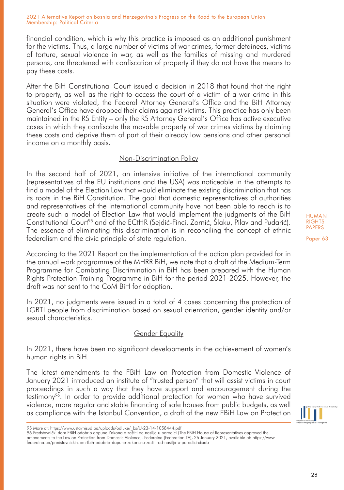financial condition, which is why this practice is imposed as an additional punishment for the victims. Thus, a large number of victims of war crimes, former detainees, victims of torture, sexual violence in war, as well as the families of missing and murdered persons, are threatened with confiscation of property if they do not have the means to pay these costs.

After the BiH Constitutional Court issued a decision in 2018 that found that the right to property, as well as the right to access the court of a victim of a war crime in this situation were violated, the Federal Attorney General's Office and the BiH Attorney General's Office have dropped their claims against victims. This practice has only been maintained in the RS Entity – only the RS Attorney General's Office has active executive cases in which they confiscate the movable property of war crimes victims by claiming these costs and deprive them of part of their already low pensions and other personal income on a monthly basis.

# Non-Discrimination Policy

In the second half of 2021, an intensive initiative of the international community (representatives of the EU institutions and the USA) was noticeable in the attempts to find a model of the Election Law that would eliminate the existing discrimination that has its roots in the BiH Constitution. The goal that domestic representatives of authorities and representatives of the international community have not been able to reach is to create such a model of Election Law that would implement the judgments of the BiH Constitutional Court<sup>95</sup> and of the ECtHR (Sejdić-Finci, Zornić, Šlaku, Pilav and Pudarić). The essence of eliminating this discrimination is in reconciling the concept of ethnic federalism and the civic principle of state regulation.

According to the 2021 Report on the implementation of the action plan provided for in the annual work programme of the MHRR BiH, we note that a draft of the Medium-Term Programme for Combating Discrimination in BiH has been prepared with the Human Rights Protection Training Programme in BiH for the period 2021-2025. However, the draft was not sent to the CoM BiH for adoption.

In 2021, no judgments were issued in a total of 4 cases concerning the protection of LGBTI people from discrimination based on sexual orientation, gender identity and/or sexual characteristics.

# Gender Equality

In 2021, there have been no significant developments in the achievement of women's human rights in BiH.

The latest amendments to the FBiH Law on Protection from Domestic Violence of January 2021 introduced an institute of "trusted person" that will assist victims in court proceedings in such a way that they have support and encouragement during the testimony<sup>96</sup>. In order to provide additional protection for women who have survived violence, more regular and stable financing of safe houses from public budgets, as well as compliance with the Istanbul Convention, a draft of the new FBiH Law on Protection

Paper 63

28

<sup>95</sup> More at: https://www.ustavnisud.ba/uploads/odluke/\_bs/U-23-14-1058444.pdf

<sup>96</sup> Predstavnički dom FBiH odobrio dopune Zakona o zaštiti od nasilja u porodici (The FBiH House of Representatives approved the amendments to the Law on Protection from Domestic Violence). Federalna (Federation TV), 26 January 2021, available at: https://www. federalna.ba/predstavnicki-dom-fbih-odobrio-dopune-zakona-o-zastiti-od-nasilja-u-porodici-xbxab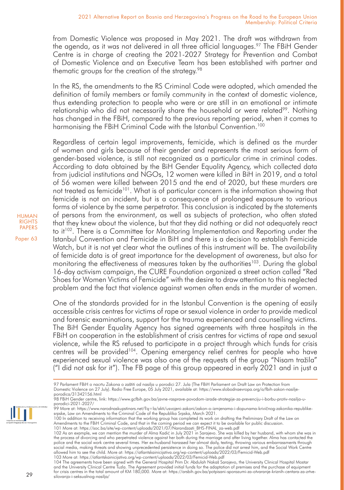from Domestic Violence was proposed in May 2021. The draft was withdrawn from the agenda, as it was not delivered in all three official languages.<sup>97</sup> The FBiH Gender Centre is in charge of creating the 2021-2027 Strategy for Prevention and Combat of Domestic Violence and an Executive Team has been established with partner and thematic groups for the creation of the strategy.<sup>98</sup>

In the RS, the amendments to the RS Criminal Code were adopted, which amended the definition of family members or family community in the context of domestic violence, thus extending protection to people who were or are still in an emotional or intimate relationship who did not necessarily share the household or were related<sup>99</sup>. Nothing has changed in the FBiH, compared to the previous reporting period, when it comes to harmonising the FBiH Criminal Code with the Istanbul Convention.<sup>100</sup>

Regardless of certain legal improvements, femicide, which is defined as the murder of women and girls because of their gender and represents the most serious form of gender-based violence, is still not recognized as a particular crime in criminal codes. According to data obtained by the BiH Gender Equality Agency, which collected data from judicial institutions and NGOs, 12 women were killed in BiH in 2019, and a total of 56 women were killed between 2015 and the end of 2020, but these murders are not treated as femicide<sup>101</sup>. What is of particular concern is the information showing that femicide is not an incident, but is a consequence of prolonged exposure to various forms of violence by the same perpetrator. This conclusion is indicated by the statements of persons from the environment, as well as subjects of protection, who often stated that they knew about the violence, but that they did nothing or did not adequately react to it<sup>102</sup>. There is a Committee for Monitoring Implementation and Reporting under the Istanbul Convention and Femicide in BiH and there is a decision to establish Femicide Watch, but it is not yet clear what the outlines of this instrument will be. The availability of femicide data is of great importance for the development of awareness, but also for monitoring the effectiveness of measures taken by the authorities<sup>103</sup>. During the global 16-day activism campaign, the CURE Foundation organized a street action called "Red Shoes for Women Victims of Femicide" with the desire to draw attention to this neglected problem and the fact that violence against women often ends in the murder of women.

One of the standards provided for in the Istanbul Convention is the opening of easily accessible crisis centres for victims of rape or sexual violence in order to provide medical and forensic examinations, support for the trauma experienced and counselling victims. The BiH Gender Equality Agency has signed agreements with three hospitals in the FBiH on cooperation in the establishment of crisis centres for victims of rape and sexual violence, while the RS refused to participate in a project through which funds for crisis centres will be provided<sup>104</sup>. Opening emergency relief centres for people who have experienced sexual violence was also one of the requests of the group "Nisam tražila" ("I did not ask for it"). The FB page of this group appeared in early 2021 and in just a





<sup>97</sup> Parlament FBiH o nacrtu Zakona o zaštiti od nasilja u porodici 27. Jula (The FBiH Parliament on Draft Law on Protection from Domestic Violence on 27 July). Radio Free Europe, 05 July 2021, available at: https://www.slobodnaevropa.org/a/fbih-zakon-nasiljeporodica/31342156.html

<sup>98</sup> FBiH Gender centre, link: https://www.gcfbih.gov.ba/javne-rasprave-povodom-izrade-strategije-za-prevenciju-i-borbu-protiv-nasilja-u-

porodici-2021-2027/<br>99 More at: https://www.narodnaskupstinars.net/?q=la/akti/usvojeni-zakoni/zakon-o-izmjenama-i-dopunama-krivičnog-zakonika-republikesrpske, Law on Amendments to the Criminal Code of the Republika Srpska, March 2021.

<sup>100</sup> In addition to receiving information that the working group has completed its work on drafting the Preliminary Draft of the Law on Amendments to the FBiH Criminal Code, and that in the coming period we can expect it to be available for public discussion.<br>101 More at: https://soc.ba/site/wp-content/uploads/2021/07/Narandzasti\_BHS-FINAL\_za-web.pdf

<sup>102</sup> As an example, we can mention the murder of Alma Kadić in July 2021 in Sarajevo. She was killed by her husband, with whom she was in the process of divorcing and who perpetrated violence against her both during the marriage and after living together. Alma has contacted the police and the social work centre several times. Her ex-husband harassed her almost daily, texting, throwing various embarrassments through social media, making threats and showing unprecedented persistence in doing so. The police did not arrest him, and the Social Work Centre allowed him to see the child. More at: https://atlantskainicijativa.org/wp-content/uploads/2022/03/Femicid-Web.pdf<br>103 More at: https://atlantskainicijativa.org/wp-content/uploads/2022/03/Femicid-Web.pdf

<sup>104</sup> The agreements have been signed with the General Hospital Prim Dr. Abdulah Nakaš Sarajevo, the University Clinical Hospital Mostar and the University Clinical Centre Tuzla. The Agreement provided initial funds for the adaptation of premises and the purchase of equipment for crisis centres in the total amount of KM 180,000. More at: https://arsbih.gov.ba/potpisani-sporazumi-za-otvaranje-kriznih-centara-za-zrtvesilovanja-i-seksualnog-nasilja/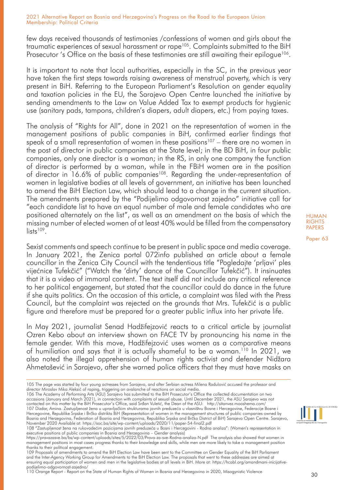few days received thousands of testimonies /confessions of women and girls about the traumatic experiences of sexual harassment or rape105. Complaints submitted to the BiH Prosecutor 's Office on the basis of these testimonies are still awaiting their epilogue<sup>106</sup>.

It is important to note that local authorities, especially in the SC, in the previous year have taken the first steps towards raising awareness of menstrual poverty, which is very present in BiH. Referring to the European Parliament's Resolution on gender equality and taxation policies in the EU, the Sarajevo Open Centre launched the initiative by sending amendments to the Law on Value Added Tax to exempt products for hygienic use (sanitary pads, tampons, children's diapers, adult diapers, etc.) from paying taxes.

The analysis of "Rights for All", done in 2021 on the representation of women in the management positions of public companies in BiH, confirmed earlier findings that speak of a small representation of women in these positions<sup>107</sup> – there are no women in the post of director in public companies at the State level; in the BD BiH, in four public companies, only one director is a woman; in the RS, in only one company the function of director is performed by a woman, while in the FBiH women are in the position of director in 16.6% of public companies<sup>108</sup>. Regarding the under-representation of women in legislative bodies at all levels of government, an initiative has been launched to amend the BiH Election Law, which should lead to a change in the current situation. The amendments prepared by the "Podijelimo odgovornost zajedno" initiative call for "each candidate list to have an equal number of male and female candidates who are positioned alternately on the list", as well as an amendment on the basis of which the missing number of elected women of at least 40% would be filled from the compensatory  $\frac{1}{1}$ lists<sup>109</sup>

Sexist comments and speech continue to be present in public space and media coverage. In January 2021, the Zenica portal 072info published an article about a female councillor in the Zenica City Council with the tendentious title "Pogledajte 'prljavi' ples vijećnice Tufekčić" ("Watch the 'dirty' dance of the Councillor Tufekčić"). It insinuates that it is a video of immoral content. The text itself did not include any critical reference to her political engagement, but stated that the councillor could do dance in the future if she quits politics. On the occasion of this article, a complaint was filed with the Press Council, but the complaint was rejected on the grounds that Mrs. Tufekčić is a public figure and therefore must be prepared for a greater public influx into her private life.

In May 2021, journalist Senad Hadžifejzović reacts to a critical article by journalist Ozren Kebo about an interview shown on FACE TV by pronouncing his name in the female gender. With this move, Hadžifejzović uses women as a comparative means of humiliation and says that it is actually shameful to be a woman.<sup>110</sup> In 2021, we also noted the illegal apprehension of human rights activist and defender Nidžara Ahmetašević in Sarajevo, after she warned police officers that they must have masks on

occasions (January and March 2021), in connection with complaints of sexual abuse. Until December 2021, the ASU Sarajevo was not<br>contacted on this matter by the BiH Prosecutor's Office, said Srđan Vuletić, the Dean of the 107 Dizdar, Amina. Zastupljenost žena u upravljačkim strukturama javnih preduzeća u vlasništvu Bosne i Hercegovine, Federacije Bosne i Hercegovine, Republike Srpske i Brčko distrikta BiH (Representation of women in the management structures of public companies owned by Bosnia and Herzegovina, Federation of Bosnia and Herzegovina, Republika Srpska and Brčko District of BiH) Sarajevo Open Centre. Sarajevo,

110 Orange Report - Report on the State of Human Rights of Women in Bosnia and Herzegovina in 2020, Misogynistic Violence



<sup>105</sup> The page was started by four young actresses from Sarajevo, and after Serbian actress Milena Radulović accused the professor and director Miroslav Mika Aleksić of raping, triggering an avalanche of reactions on social media.<br>106 The Academy of Performing Arts (ASU) Sarajevo has submitted to the BiH Prosecutor's Office the collected documentation on

November 2020 Available at: https://soc.ba/site/wp-content/uploads/2020/11/paper-54-final2.pdf<br>108 "Zastupljenost žena na rukovodećim pozicijama javnih preduzeća u Bosni i Hercegovini - Rodna analiza": (Women's representat executive positions of public companies in Bosnia and Herzegovina – Gender analysis)

https://pravazasve.ba/bs/wp-content/uploads/sites/5/2022/03/Prava-za-sve-Rodna-analiza-N.pdf The analysis also showed that women in management positions in most cases progress thanks to their knowledge and skills, while men are more likely to take a management position thanks to their political engagement.

<sup>109</sup> Proposals of amendments to amend the BiH Election Law have been sent to the Committee on Gender Equality of the BiH Parliament and the Inter-Agency Working Group for Amendments to the BiH Election Law. The proposals that went to these addresses are aimed at ensuring equal participation of women and men in the legislative bodies at all levels in BiH. More at: https://hcabl.org/amandmani-inicijativepodijelimo-odgovornost-zajedno/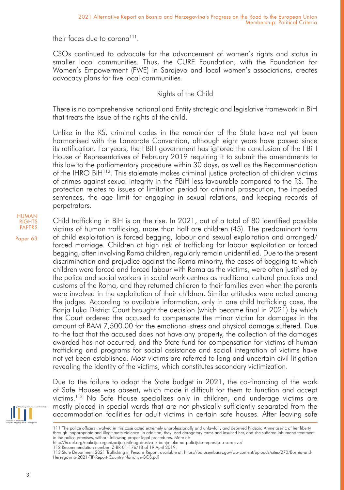their faces due to corona<sup>111</sup>.

CSOs continued to advocate for the advancement of women's rights and status in smaller local communities. Thus, the CURE Foundation, with the Foundation for Women's Empowerment (FWE) in Sarajevo and local women's associations, creates advocacy plans for five local communities.

# Rights of the Child

There is no comprehensive national and Entity strategic and legislative framework in BiH that treats the issue of the rights of the child.

Unlike in the RS, criminal codes in the remainder of the State have not yet been harmonised with the Lanzarote Convention, although eight years have passed since its ratification. For years, the FBiH government has ignored the conclusion of the FBiH House of Representatives of February 2019 requiring it to submit the amendments to this law to the parliamentary procedure within 30 days, as well as the Recommendation of the IHRO BiH<sup>112</sup>. This stalemate makes criminal justice protection of children victims of crimes against sexual integrity in the FBiH less favourable compared to the RS. The protection relates to issues of limitation period for criminal prosecution, the impeded sentences, the age limit for engaging in sexual relations, and keeping records of perpetrators.

HUMAN RIGHTS PAPERS

Paper 63

Child trafficking in BiH is on the rise. In 2021, out of a total of 80 identified possible victims of human trafficking, more than half are children (45). The predominant form of child exploitation is forced begging, labour and sexual exploitation and arranged/ forced marriage. Children at high risk of trafficking for labour exploitation or forced begging, often involving Roma children, regularly remain unidentified. Due to the present discrimination and prejudice against the Roma minority, the cases of begging to which children were forced and forced labour with Roma as the victims, were often justified by the police and social workers in social work centres as traditional cultural practices and customs of the Roma, and they returned children to their families even when the parents were involved in the exploitation of their children. Similar attitudes were noted among the judges. According to available information, only in one child trafficking case, the Banja Luka District Court brought the decision (which became final in 2021) by which the Court ordered the accused to compensate the minor victim for damages in the amount of BAM 7,500.00 for the emotional stress and physical damage suffered. Due to the fact that the accused does not have any property, the collection of the damages awarded has not occurred, and the State fund for compensation for victims of human trafficking and programs for social assistance and social integration of victims have not yet been established. Most victims are referred to long and uncertain civil litigation revealing the identity of the victims, which constitutes secondary victimization.

Due to the failure to adopt the State budget in 2021, the co-financing of the work of Safe Houses was absent, which made it difficult for them to function and accept victims.113 No Safe House specializes only in children, and underage victims are mostly placed in special wards that are not physically sufficiently separated from the accommodation facilities for adult victims in certain safe houses. After leaving safe



<sup>111</sup> The police officers involved in this case acted extremely unprofessionally and unlawfully and deprived Nidžara Ahmetašević of her liberty through inappropriate and illegitimate violence. In addition, they used derogatory terms and insulted her, and she suffered inhumane treatment in the police premises, without following proper legal procedures. More at:

http://hcabl.org/reakcija-organizacija-civilnog-drustva-iz-banje-luke-na-policijsku-represiju-u-sarajevu/

<sup>112</sup> Recommendation number: Ž-BR-01-176/18 of 19 April 2019.<br>113 State Department 2021 Trafficking in Persons Report, available at: https://ba.usembassy.gov/wp-content/uploads/sites/270/Bosnia-and-Herzegovina-2021-TIP-Report-Country-Narrative-BOS.pdf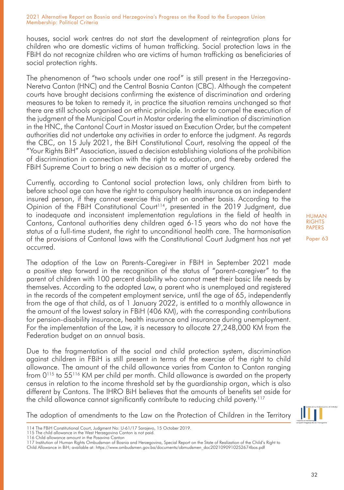houses, social work centres do not start the development of reintegration plans for children who are domestic victims of human trafficking. Social protection laws in the FBiH do not recognize children who are victims of human trafficking as beneficiaries of social protection rights.

The phenomenon of "two schools under one roof" is still present in the Herzegovina-Neretva Canton (HNC) and the Central Bosnia Canton (CBC). Although the competent courts have brought decisions confirming the existence of discrimination and ordering measures to be taken to remedy it, in practice the situation remains unchanged so that there are still schools organised on ethnic principle. In order to compel the execution of the judgment of the Municipal Court in Mostar ordering the elimination of discrimination in the HNC, the Cantonal Court in Mostar issued an Execution Order, but the competent authorities did not undertake any activities in order to enforce the judgment. As regards the CBC, on 15 July 2021, the BiH Constitutional Court, resolving the appeal of the "Your Rights BiH" Association, issued a decision establishing violations of the prohibition of discrimination in connection with the right to education, and thereby ordered the FBiH Supreme Court to bring a new decision as a matter of urgency.

Currently, according to Cantonal social protection laws, only children from birth to before school age can have the right to compulsory health insurance as an independent insured person, if they cannot exercise this right on another basis. According to the Opinion of the FBiH Constitutional Court<sup>114</sup>, presented in the 2019 Judgment, due to inadequate and inconsistent implementation regulations in the field of health in Cantons, Cantonal authorities deny children aged 6-15 years who do not have the status of a full-time student, the right to unconditional health care. The harmonisation of the provisions of Cantonal laws with the Constitutional Court Judgment has not yet occurred.

The adoption of the Law on Parents-Caregiver in FBiH in September 2021 made a positive step forward in the recognition of the status of "parent-caregiver" to the parent of children with 100 percent disability who cannot meet their basic life needs by themselves. According to the adopted Law, a parent who is unemployed and registered in the records of the competent employment service, until the age of 65, independently from the age of that child, as of 1 January 2022, is entitled to a monthly allowance in the amount of the lowest salary in FBiH (406 KM), with the corresponding contributions for pension-disability insurance, health insurance and insurance during unemployment. For the implementation of the Law, it is necessary to allocate 27,248,000 KM from the Federation budget on an annual basis.

Due to the fragmentation of the social and child protection system, discrimination against children in FBiH is still present in terms of the exercise of the right to child allowance. The amount of the child allowance varies from Canton to Canton ranging from 0<sup>115</sup> to 55<sup>116</sup> KM per child per month. Child allowance is awarded on the property census in relation to the income threshold set by the guardianship organ, which is also different by Cantons. The IHRO BiH believes that the amounts of benefits set aside for the child allowance cannot significantly contribute to reducing child poverty.<sup>117</sup>

The adoption of amendments to the Law on the Protection of Children in the Territory

Child Allowance in BiH; available at: https://www.ombudsmen.gov.ba/documents/obmudsmen\_doc2021090910252674bos.pdf

HUMAN **RIGHTS** PAPERS



<sup>114</sup> The FBiH Constitutional Court, Judgment No: U-61/17 Sarajevo, 15 October 2019.

<sup>115</sup> The child allowance in the West Herzegovina Canton is not paid.

<sup>116</sup> Child allowance amount in the Posavina Canton

<sup>117</sup> Institution of Human Rights Ombudsman of Bosnia and Herzegovina, Special Report on the State of Realization of the Child's Right to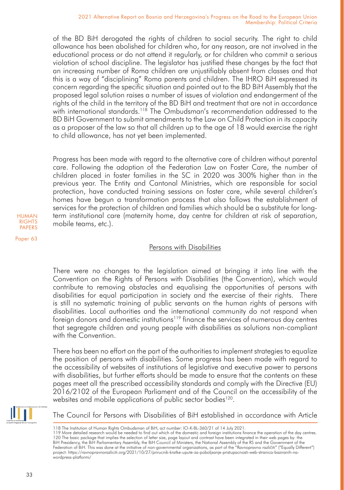of the BD BiH derogated the rights of children to social security. The right to child allowance has been abolished for children who, for any reason, are not involved in the educational process or do not attend it regularly, or for children who commit a serious violation of school discipline. The legislator has justified these changes by the fact that an increasing number of Roma children are unjustifiably absent from classes and that this is a way of "disciplining" Roma parents and children. The IHRO BiH expressed its concern regarding the specific situation and pointed out to the BD BiH Assembly that the proposed legal solution raises a number of issues of violation and endangerment of the rights of the child in the territory of the BD BiH and treatment that are not in accordance with international standards.<sup>118</sup> The Ombudsman's recommendation addressed to the BD BiH Government to submit amendments to the Law on Child Protection in its capacity as a proposer of the law so that all children up to the age of 18 would exercise the right to child allowance, has not yet been implemented.

Progress has been made with regard to the alternative care of children without parental care. Following the adoption of the Federation Law on Foster Care, the number of children placed in foster families in the SC in 2020 was 300% higher than in the previous year. The Entity and Cantonal Ministries, which are responsible for social protection, have conducted training sessions on foster care, while several children's homes have begun a transformation process that also follows the establishment of services for the protection of children and families which should be a substitute for longterm institutional care (maternity home, day centre for children at risk of separation, mobile teams, etc.).

# Persons with Disabilities

There were no changes to the legislation aimed at bringing it into line with the Convention on the Rights of Persons with Disabilities (the Convention), which would contribute to removing obstacles and equalising the opportunities of persons with disabilities for equal participation in society and the exercise of their rights. There is still no systematic training of public servants on the human rights of persons with disabilities. Local authorities and the international community do not respond when foreign donors and domestic institutions<sup>119</sup> finance the services of numerous day centres that segregate children and young people with disabilities as solutions non-compliant with the Convention.

There has been no effort on the part of the authorities to implement strategies to equalize the position of persons with disabilities. Some progress has been made with regard to the accessibility of websites of institutions of legislative and executive power to persons with disabilities, but further efforts should be made to ensure that the contents on these pages meet all the prescribed accessibility standards and comply with the Directive (EU) 2016/2102 of the European Parliament and of the Council on the accessibility of the websites and mobile applications of public sector bodies<sup>120</sup>.



The Council for Persons with Disabilities of BiH established in accordance with Article

HUMAN RIGHTS PAPERS

<sup>118</sup> The Institution of Human Rights Ombudsman of BiH, act number: IO-K-BL-360/21 of 14 July 2021.

<sup>119</sup> More detailed research would be needed to find out which of the domestic and foreign institutions finance the operation of the day centres. 120 The basic package that implies the selection of letter size, page layout and contrast have been integrated in their web pages by: the BiH Presidency, the BiH Parliamentary Assembly, the BiH Council of Ministers, the National Assembly of the RS and the Government of the<br>Federation of BiH. This was done at the initiative of non-governmental organizations, project: https://ravnopravnorazliciti.org/2021/10/27/prirucnik-kratke-upute-za-poboljsanje-pristupacnosti-web-stranica-baziranih-nawordpress-platformi/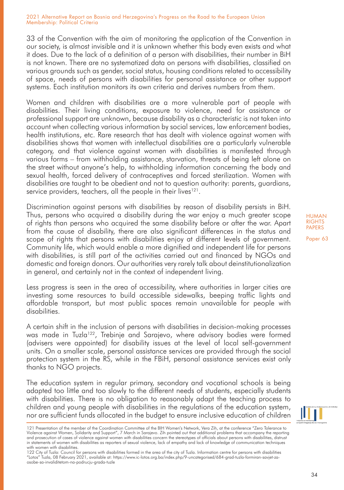33 of the Convention with the aim of monitoring the application of the Convention in our society, is almost invisible and it is unknown whether this body even exists and what it does. Due to the lack of a definition of a person with disabilities, their number in BiH is not known. There are no systematized data on persons with disabilities, classified on various grounds such as gender, social status, housing conditions related to accessibility of space, needs of persons with disabilities for personal assistance or other support systems. Each institution monitors its own criteria and derives numbers from them.

Women and children with disabilities are a more vulnerable part of people with disabilities. Their living conditions, exposure to violence, need for assistance or professional support are unknown, because disability as a characteristic is not taken into account when collecting various information by social services, law enforcement bodies, health institutions, etc. Rare research that has dealt with violence against women with disabilities shows that women with intellectual disabilities are a particularly vulnerable category, and that violence against women with disabilities is manifested through various forms – from withholding assistance, starvation, threats of being left alone on the street without anyone's help, to withholding information concerning the body and sexual health, forced delivery of contraceptives and forced sterilization. Women with disabilities are taught to be obedient and not to question authority: parents, guardians, service providers, teachers, all the people in their lives<sup>121</sup>.

Discrimination against persons with disabilities by reason of disability persists in BiH. Thus, persons who acquired a disability during the war enjoy a much greater scope of rights than persons who acquired the same disability before or after the war. Apart from the cause of disability, there are also significant differences in the status and scope of rights that persons with disabilities enjoy at different levels of government. Community life, which would enable a more dignified and independent life for persons with disabilities, is still part of the activities carried out and financed by NGOs and domestic and foreign donors. Our authorities very rarely talk about deinstitutionalization in general, and certainly not in the context of independent living.

Less progress is seen in the area of accessibility, where authorities in larger cities are investing some resources to build accessible sidewalks, beeping traffic lights and affordable transport, but most public spaces remain unavailable for people with disabilities.

A certain shift in the inclusion of persons with disabilities in decision-making processes was made in Tuzla<sup>122</sup>, Trebinje and Sarajevo, where advisory bodies were formed (advisers were appointed) for disability issues at the level of local self-government units. On a smaller scale, personal assistance services are provided through the social protection system in the RS, while in the FBiH, personal assistance services exist only thanks to NGO projects.

The education system in regular primary, secondary and vocational schools is being adapted too little and too slowly to the different needs of students, especially students with disabilities. There is no obligation to reasonably adapt the teaching process to children and young people with disabilities in the regulations of the education system, nor are sufficient funds allocated in the budget to ensure inclusive education of children HUMAN **RIGHTS** PAPERS



<sup>121</sup> Presentation of the member of the Coordination Committee of the BIH Women's Network, Vera Zih, at the conference "Zero Tolerance to Violence against Women, Solidarity and Support", 7 March in Sarajevo. Zih pointed out that additional problems that accompany the reporting and prosecution of cases of violence against women with disabilities concern the stereotypes of officials about persons with disabilities, distrust in statements of women with disabilities as reporters of sexual violence, lack of empathy and lack of knowledge of communication techniques with women with disabilities.

<sup>122</sup> City of Tuzla: Council for persons with disabilities formed in the area of the city of Tuzla. Information centre for persons with disabilities "Lotos" Tuzla, 08 February 2021, available at: https://www.ic-lotos.org.ba/index.php/9-uncategorised/684-grad-tuzla-formiran-savjet-zaosobe-sa-invaliditetom-na-podrucju-grada-tuzle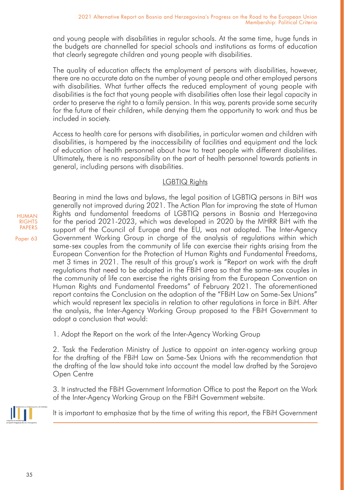and young people with disabilities in regular schools. At the same time, huge funds in the budgets are channelled for special schools and institutions as forms of education that clearly segregate children and young people with disabilities.

The quality of education affects the employment of persons with disabilities, however, there are no accurate data on the number of young people and other employed persons with disabilities. What further affects the reduced employment of young people with disabilities is the fact that young people with disabilities often lose their legal capacity in order to preserve the right to a family pension. In this way, parents provide some security for the future of their children, while denying them the opportunity to work and thus be included in society.

Access to health care for persons with disabilities, in particular women and children with disabilities, is hampered by the inaccessibility of facilities and equipment and the lack of education of health personnel about how to treat people with different disabilities. Ultimately, there is no responsibility on the part of health personnel towards patients in general, including persons with disabilities.

# LGBTIQ Rights

Bearing in mind the laws and bylaws, the legal position of LGBTIQ persons in BiH was generally not improved during 2021. The Action Plan for improving the state of Human Rights and fundamental freedoms of LGBTIQ persons in Bosnia and Herzegovina for the period 2021-2023, which was developed in 2020 by the MHRR BiH with the support of the Council of Europe and the EU, was not adopted. The Inter-Agency Government Working Group in charge of the analysis of regulations within which same-sex couples from the community of life can exercise their rights arising from the European Convention for the Protection of Human Rights and Fundamental Freedoms, met 3 times in 2021. The result of this group's work is "Report on work with the draft regulations that need to be adopted in the FBiH area so that the same-sex couples in the community of life can exercise the rights arising from the European Convention on Human Rights and Fundamental Freedoms" of February 2021. The aforementioned report contains the Conclusion on the adoption of the "FBiH Law on Same-Sex Unions" which would represent lex specialis in relation to other regulations in force in BiH. After the analysis, the Inter-Agency Working Group proposed to the FBiH Government to adopt a conclusion that would:

1. Adopt the Report on the work of the Inter-Agency Working Group

2. Task the Federation Ministry of Justice to appoint an inter-agency working group for the drafting of the FBiH Law on Same-Sex Unions with the recommendation that the drafting of the law should take into account the model law drafted by the Sarajevo Open Centre

3. It instructed the FBiH Government Information Office to post the Report on the Work of the Inter-Agency Working Group on the FBiH Government website.



It is important to emphasize that by the time of writing this report, the FBiH Government

HUMAN **RIGHTS** PAPERS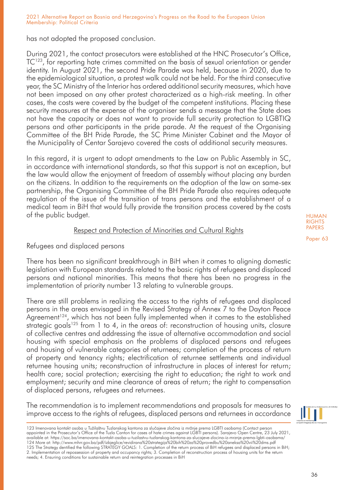has not adopted the proposed conclusion.

During 2021, the contact prosecutors were established at the HNC Prosecutor's Office,  $TC^{123}$ , for reporting hate crimes committed on the basis of sexual orientation or gender identity. In August 2021, the second Pride Parade was held, because in 2020, due to the epidemiological situation, a protest walk could not be held. For the third consecutive year, the SC Ministry of the Interior has ordered additional security measures, which have not been imposed on any other protest characterized as a high-risk meeting. In other cases, the costs were covered by the budget of the competent institutions. Placing these security measures at the expense of the organiser sends a message that the State does not have the capacity or does not want to provide full security protection to LGBTIQ persons and other participants in the pride parade. At the request of the Organising Committee of the BH Pride Parade, the SC Prime Minister Cabinet and the Mayor of the Municipality of Centar Sarajevo covered the costs of additional security measures.

In this regard, it is urgent to adopt amendments to the Law on Public Assembly in SC, in accordance with international standards, so that this support is not an exception, but the law would allow the enjoyment of freedom of assembly without placing any burden on the citizens. In addition to the requirements on the adoption of the law on same-sex partnership, the Organising Committee of the BH Pride Parade also requires adequate regulation of the issue of the transition of trans persons and the establishment of a medical team in BiH that would fully provide the transition process covered by the costs of the public budget.

### Respect and Protection of Minorities and Cultural Rights

## Refugees and displaced persons

There has been no significant breakthrough in BiH when it comes to aligning domestic legislation with European standards related to the basic rights of refugees and displaced persons and national minorities. This means that there has been no progress in the implementation of priority number 13 relating to vulnerable groups.

There are still problems in realizing the access to the rights of refugees and displaced persons in the areas envisaged in the Revised Strategy of Annex 7 to the Dayton Peace  $A$ greement<sup>124</sup>, which has not been fully implemented when it comes to the established strategic goals<sup>125</sup> from 1 to 4, in the areas of: reconstruction of housing units, closure of collective centres and addressing the issue of alternative accommodation and social housing with special emphasis on the problems of displaced persons and refugees and housing of vulnerable categories of returnees; completion of the process of return of property and tenancy rights; electrification of returnee settlements and individual returnee housing units; reconstruction of infrastructure in places of interest for return; health care; social protection; exercising the right to education; the right to work and employment; security and mine clearance of areas of return; the right to compensation of displaced persons, refugees and returnees.

The recommendation is to implement recommendations and proposals for measures to improve access to the rights of refugees, displaced persons and returnees in accordance

123 Imenovana kontakt osoba u Tužilaštvu Tuzlanskog kantona za slučajeve zločina iz mržnje prema LGBTI osobama (Contact person appointed in the Prosecutor's Office of the Tuzla Canton for cases of hate crimes against LGBTI persons). Sarajevo Open Centre, 23 July 2021, available at: https://soc.ba/imenovana-kontakt-osoba-u-tuzilastvu-tuzlanskog-kantona-za-slucajeve-zlocina-iz-mrznje-prema-lgbti-osobama/ 124 More at: http://www.mhrr.gov.ba/pdf/izbjeglice/revidirana%20strategija%20bih%20za%20provedbu%20aneksa%20vii%20dms.pdf 125 The Strategy dentified the following STRATEGY GOALS: 1. Completion of the return process of BiH refugees and displaced persons in BiH; 2. Implementation of repossession of property and occupancy rights; 3. Completion of reconstruction process of housing units for the return needs; 4. Ensuring conditions for sustainable return and reintegration processes in BiH

HUMAN **RIGHTS** PAPERS

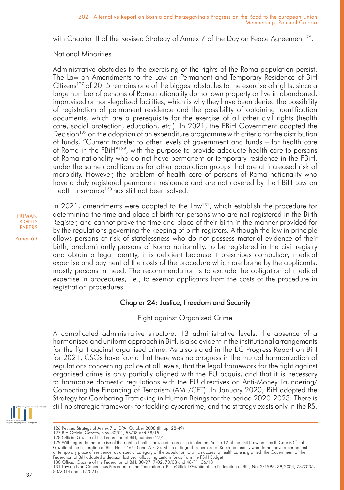with Chapter III of the Revised Strategy of Annex 7 of the Dayton Peace Agreement<sup>126</sup>.

# National Minorities

Administrative obstacles to the exercising of the rights of the Roma population persist. The Law on Amendments to the Law on Permanent and Temporary Residence of BiH Citizens<sup>127</sup> of 2015 remains one of the biggest obstacles to the exercise of rights, since a large number of persons of Roma nationality do not own property or live in abandoned, improvised or non-legalized facilities, which is why they have been denied the possibility of registration of permanent residence and the possibility of obtaining identification documents, which are a prerequisite for the exercise of all other civil rights (health care, social protection, education, etc.). In 2021, the FBiH Government adopted the Decision<sup>128</sup> on the adoption of an expenditure programme with criteria for the distribution of funds, "Current transfer to other levels of government and funds – for health care of Roma in the FBiH"129, with the purpose to provide adequate health care to persons of Roma nationality who do not have permanent or temporary residence in the FBiH, under the same conditions as for other population groups that are at increased risk of morbidity. However, the problem of health care of persons of Roma nationality who have a duly registered permanent residence and are not covered by the FBiH Law on Health Insurance<sup>130</sup> has still not been solved.

In 2021, amendments were adopted to the Law<sup>131</sup>, which establish the procedure for determining the time and place of birth for persons who are not registered in the Birth Register, and cannot prove the time and place of their birth in the manner provided for by the regulations governing the keeping of birth registers. Although the law in principle allows persons at risk of statelessness who do not possess material evidence of their birth, predominantly persons of Roma nationality, to be registered in the civil registry and obtain a legal identity, it is deficient because it prescribes compulsory medical expertise and payment of the costs of the procedure which are borne by the applicants, mostly persons in need. The recommendation is to exclude the obligation of medical expertise in procedures, i.e., to exempt applicants from the costs of the procedure in registration procedures.

# Chapter 24: Justice, Freedom and Security

# Fight against Organised Crime

A complicated administrative structure, 13 administrative levels, the absence of a harmonised and uniform approach in BiH, is also evident in the institutional arrangements for the fight against organised crime. As also stated in the EC Progress Report on BiH for 2021, CSOs have found that there was no progress in the mutual harmonization of regulations concerning police at all levels, that the legal framework for the fight against organised crime is only partially aligned with the EU acquis, and that it is necessary to harmonize domestic regulations with the EU directives on Anti-Money Laundering/ Combating the Financing of Terrorism (AML/CFT). In January 2020, BiH adopted the Strategy for Combating Trafficking in Human Beings for the period 2020-2023. There is still no strategic framework for tackling cybercrime, and the strategy exists only in the RS.



<sup>126</sup> Revised Strategy of Annex 7 of DPA, October 2008 (III, pp. 28-49)

HUMAN **RIGHTS** PAPERS Paper 63

<sup>127</sup> BiH Official Gazette, Nos. 32/01, 56/08 and 58/15

<sup>128</sup> Official Gazette of the Federation of BiH, number: 27/21

<sup>129</sup> With regard to the exercise of the right to health care, and in order to implement Article 12 of the FBiH Law on Health Care (Official Gazette of the Federation of BiH, Nos.: 46/10 and 75/13), which distinguishes persons of Roma nationality who do not have a permanent<br>or temporary place of residence, as a special category of the population to which access Federation of BiH adopted a decision last year allocating certain funds from the FBiH Budget

<sup>130</sup> Official Gazette of the Federation of BiH, 30/97, 7/02, 70/08 and 48/11, 36/18 131 Law on Non-Contentious Procedure of the Federation of BiH (Official Gazette of the Federation of BiH, No. 2/1998, 39/2004, 73/2005, 80/2014 and 11/2021)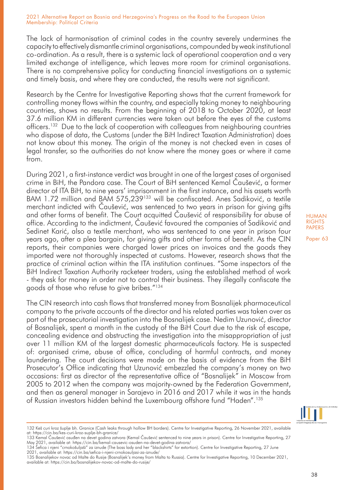The lack of harmonisation of criminal codes in the country severely undermines the capacity to effectively dismantle criminal organisations, compounded by weak institutional co-ordination. As a result, there is a systemic lack of operational cooperation and a very limited exchange of intelligence, which leaves more room for criminal organisations. There is no comprehensive policy for conducting financial investigations on a systemic and timely basis, and where they are conducted, the results were not significant.

Research by the Centre for Investigative Reporting shows that the current framework for controlling money flows within the country, and especially taking money to neighbouring countries, shows no results. From the beginning of 2018 to October 2020, at least 37.6 million KM in different currencies were taken out before the eyes of the customs officers.132 Due to the lack of cooperation with colleagues from neighbouring countries who dispose of data, the Customs (under the BiH Indirect Taxation Administration) does not know about this money. The origin of the money is not checked even in cases of legal transfer, so the authorities do not know where the money goes or where it came from.

During 2021, a first-instance verdict was brought in one of the largest cases of organised crime in BiH, the Pandora case. The Court of BiH sentenced Kemal Čaušević, a former director of ITA BiH, to nine years' imprisonment in the first instance, and his assets worth BAM 1.72 million and BAM 575,239<sup>133</sup> will be confiscated. Anes Sadiković, a textile merchant indicted with Čaušević, was sentenced to two years in prison for giving gifts and other forms of benefit. The Court acquitted Čaušević of responsibility for abuse of office. According to the indictment, Čaušević favoured the companies of Sadiković and Sedinet Karić, also a textile merchant, who was sentenced to one year in prison four years ago, after a plea bargain, for giving gifts and other forms of benefit. As the CIN reports, their companies were charged lower prices on invoices and the goods they imported were not thoroughly inspected at customs. However, research shows that the practice of criminal action within the ITA institution continues. "Some inspectors of the BiH Indirect Taxation Authority racketeer traders, using the established method of work - they ask for money in order not to control their business. They illegally confiscate the goods of those who refuse to give bribes."134

The CIN research into cash flows that transferred money from Bosnalijek pharmaceutical company to the private accounts of the director and his related parties was taken over as part of the prosecutorial investigation into the Bosnalijek case. Nedim Uzunović, director of Bosnalijek, spent a month in the custody of the BiH Court due to the risk of escape, concealing evidence and obstructing the investigation into the misappropriation of just over 11 million KM of the largest domestic pharmaceuticals factory. He is suspected of: organised crime, abuse of office, concluding of harmful contracts, and money laundering. The court decisions were made on the basis of evidence from the BiH Prosecutor's Office indicating that Uzunović embezzled the company's money on two occasions: first as director of the representative office of "Bosnalijek" in Moscow from 2005 to 2012 when the company was majority-owned by the Federation Government, and then as general manager in Sarajevo in 2016 and 2017 while it was in the hands of Russian investors hidden behind the Luxembourg offshore fund "Haden".<sup>135</sup>



<sup>132</sup> Keš curi kroz šuplje bh. Granice (Cash leaks through hollow BH borders). Centre for Investigative Reporting, 26 November 2021, available at: https://cin.ba/kes-curi-kroz-suplje-bh-granice/

HUMAN **RIGHTS** PAPERS

<sup>133</sup> Kemal Čaušević osuđen na devet godina zatvora (Kemal Čaušević sentenced to nine years in prison). Centre for Investigative Reporting, 27 May 2021, available at: https://cin.ba/kemal-causevic-osuden-na-devet-godina-zatvora/

<sup>134</sup> Šefica i njeni "crnokošuljaši" za iznude (The boss lady and her "blackshirts" for extortion). Centre for Investigative Reporting, 27 June 2021, available at: https://cin.ba/sefica-i-njeni-crnokosuljasi-za-iznude/

<sup>135</sup> Bosnalijekov novac od Malte do Rusije (Bosnalijek's money from Malta to Russia). Centre for Investigative Reporting, 10 December 2021, available at: https://cin.ba/bosnalijekov-novac-od-malte-do-rusije/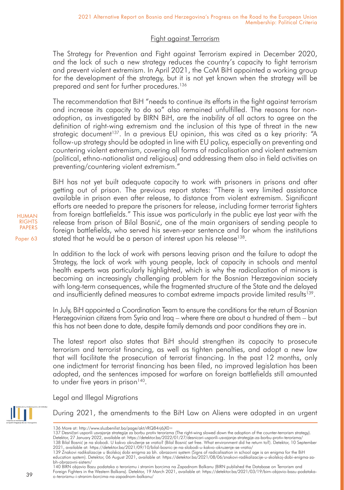# Fight against Terrorism

The Strategy for Prevention and Fight against Terrorism expired in December 2020, and the lack of such a new strategy reduces the country's capacity to fight terrorism and prevent violent extremism. In April 2021, the CoM BiH appointed a working group for the development of the strategy, but it is not yet known when the strategy will be prepared and sent for further procedures.136

The recommendation that BiH "needs to continue its efforts in the fight against terrorism and increase its capacity to do so" also remained unfulfilled. The reasons for nonadoption, as investigated by BIRN BiH, are the inability of all actors to agree on the definition of right-wing extremism and the inclusion of this type of threat in the new strategic document<sup>137</sup>. In a previous EU opinion, this was cited as a key priority: "A follow-up strategy should be adopted in line with EU policy, especially on preventing and countering violent extremism, covering all forms of radicalisation and violent extremism (political, ethno-nationalist and religious) and addressing them also in field activities on preventing/countering violent extremism."

BiH has not yet built adequate capacity to work with prisoners in prisons and after getting out of prison. The previous report states: "There is very limited assistance available in prison even after release, to distance from violent extremism. Significant efforts are needed to prepare the prisoners for release, including former terrorist fighters from foreign battlefields." This issue was particularly in the public eye last year with the release from prison of Bilal Bosnić, one of the main organisers of sending people to foreign battlefields, who served his seven-year sentence and for whom the institutions stated that he would be a person of interest upon his release<sup>138</sup>.

In addition to the lack of work with persons leaving prison and the failure to adopt the Strategy, the lack of work with young people, lack of capacity in schools and mental health experts was particularly highlighted, which is why the radicalization of minors is becoming an increasingly challenging problem for the Bosnian Herzegovinian society with long-term consequences, while the fragmented structure of the State and the delayed and insufficiently defined measures to combat extreme impacts provide limited results<sup>139</sup>.

In July, BiH appointed a Coordination Team to ensure the conditions for the return of Bosnian Herzegovinian citizens from Syria and Iraq – where there are about a hundred of them – but this has not been done to date, despite family demands and poor conditions they are in.

The latest report also states that BiH should strengthen its capacity to prosecute terrorism and terrorist financing, as well as tighten penalties, and adopt a new law that will facilitate the prosecution of terrorist financing. In the past 12 months, only one indictment for terrorist financing has been filed, no improved legislation has been adopted, and the sentences imposed for warfare on foreign battlefields still amounted to under five years in prison<sup>140</sup>.

Legal and Illegal Migrations



During 2021, the amendments to the BiH Law on Aliens were adopted in an urgent

HUMAN RIGHTS PAPERS

Paper 63

39

<sup>136</sup> More at: http://www.sluzbenilist.ba/page/akt/rRQ84rj6jX0=

<sup>137</sup> Desničari usporili usvajanje strategije za borbu protiv terorizma (The right-wing slowed down the adoption of the counter-terrorism strategy). Detektor, 27 January 2022, available at: https://detektor.ba/2022/01/27/desnicari-usporili-usvajanje-strategije-za-borbu-protiv-terorizma/ 138 Bilal Bosnić je na slobodi. U kakvo okruženje se vratio? (Bilal Bosnić set free. What environment did he return to?). Detektor, 10 September 2021, available at: https://detektor.ba/2021/09/10/bilal-bosnic-je-na-slobodi-u-kakvo-okruzenje-se-vratio/

<sup>139</sup> Znakovi radikalizacije u školskoj dobi enigma za bh. obrazovni system (Signs of radicalisation in school age is an enigma for the BiH education system). Detektor, 06 August 2021, available at: https://detektor.ba/2021/08/06/znakovi-radikalizacije-u-skolskoj-dobi-enigma-zabh-obrazovni-sistem/

<sup>140</sup> BIRN objavio Bazu podataka o terorizmu i stranim borcima na Zapadnom Balkanu (BIRN published the Database on Terrorism and Foreign Fighters in the Western Balkans). Detektor, 19 March 2021, available at: https://detektor.ba/2021/03/19/birn-objavio-bazu-podatakao-terorizmu-i-stranim-borcima-na-zapadnom-balkanu/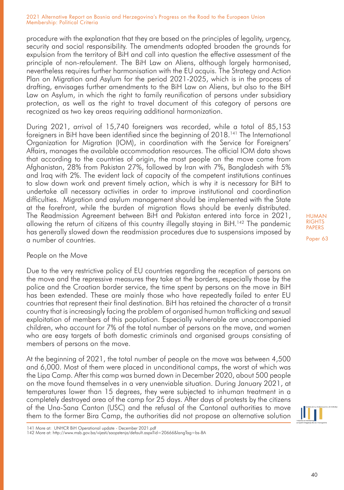procedure with the explanation that they are based on the principles of legality, urgency, security and social responsibility. The amendments adopted broaden the grounds for expulsion from the territory of BiH and call into question the effective assessment of the principle of non-refoulement. The BiH Law on Aliens, although largely harmonised, nevertheless requires further harmonisation with the EU acquis. The Strategy and Action Plan on Migration and Asylum for the period 2021-2025, which is in the process of drafting, envisages further amendments to the BiH Law on Aliens, but also to the BiH Law on Asylum, in which the right to family reunification of persons under subsidiary protection, as well as the right to travel document of this category of persons are recognized as two key areas requiring additional harmonization.

During 2021, arrival of 15,740 foreigners was recorded, while a total of 85,153 foreigners in BiH have been identified since the beginning of 2018.<sup>141</sup> The International Organization for Migration (IOM), in coordination with the Service for Foreigners' Affairs, manages the available accommodation resources. The official IOM data shows that according to the countries of origin, the most people on the move come from Afghanistan, 28% from Pakistan 27%, followed by Iran with 7%, Bangladesh with 5% and Iraq with 2%. The evident lack of capacity of the competent institutions continues to slow down work and prevent timely action, which is why it is necessary for BiH to undertake all necessary activities in order to improve institutional and coordination difficulties. Migration and asylum management should be implemented with the State at the forefront, while the burden of migration flows should be evenly distributed. The Readmission Agreement between BiH and Pakistan entered into force in 2021, allowing the return of citizens of this country illegally staying in BiH.<sup>142</sup> The pandemic has generally slowed down the readmission procedures due to suspensions imposed by a number of countries.

### People on the Move

Due to the very restrictive policy of EU countries regarding the reception of persons on the move and the repressive measures they take at the borders, especially those by the police and the Croatian border service, the time spent by persons on the move in BiH has been extended. These are mainly those who have repeatedly failed to enter EU countries that represent their final destination. BiH has retained the character of a transit country that is increasingly facing the problem of organised human trafficking and sexual exploitation of members of this population. Especially vulnerable are unaccompanied children, who account for 7% of the total number of persons on the move, and women who are easy targets of both domestic criminals and organised groups consisting of members of persons on the move.

At the beginning of 2021, the total number of people on the move was between 4,500 and 6,000. Most of them were placed in unconditional camps, the worst of which was the Lipa Camp. After this camp was burned down in December 2020, about 500 people on the move found themselves in a very unenviable situation. During January 2021, at temperatures lower than 15 degrees, they were subjected to inhuman treatment in a completely destroyed area of the camp for 25 days. After days of protests by the citizens of the Una-Sana Canton (USC) and the refusal of the Cantonal authorities to move them to the former Bira Camp, the authorities did not propose an alternative solution

HUMAN RIGHTS PAPERS



<sup>141</sup> More at: UNHCR BiH Operational update - December 2021.pdf

<sup>142</sup> More at: http://www.msb.gov.ba/vijesti/saopstenja/default.aspx?id=20666&langTag=bs-BA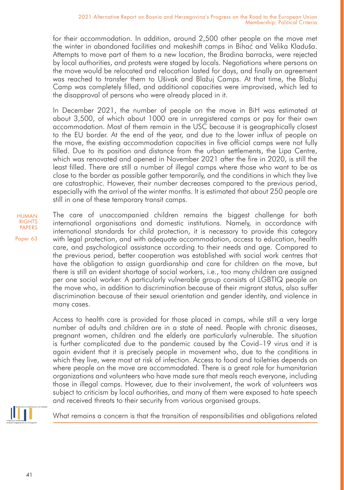for their accommodation. In addition, around 2,500 other people on the move met the winter in abandoned facilities and makeshift camps in Bihać and Velika Kladuša. Attempts to move part of them to a new location, the Bradina barracks, were rejected by local authorities, and protests were staged by locals. Negotiations where persons on the move would be relocated and relocation lasted for days, and finally an agreement was reached to transfer them to Ušivak and Blažuj Camps. At that time, the Blažuj Camp was completely filled, and additional capacities were improvised, which led to the disapproval of persons who were already placed in it.

In December 2021, the number of people on the move in BiH was estimated at about 3,500, of which about 1000 are in unregistered camps or pay for their own accommodation. Most of them remain in the USC because it is geographically closest to the EU border. At the end of the year, and due to the lower influx of people on the move, the existing accommodation capacities in five official camps were not fully filled. Due to its position and distance from the urban settlements, the Lipa Centre, which was renovated and opened in November 2021 after the fire in 2020, is still the least filled. There are still a number of illegal camps where those who want to be as close to the border as possible gather temporarily, and the conditions in which they live are catastrophic. However, their number decreases compared to the previous period, especially with the arrival of the winter months. It is estimated that about 250 people are still in one of these temporary transit camps.

HUMAN RIGHTS PAPERS

Paper 63

The care of unaccompanied children remains the biggest challenge for both international organisations and domestic institutions. Namely, in accordance with international standards for child protection, it is necessary to provide this category with legal protection, and with adequate accommodation, access to education, health care, and psychological assistance according to their needs and age. Compared to the previous period, better cooperation was established with social work centres that have the obligation to assign guardianship and care for children on the move, but there is still an evident shortage of social workers, i.e., too many children are assigned per one social worker. A particularly vulnerable group consists of LGBTIQ people on the move who, in addition to discrimination because of their migrant status, also suffer discrimination because of their sexual orientation and gender identity, and violence in many cases.

Access to health care is provided for those placed in camps, while still a very large number of adults and children are in a state of need. People with chronic diseases, pregnant women, children and the elderly are particularly vulnerable. The situation is further complicated due to the pandemic caused by the Covid–19 virus and it is again evident that it is precisely people in movement who, due to the conditions in which they live, were most at risk of infection. Access to food and toiletries depends on where people on the move are accommodated. There is a great role for humanitarian organizations and volunteers who have made sure that meals reach everyone, including those in illegal camps. However, due to their involvement, the work of volunteers was subject to criticism by local authorities, and many of them were exposed to hate speech and received threats to their security from various organised groups.



What remains a concern is that the transition of responsibilities and obligations related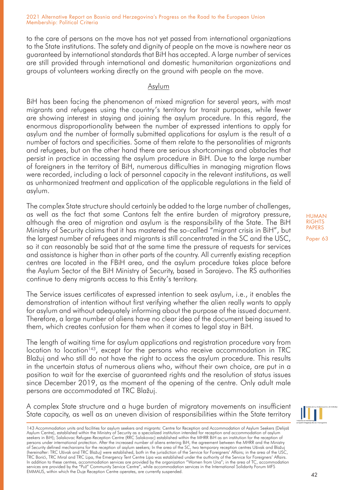to the care of persons on the move has not yet passed from international organizations to the State institutions. The safety and dignity of people on the move is nowhere near as guaranteed by international standards that BiH has accepted. A large number of services are still provided through international and domestic humanitarian organizations and groups of volunteers working directly on the ground with people on the move.

## Asylum

BiH has been facing the phenomenon of mixed migration for several years, with most migrants and refugees using the country's territory for transit purposes, while fewer are showing interest in staying and joining the asylum procedure. In this regard, the enormous disproportionality between the number of expressed intentions to apply for asylum and the number of formally submitted applications for asylum is the result of a number of factors and specificities. Some of them relate to the personalities of migrants and refugees, but on the other hand there are serious shortcomings and obstacles that persist in practice in accessing the asylum procedure in BiH. Due to the large number of foreigners in the territory of BiH, numerous difficulties in managing migration flows were recorded, including a lack of personnel capacity in the relevant institutions, as well as unharmonized treatment and application of the applicable regulations in the field of asylum.

The complex State structure should certainly be added to the large number of challenges, as well as the fact that some Cantons felt the entire burden of migratory pressure, although the area of migration and asylum is the responsibility of the State. The BiH Ministry of Security claims that it has mastered the so-called "migrant crisis in BiH", but the largest number of refugees and migrants is still concentrated in the SC and the USC, so it can reasonably be said that at the same time the pressure of requests for services and assistance is higher than in other parts of the country. All currently existing reception centres are located in the FBiH area, and the asylum procedure takes place before the Asylum Sector of the BiH Ministry of Security, based in Sarajevo. The RS authorities continue to deny migrants access to this Entity's territory.

The Service issues certificates of expressed intention to seek asylum, i.e., it enables the demonstration of intention without first verifying whether the alien really wants to apply for asylum and without adequately informing about the purpose of the issued document. Therefore, a large number of aliens have no clear idea of the document being issued to them, which creates confusion for them when it comes to legal stay in BiH.

The length of waiting time for asylum applications and registration procedure vary from location to location<sup>143</sup>, except for the persons who receive accommodation in TRC Blažuj and who still do not have the right to access the asylum procedure. This results in the uncertain status of numerous aliens who, without their own choice, are put in a position to wait for the exercise of guaranteed rights and the resolution of status issues since December 2019, as the moment of the opening of the centre. Only adult male persons are accommodated at TRC Blažuj.

A complex State structure and a huge burden of migratory movements on insufficient State capacity, as well as an uneven division of responsibilities within the State territory HUMAN **RIGHTS** PAPERS



<sup>143</sup> Accommodation units and facilities for asylum seekers and migrants: Centre for Reception and Accommodation of Asylum Seekers (Delijaš Asylum Centre), established within the Ministry of Security as a specialized institution intended for reception and accommodation of asylum seekers in BiH); Salakovac Refugee-Reception Centre (RRC Salakovac) established within the MHRR BiH as an institution for the reception of persons under international protection. After the increased number of aliens entering BiH, the agreement between the MHRR and the Ministry<br>of Security defined mechanisms for the reception of asylum seekers; In the area of TRC Borići, TRC Miral and TRC Lipa, the Emergency Tent Centre Lipa was established under the authority of the Service for Foreigners' Affairs. In addition to these centres, accommodation services are provided by the organization "Women from Una"; in the area of TC, accommodation services are provided by the "Puž" Community Service Centre", while accommodation services in the International Solidarity Forum MFS EMMAUS, within which the Duje Reception Centre operates, are currently suspended.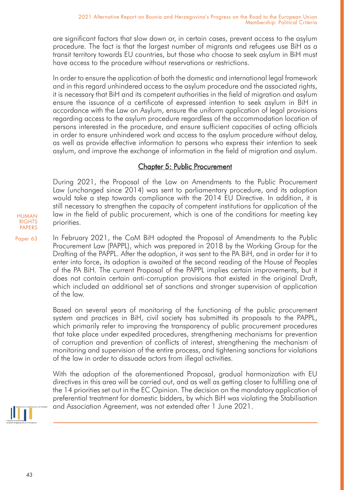are significant factors that slow down or, in certain cases, prevent access to the asylum procedure. The fact is that the largest number of migrants and refugees use BiH as a transit territory towards EU countries, but those who choose to seek asylum in BiH must have access to the procedure without reservations or restrictions.

In order to ensure the application of both the domestic and international legal framework and in this regard unhindered access to the asylum procedure and the associated rights, it is necessary that BiH and its competent authorities in the field of migration and asylum ensure the issuance of a certificate of expressed intention to seek asylum in BiH in accordance with the Law on Asylum, ensure the uniform application of legal provisions regarding access to the asylum procedure regardless of the accommodation location of persons interested in the procedure, and ensure sufficient capacities of acting officials in order to ensure unhindered work and access to the asylum procedure without delay, as well as provide effective information to persons who express their intention to seek asylum, and improve the exchange of information in the field of migration and asylum.

# Chapter 5: Public Procurement

During 2021, the Proposal of the Law on Amendments to the Public Procurement Law (unchanged since 2014) was sent to parliamentary procedure, and its adoption would take a step towards compliance with the 2014 EU Directive. In addition, it is still necessary to strengthen the capacity of competent institutions for application of the law in the field of public procurement, which is one of the conditions for meeting key priorities.

Paper 63 In February 2021, the CoM BiH adopted the Proposal of Amendments to the Public Procurement Law (PAPPL), which was prepared in 2018 by the Working Group for the Drafting of the PAPPL. After the adoption, it was sent to the PA BiH, and in order for it to enter into force, its adoption is awaited at the second reading of the House of Peoples of the PA BiH. The current Proposal of the PAPPL implies certain improvements, but it does not contain certain anti-corruption provisions that existed in the original Draft, which included an additional set of sanctions and stronger supervision of application of the law.

> Based on several years of monitoring of the functioning of the public procurement system and practices in BiH, civil society has submitted its proposals to the PAPPL, which primarily refer to improving the transparency of public procurement procedures that take place under expedited procedures, strengthening mechanisms for prevention of corruption and prevention of conflicts of interest, strengthening the mechanism of monitoring and supervision of the entire process, and tightening sanctions for violations of the law in order to dissuade actors from illegal activities.

> With the adoption of the aforementioned Proposal, gradual harmonization with EU directives in this area will be carried out, and as well as getting closer to fulfilling one of the 14 priorities set out in the EC Opinion. The decision on the mandatory application of preferential treatment for domestic bidders, by which BiH was violating the Stabilisation and Association Agreement, was not extended after 1 June 2021.



HUMAN RIGHTS PAPERS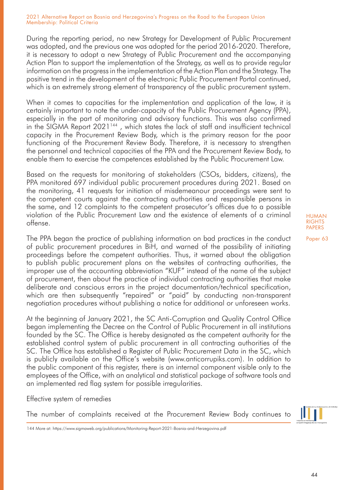During the reporting period, no new Strategy for Development of Public Procurement was adopted, and the previous one was adopted for the period 2016-2020. Therefore, it is necessary to adopt a new Strategy of Public Procurement and the accompanying Action Plan to support the implementation of the Strategy, as well as to provide regular information on the progress in the implementation of the Action Plan and the Strategy. The positive trend in the development of the electronic Public Procurement Portal continued, which is an extremely strong element of transparency of the public procurement system.

When it comes to capacities for the implementation and application of the law, it is certainly important to note the under-capacity of the Public Procurement Agency (PPA), especially in the part of monitoring and advisory functions. This was also confirmed in the SIGMA Report 2021<sup>144</sup>, which states the lack of staff and insufficient technical capacity in the Procurement Review Body, which is the primary reason for the poor functioning of the Procurement Review Body. Therefore, it is necessary to strengthen the personnel and technical capacities of the PPA and the Procurement Review Body, to enable them to exercise the competences established by the Public Procurement Law.

Based on the requests for monitoring of stakeholders (CSOs, bidders, citizens), the PPA monitored 697 individual public procurement procedures during 2021. Based on the monitoring, 41 requests for initiation of misdemeanour proceedings were sent to the competent courts against the contracting authorities and responsible persons in the same, and 12 complaints to the competent prosecutor's offices due to a possible violation of the Public Procurement Law and the existence of elements of a criminal offense.

The PPA began the practice of publishing information on bad practices in the conduct of public procurement procedures in BiH, and warned of the possibility of initiating proceedings before the competent authorities. Thus, it warned about the obligation to publish public procurement plans on the websites of contracting authorities, the improper use of the accounting abbreviation "KUF" instead of the name of the subject of procurement, then about the practice of individual contracting authorities that make deliberate and conscious errors in the project documentation/technical specification, which are then subsequently "repaired" or "paid" by conducting non-transparent negotiation procedures without publishing a notice for additional or unforeseen works.

At the beginning of January 2021, the SC Anti-Corruption and Quality Control Office began implementing the Decree on the Control of Public Procurement in all institutions founded by the SC. The Office is hereby designated as the competent authority for the established control system of public procurement in all contracting authorities of the SC. The Office has established a Register of Public Procurement Data in the SC, which is publicly available on the Office's website (www.anticorrupiks.com). In addition to the public component of this register, there is an internal component visible only to the employees of the Office, with an analytical and statistical package of software tools and an implemented red flag system for possible irregularities.

Effective system of remedies

The number of complaints received at the Procurement Review Body continues to



144 More at: https://www.sigmaweb.org/publications/Monitoring-Report-2021-Bosnia-and-Herzegovina.pdf

HUMAN RIGHTS **PAPERS**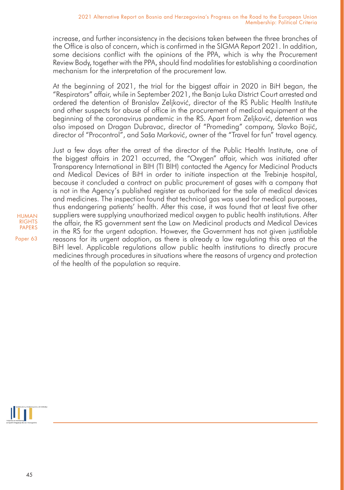increase, and further inconsistency in the decisions taken between the three branches of the Office is also of concern, which is confirmed in the SIGMA Report 2021. In addition, some decisions conflict with the opinions of the PPA, which is why the Procurement Review Body, together with the PPA, should find modalities for establishing a coordination mechanism for the interpretation of the procurement law.

At the beginning of 2021, the trial for the biggest affair in 2020 in BiH began, the "Respirators" affair, while in September 2021, the Banja Luka District Court arrested and ordered the detention of Branislav Zeljković, director of the RS Public Health Institute and other suspects for abuse of office in the procurement of medical equipment at the beginning of the coronavirus pandemic in the RS. Apart from Zeljković, detention was also imposed on Dragan Dubravac, director of "Promeding" company, Slavko Bojić, director of "Procontrol", and Saša Marković, owner of the "Travel for fun" travel agency.

Just a few days after the arrest of the director of the Public Health Institute, one of the biggest affairs in 2021 occurred, the "Oxygen" affair, which was initiated after Transparency International in BIH (TI BIH) contacted the Agency for Medicinal Products and Medical Devices of BiH in order to initiate inspection at the Trebinje hospital, because it concluded a contract on public procurement of gases with a company that is not in the Agency's published register as authorized for the sale of medical devices and medicines. The inspection found that technical gas was used for medical purposes, thus endangering patients' health. After this case, it was found that at least five other suppliers were supplying unauthorized medical oxygen to public health institutions. After the affair, the RS government sent the Law on Medicinal products and Medical Devices in the RS for the urgent adoption. However, the Government has not given justifiable reasons for its urgent adoption, as there is already a law regulating this area at the BiH level. Applicable regulations allow public health institutions to directly procure medicines through procedures in situations where the reasons of urgency and protection of the health of the population so require.



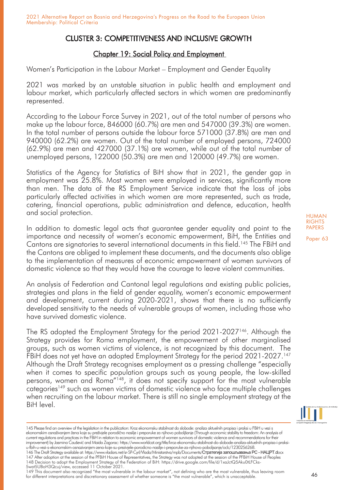# CLUSTER 3: COMPETITIVENESS AND INCLUSIVE GROWTH

# Chapter 19: Social Policy and Employment

Women's Participation in the Labour Market – Employment and Gender Equality

2021 was marked by an unstable situation in public health and employment and labour market, which particularly affected sectors in which women are predominantly represented.

According to the Labour Force Survey in 2021, out of the total number of persons who make up the labour force, 846000 (60.7%) are men and 547000 (39.3%) are women. In the total number of persons outside the labour force 571000 (37.8%) are men and 940000 (62.2%) are women. Out of the total number of employed persons, 724000 (62.9%) are men and 427000 (37.1%) are women, while out of the total number of unemployed persons, 122000 (50.3%) are men and 120000 (49.7%) are women.

Statistics of the Agency for Statistics of BiH show that in 2021, the gender gap in employment was 25.8%. Most women were employed in services, significantly more than men. The data of the RS Employment Service indicate that the loss of jobs particularly affected activities in which women are more represented, such as trade, catering, financial operations, public administration and defence, education, health and social protection.

In addition to domestic legal acts that guarantee gender equality and point to the importance and necessity of women's economic empowerment, BiH, the Entities and Cantons are signatories to several international documents in this field.145 The FBiH and the Cantons are obliged to implement these documents, and the documents also oblige to the implementation of measures of economic empowerment of women survivors of domestic violence so that they would have the courage to leave violent communities.

An analysis of Federation and Cantonal legal regulations and existing public policies, strategies and plans in the field of gender equality, women's economic empowerment and development, current during 2020-2021, shows that there is no sufficiently developed sensitivity to the needs of vulnerable groups of women, including those who have survived domestic violence.

The RS adopted the Employment Strategy for the period 2021-2027<sup>146</sup>. Although the Strategy provides for Roma employment, the empowerment of other marginalised groups, such as women victims of violence, is not recognized by this document. The FBiH does not yet have an adopted Employment Strategy for the period 2021-2027.<sup>147</sup> Although the Draft Strategy recognises employment as a pressing challenge "especially when it comes to specific population groups such as young people, the low-skilled persons, women and Roma"148, it does not specify support for the most vulnerable categories<sup>149</sup> such as women victims of domestic violence who face multiple challenges when recruiting on the labour market. There is still no single employment strategy at the BiH level.



HUMAN **RIGHTS** PAPERS Paper 63

u-fbih-u-vezi-s-ekonomskim-osnazivanjem-zena-koje-su-prezivjele-porodicno-nasilje-i-preporuke-za-njihovo-poboljsanje/oclc/1230256268.<br>146 The Draft Strategy available at: https://www.vladars.net/sr-SP-Cyrl/Mada/Ministarst 147 After adoption at the session of the PFBiH House of Representatives, the Strategy was not adopted at the session of the PFBiH House of Peoples<br>148 Decision to adopt the Employment Strategy of the Federation of BiH: htt 5wat5UBoH3Qcuj/view, accessed 11 October 2021.

<sup>145</sup> Please find an overview of the legislation in the publication: Kroz ekonomsku stabilnost do slobode: analiza aktuelnih propisa i praksi u FBiH u vezi s ekonomskim osnaživanjem žena koje su preživjele porodično nasilje i preporuke za njihovo poboljšanje (Through economic stability to freedom: An analysis of current regulations and practices in the FBiH in relation to economic empowerment of women survivors of domestic violence and recommendations for their improvement) by Jasmina Ćaušević and Maida Zagorac: https://www.worldcat.org/title/kroz-ekonomsku-stabilnost-do-slobode-analiza-aktuelnih-propisa-i-praksi-

<sup>149</sup> This document also recognized "the most vulnerable in the labour market", not defining who are the most vulnerable, thus leaving room for different interpretations and discretionary assessment of whether someone is "the most vulnerable", which is unacceptable.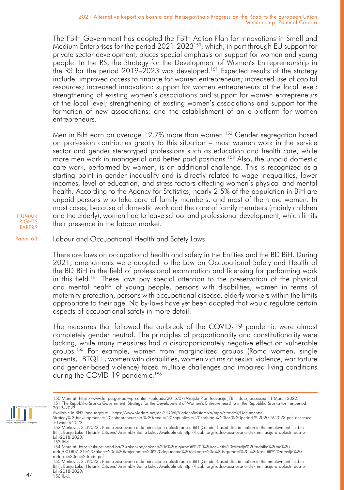The FBiH Government has adopted the FBiH Action Plan for Innovations in Small and Medium Enterprises for the period 2021-2023<sup>150</sup>, which, in part through EU support for private sector development, places special emphasis on support for women and young people. In the RS, the Strategy for the Development of Women's Entrepreneurship in the RS for the period 2019–2023 was developed.<sup>151</sup> Expected results of the strategy include: improved access to finance for women entrepreneurs; increased use of capital resources; increased innovation; support for women entrepreneurs at the local level; strengthening of existing women's associations and support for women entrepreneurs at the local level; strengthening of existing women's associations and support for the formation of new associations; and the establishment of an e-platform for women entrepreneurs.

Men in BiH earn on average 12.7% more than women.<sup>152</sup> Gender segregation based on profession contributes greatly to this situation – most women work in the service sector and gender stereotyped professions such as education and health care, while more men work in managerial and better paid positions.<sup>153</sup> Also, the unpaid domestic care work, performed by women, is an additional challenge. This is recognized as a starting point in gender inequality and is directly related to wage inequalities, lower incomes, level of education, and stress factors affecting women's physical and mental health. According to the Agency for Statistics, nearly 2.5% of the population in BiH are unpaid persons who take care of family members, and most of them are women. In most cases, because of domestic work and the care of family members (mainly children and the elderly), women had to leave school and professional development, which limits their presence in the labour market.

HUMAN RIGHTS PAPERS

Paper 63 Labour and Occupational Health and Safety Laws

> There are laws on occupational health and safety in the Entities and the BD BiH. During 2021, amendments were adopted to the Law on Occupational Safety and Health of the BD BiH in the field of professional examination and licensing for performing work in this field.154 These laws pay special attention to the preservation of the physical and mental health of young people, persons with disabilities, women in terms of maternity protection, persons with occupational disease, elderly workers within the limits appropriate to their age. No by-laws have yet been adopted that would regulate certain aspects of occupational safety in more detail.

> The measures that followed the outbreak of the COVID-19 pandemic were almost completely gender neutral. The principles of proportionality and constitutionality were lacking, while many measures had a disproportionately negative effect on vulnerable groups.<sup>155</sup> For example, women from marginalized groups (Roma women, single parents, LBTQI+, women with disabilities, women victims of sexual violence, war torture and gender-based violence) faced multiple challenges and impaired living conditions during the COVID-19 pandemic.<sup>156</sup>

155 Marković, S., (2022), Rodno zasnovana diskriminacija u oblasti rada u BiH (Gender-based discrimination in the employment field in BiH), Banja Luka: Helsinki Citizens' Assembly Banja Luka, Available at: http://hcabl.org/rodno-zasnovana-diskriminacija-u-oblasti-rada-ubih-2018-2020/ 156 Ibid.



<sup>150</sup> More at: https://www.fmrpo.gov.ba/wp-content/uploads/2015/07/Akcijski-Plan-Inovacija\_FBiH.docx, accessed 11 March 2022.<br>151 The Republika Srpska Government, Strategy for the Development of Women's Entrepreneurship in t 2019–2023,

Available in BHS languages at: https://www.vladars.net/en-SP-Cyrl/Vlada/Ministarstva/mpp/stratdok/Documents/

Strategy% 20development % 20entrepreneurship % 20zena % 20Republics % 20Serbian % 20for % 20period % 202019-2023.pdf, accessed

<sup>10</sup> March 2022.<br>152 Marković, S., (2022), Rodno zasnovana diskriminacija u oblasti rada u BiH (Gender-based discrimination in the employment field in<br>BiH), Banja Luka: Helsinki Citizens' Assembly Banja Luka, Available at: h bih-2018-2020/

<sup>153</sup> Ibid.

<sup>154</sup> More at: https://skupstinabd.ba/3-zakon/ba/Zakon%20o%20sigurnosti%20i%20zas--titi%20zdravlja%20radnika%20na%20 radu/001B07-21%20Zakon%20o%20izmjenama%20i%20dopunama%20Zakona%20o%20sigurnosti%20i%20zas--titi%20zdravlja%20 radnika%20na%20radu.pdf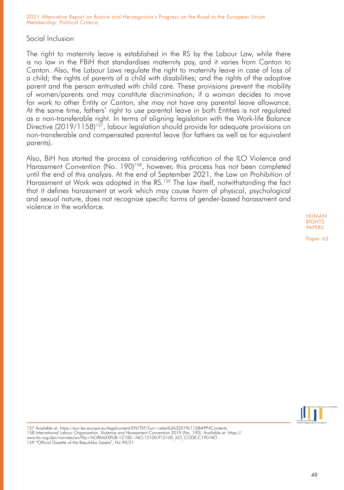## Social Inclusion

The right to maternity leave is established in the RS by the Labour Law, while there is no law in the FBiH that standardises maternity pay, and it varies from Canton to Canton. Also, the Labour Laws regulate the right to maternity leave in case of loss of a child; the rights of parents of a child with disabilities; and the rights of the adoptive parent and the person entrusted with child care. These provisions prevent the mobility of women/parents and may constitute discrimination; if a woman decides to move for work to other Entity or Canton, she may not have any parental leave allowance. At the same time, fathers' right to use parental leave in both Entities is not regulated as a non-transferable right. In terms of aligning legislation with the Work-life Balance Directive (2019/1158)<sup>157</sup>, labour legislation should provide for adequate provisions on non-transferable and compensated parental leave (for fathers as well as for equivalent parents).

Also, BiH has started the process of considering ratification of the ILO Violence and Harassment Convention (No. 190)<sup>158</sup>, however, this process has not been completed until the end of this analysis. At the end of September 2021, the Law on Prohibition of Harassment at Work was adopted in the RS.<sup>159</sup> The law itself, notwithstanding the fact that it defines harassment at work which may cause harm of physical, psychological and sexual nature, does not recognize specific forms of gender-based harassment and violence in the workforce.

> HUMAN **RIGHTS** PAPERS



<sup>157</sup> Available at: https://eur-lex.europa.eu/legalcontent/EN/TXT/?uri=celex%3A32019L1158#PP4Contents.

<sup>158</sup> International Labour Organization. Violence and Harassment Convention 2019 (No. 190). Available at: https://

www.ilo.org/dyn/normlex/en/f?p=NORMLEXPUB:12100:::NO:12100:P12100\_ILO\_CODE:C190:NO

<sup>159 &</sup>quot;Official Gazette of the Republika Srpska", No 90/21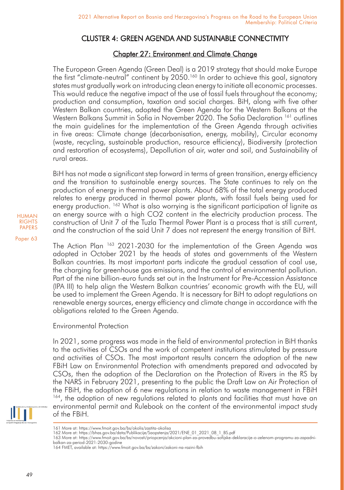# CLUSTER 4: GREEN AGENDA AND SUSTAINABLE CONNECTIVITY

# Chapter 27: Environment and Climate Change

The European Green Agenda (Green Deal) is a 2019 strategy that should make Europe the first "climate-neutral" continent by 2050.<sup>160</sup> In order to achieve this goal, signatory states must gradually work on introducing clean energy to initiate all economic processes. This would reduce the negative impact of the use of fossil fuels throughout the economy; production and consumption, taxation and social charges. BiH, along with five other Western Balkan countries, adopted the Green Agenda for the Western Balkans at the Western Balkans Summit in Sofia in November 2020. The Sofia Declaration <sup>161</sup> outlines the main guidelines for the implementation of the Green Agenda through activities in five areas: Climate change (decarbonisation, energy, mobility), Circular economy (waste, recycling, sustainable production, resource efficiency), Biodiversity (protection and restoration of ecosystems), Depollution of air, water and soil, and Sustainability of rural areas.

BiH has not made a significant step forward in terms of green transition, energy efficiency and the transition to sustainable energy sources. The State continues to rely on the production of energy in thermal power plants. About 68% of the total energy produced relates to energy produced in thermal power plants, with fossil fuels being used for energy production. <sup>162</sup> What is also worrying is the significant participation of lignite as an energy source with a high CO2 content in the electricity production process. The construction of Unit 7 of the Tuzla Thermal Power Plant is a process that is still current, and the construction of the said Unit 7 does not represent the energy transition of BiH.

The Action Plan <sup>163</sup> 2021-2030 for the implementation of the Green Agenda was adopted in October 2021 by the heads of states and governments of the Western Balkan countries. Its most important parts indicate the gradual cessation of coal use, the charging for greenhouse gas emissions, and the control of environmental pollution. Part of the nine billion-euro funds set out in the Instrument for Pre-Accession Assistance (IPA III) to help align the Western Balkan countries' economic growth with the EU, will be used to implement the Green Agenda. It is necessary for BiH to adopt regulations on renewable energy sources, energy efficiency and climate change in accordance with the obligations related to the Green Agenda.

# Environmental Protection

In 2021, some progress was made in the field of environmental protection in BiH thanks to the activities of CSOs and the work of competent institutions stimulated by pressure and activities of CSOs. The most important results concern the adoption of the new FBiH Law on Environmental Protection with amendments prepared and advocated by CSOs, then the adoption of the Declaration on the Protection of Rivers in the RS by the NARS in February 2021, presenting to the public the Draft Law on Air Protection of the FBiH, the adoption of 6 new regulations in relation to waste management in FBiH <sup>164</sup>, the adoption of new regulations related to plants and facilities that must have an environmental permit and Rulebook on the content of the environmental impact study of the FBiH.



<sup>161</sup> More at: https://www.fmoit.gov.ba/bs/okolis/zastita-okolisa

- 163 More at: https://www.fmoit.gov.ba/bs/novosti/priopcenja/akcioni-plan-za-provedbu-sofijske-deklaracije-o-zelenom-programu-za-zapadnibalkan-za-period-2021-2030-godine
	- 164 FMET, available at: https://www.fmoit.gov.ba/bs/zakoni/zakoni-na-razini-fbih

<sup>162</sup> More at: https://bhas.gov.ba/data/Publikacije/Saopstenja/2021/ENE\_01\_2021\_08\_1\_BS.pdf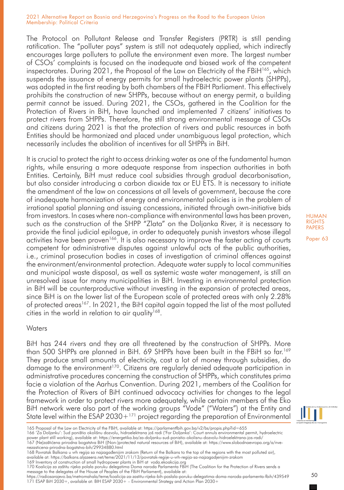The Protocol on Pollutant Release and Transfer Registers (PRTR) is still pending ratification. The "polluter pays" system is still not adequately applied, which indirectly encourages large polluters to pollute the environment even more. The largest number of CSOs' complaints is focused on the inadequate and biased work of the competent inspectorates. During 2021, the Proposal of the Law on Electricity of the FBiH<sup>165</sup>, which suspends the issuance of energy permits for small hydroelectric power plants (SHPPs), was adopted in the first reading by both chambers of the FBiH Parliament. This effectively prohibits the construction of new SHPPs, because without an energy permit, a building permit cannot be issued. During 2021, the CSOs, gathered in the Coalition for the Protection of Rivers in BiH, have launched and implemented 7 citizens' initiatives to protect rivers from SHPPs. Therefore, the still strong environmental message of CSOs and citizens during 2021 is that the protection of rivers and public resources in both Entities should be harmonized and placed under unambiguous legal protection, which necessarily includes the abolition of incentives for all SHPPs in BiH.

It is crucial to protect the right to access drinking water as one of the fundamental human rights, while ensuring a more adequate response from inspection authorities in both Entities. Certainly, BiH must reduce coal subsidies through gradual decarbonisation, but also consider introducing a carbon dioxide tax or EU ETS. It is necessary to initiate the amendment of the law on concessions at all levels of government, because the core of inadequate harmonization of energy and environmental policies is in the problem of irrational spatial planning and issuing concessions, initiated through own-initiative bids from investors. In cases where non-compliance with environmental laws has been proven, such as the construction of the SHPP "Zlata" on the Doljanka River, it is necessary to provide the final judicial epilogue, in order to adequately punish investors whose illegal activities have been proven<sup>166</sup>. It is also necessary to improve the faster acting of courts competent for administrative disputes against unlawful acts of the public authorities, i.e., criminal prosecution bodies in cases of investigation of criminal offences against the environment/environmental protection. Adequate water supply to local communities and municipal waste disposal, as well as systemic waste water management, is still an unresolved issue for many municipalities in BiH. Investing in environmental protection in BiH will be counterproductive without investing in the expansion of protected areas, since BiH is on the lower list of the European scale of protected areas with only 2.28% of protected areas<sup>167</sup>. In 2021, the BiH capital again topped the list of the most polluted cities in the world in relation to air quality<sup>168</sup>.

### **Waters**

BiH has 244 rivers and they are all threatened by the construction of SHPPs. More than 500 SHPPs are planned in BiH. 69 SHPPs have been built in the FBiH so far.<sup>169</sup> They produce small amounts of electricity, cost a lot of money through subsidies, do damage to the environment<sup>170</sup>. Citizens are regularly denied adequate participation in administrative procedures concerning the construction of SHPPs, which constitutes prima facie a violation of the Aarhus Convention. During 2021, members of the Coalition for the Protection of Rivers of BiH continued advocacy activities for changes to the legal framework in order to protect rivers more adequately, while certain members of the Eko BiH network were also part of the working groups "Vode" ("Waters") at the Entity and State level within the  $ESAP 2030+171$  project regarding the preparation of Environmental

message to the delegates of the House of Peoples of the FBiH Parliament), available at:<br>https://radiosarajevo.ba/metromahala/teme/koalicija-za-zastitu-rijeka-bih-poslala-poruku-delegatima-doma-naroda-parlamenta-fbih/439549



<sup>165</sup> Proposal of the Law on Electricity of the FBiH, available at: https://parlamentfbih.gov.ba/v2/bs/propis.php?id=655

<sup>166 &#</sup>x27;Za Doljanku': Sud poništio okolišnu dozvolu, hidroelektrana još radi ('For Doljanka': Court annuls environmental permit, hydroelectric power plant still working), available at: https://energetika.ba/za-doljanku-sud-ponistio-okolisnu-dozvolu-hidroelektrana-jos-radi/ 167 (Ne)zaštićena prirodna bogatstva BiH ((Non-)protected natural resources of BiH), available at: https://www.slobodnaevropa.org/a/nve-

nezasticena-prirodna-bogatstva-bih/29934880.html 168 Povratak Balkana u vrh regija sa najzagađenijim zrakom (Return of the Balkans to the top of the regions with the most polluted air),

available at: https://balkans.aljazeera.net/teme/2021/11/13/povratak-regije-u-vrh-regija-sa-najzagadjenijim-zrakom

<sup>169</sup> Inventory of construction of small hydropower plants in BiH at voda.ekoakcija.org 170 Koalicija za zaštitu rijeka polala poruku delegatima Doma naroda Parlamenta FBiH (The Coalition for the Protection of Rivers sends a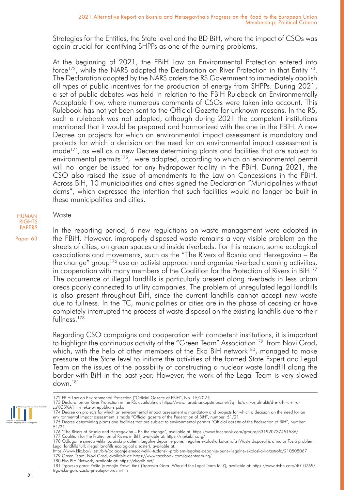Strategies for the Entities, the State level and the BD BiH, where the impact of CSOs was again crucial for identifying SHPPs as one of the burning problems.

At the beginning of 2021, the FBiH Law on Environmental Protection entered into force<sup>172</sup>, while the NARS adopted the Declaration on River Protection in that Entity<sup>173</sup>. The Declaration adopted by the NARS orders the RS Government to immediately abolish all types of public incentives for the production of energy from SHPPs. During 2021, a set of public debates was held in relation to the FBiH Rulebook on Environmentally Acceptable Flow, where numerous comments of CSOs were taken into account. This Rulebook has not yet been sent to the Official Gazette for unknown reasons. In the RS, such a rulebook was not adopted, although during 2021 the competent institutions mentioned that it would be prepared and harmonized with the one in the FBiH. A new Decree on projects for which an environmental impact assessment is mandatory and projects for which a decision on the need for an environmental impact assessment is made<sup>174</sup>, as well as a new Decree determining plants and facilities that are subject to environmental permits<sup>175</sup>, were adopted, according to which an environmental permit will no longer be issued for any hydropower facility in the FBiH. During 2021, the CSO also raised the issue of amendments to the Law on Concessions in the FBiH. Across BiH, 10 municipalities and cities signed the Declaration "Municipalities without dams", which expressed the intention that such facilities would no longer be built in these municipalities and cities.

### Waste

PAPERS Paper 63

HUMAN **RIGHTS** 

> In the reporting period, 6 new regulations on waste management were adopted in the FBiH. However, improperly disposed waste remains a very visible problem on the streets of cities, on green spaces and inside riverbeds. For this reason, some ecological associations and movements, such as the "The Rivers of Bosnia and Herzegovina – Be the change" group<sup>176</sup> use an activist approach and organize riverbed cleaning activities, in cooperation with many members of the Coalition for the Protection of Rivers in BiH<sup>177</sup> The occurrence of illegal landfills is particularly present along riverbeds in less urban areas poorly connected to utility companies. The problem of unregulated legal landfills is also present throughout BiH, since the current landfills cannot accept new waste due to fullness. In the TC, municipalities or cities are in the phase of ceasing or have completely interrupted the process of waste disposal on the existing landfills due to their fullness<sup>178</sup>

> Regarding CSO campaigns and cooperation with competent institutions, it is important to highlight the continuous activity of the "Green Team" Association<sup>179</sup> from Novi Grad, which, with the help of other members of the Eko BiH network<sup>180</sup>, managed to make pressure at the State level to initiate the activities of the formed State Expert and Legal Team on the issues of the possibility of constructing a nuclear waste landfill along the border with BiH in the past year. However, the work of the Legal Team is very slowed down.181

180 Eko BiH Network, available at: https://ekobih.net/

<sup>172</sup> FBiH Law on Environmental Protection ("Official Gazette of FBiH", No. 15/2021)

<sup>173</sup> Declaration on River Protection in the RS, available at: https://www.narodnaskupstinars.net/?q=la/akti/ostali-akti/d-e-k-l-r-c-i-j-oza%C5%A1titi-rijeka-u-republici-srpskoj

<sup>174</sup> Decree on projects for which an environmental impact assessment is mandatory and projects for which a decision on the need for an<br>environmental impact assessment is made "Official gazette of the Federation of BiH", num

<sup>175</sup> Decree determining plants and facilities that are subject to environmental permits "Official gazette of the Federation of BiH", number: 51/21

<sup>176 &</sup>quot;The Rivers of Bosnia and Herzegovina – Be the change", available at: https://www.facebook.com/groups/531920737451586/<br>177 Coalition for the Protection of Rivers in BiH, available at: https://rijekebih.org/

<sup>178</sup> Odlaganje smeća veliki tuzlanski problem: Legalne deponije pune, ilegalne ekološka katastrofa (Waste disposal is a major Tuzla problem:<br>Legal landfills full; illegal landfills ecological disaster), available at:

https://www.klix.ba/vijesti/bih/odlaganje-smeca-veliki-tuzlanski-problem-legalne-deponije-pune-ilegalne-ekoloska-katastrofa/210508067 179 Green Team, Novi Grad, available at: https://www.facebook.com/greenteam.ng/

<sup>181</sup> Trgovska gora: Zašto je zatajio Pravni tim? (Trgovska Gora: Why did the Legal Team fail?), available at: https://www.rtvbn.com/4010769/ trgovska-gora-zasto-je-zatajio-pravni-tim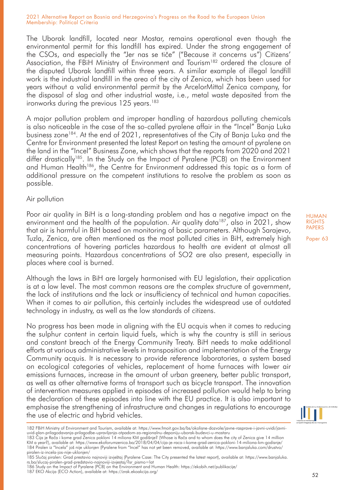The Uborak landfill, located near Mostar, remains operational even though the environmental permit for this landfill has expired. Under the strong engagement of the CSOs, and especially the "Jer nas se tiče" ("Because it concerns us") Citizens' Association, the FBiH Ministry of Environment and Tourism<sup>182</sup> ordered the closure of the disputed Uborak landfill within three years. A similar example of illegal landfill work is the industrial landfill in the area of the city of Zenica, which has been used for years without a valid environmental permit by the ArcelorMittal Zenica company, for the disposal of slag and other industrial waste, i.e., metal waste deposited from the ironworks during the previous 125 years.<sup>183</sup>

A major pollution problem and improper handling of hazardous polluting chemicals is also noticeable in the case of the so-called pyralene affair in the "Incel" Banja Luka business zone184. At the end of 2021, representatives of the City of Banja Luka and the Centre for Environment presented the latest Report on testing the amount of pyralene on the land in the "Incel" Business Zone, which shows that the reports from 2020 and 2021 differ drastically185. In the Study on the Impact of Pyralene (PCB) on the Environment and Human Health<sup>186</sup>, the Centre for Environment addressed this topic as a form of additional pressure on the competent institutions to resolve the problem as soon as possible.

### Air pollution

Poor air quality in BiH is a long-standing problem and has a negative impact on the environment and the health of the population. Air quality data<sup>187</sup>, also in 2021, show that air is harmful in BiH based on monitoring of basic parameters. Although Sarajevo, Tuzla, Zenica, are often mentioned as the most polluted cities in BiH, extremely high concentrations of hovering particles hazardous to health are evident at almost all measuring points. Hazardous concentrations of SO2 are also present, especially in places where coal is burned.

Although the laws in BiH are largely harmonised with EU legislation, their application is at a low level. The most common reasons are the complex structure of government, the lack of institutions and the lack or insufficiency of technical and human capacities. When it comes to air pollution, this certainly includes the widespread use of outdated technology in industry, as well as the low standards of citizens.

No progress has been made in aligning with the EU acquis when it comes to reducing the sulphur content in certain liquid fuels, which is why the country is still in serious and constant breach of the Energy Community Treaty. BiH needs to make additional efforts at various administrative levels in transposition and implementation of the Energy Community acquis. It is necessary to provide reference laboratories, a system based on ecological categories of vehicles, replacement of home furnaces with lower air emissions furnaces, increase in the amount of urban greenery, better public transport, as well as other alternative forms of transport such as bicycle transport. The innovation of intervention measures applied in episodes of increased pollution would help to bring the declaration of these episodes into line with the EU practice. It is also important to emphasise the strengthening of infrastructure and changes in regulations to encourage the use of electric and hybrid vehicles.

52

HUMAN **RIGHTS** PAPERS

<sup>182</sup> FBiH Ministry of Environment and Tourism, available at: https://www.fmoit.gov.ba/bs/okolisne-dozvole/javne-rasprave-i-javni-uvidi/javniuvid-plan-prilagodavanja-prilagodbe-upravljanja-otpadom-za-regionalnu-deponiju-uborak-budevci-u-mostaru

<sup>183</sup> Cija je Rača i kome grad Zenica pokloni 14 miliona KM godišnje? (Whose is Rača and to whom does the city of Zenica give 14 million<br>KM a year?), available at: https://www.ekoforumzenica.ba/2018/04/04/cija-je-raca-i-kome 184 Piralen iz "Incela" još nije uklonjen (Pyralene from "Incel" has not yet been removed, available at: https://www.banjaluka.com/drustvo/ piralen-iz-incela-jos-nije-uklonjen/

<sup>185</sup> Slučaj piralen: Grad prestavio najnoviji izvještaj (Pyralene Case: The City presented the latest report), available at: https://www.banjaluka. rs.ba/slucaj-piralen-grad-predstavio-najnoviji-izvjestaj/?sr\_pismo=lat

<sup>186</sup> Study on the Impact of Pyralene (PCB) on the Environment and Human Health: https://ekobih.net/publikacije/ 187 EKO Akcija (ECO Action), available at: https://zrak.ekoakcija.org/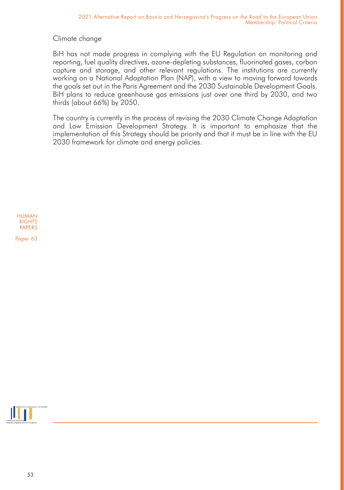Climate change

BiH has not made progress in complying with the EU Regulation on monitoring and reporting, fuel quality directives, ozone-depleting substances, fluorinated gases, carbon capture and storage, and other relevant regulations. The institutions are currently working on a National Adaptation Plan (NAP), with a view to moving forward towards the goals set out in the Paris Agreement and the 2030 Sustainable Development Goals. BiH plans to reduce greenhouse gas emissions just over one third by 2030, and two thirds (about 66%) by 2050.

The country is currently in the process of revising the 2030 Climate Change Adaptation and Low Emission Development Strategy. It is important to emphasize that the implementation of this Strategy should be priority and that it must be in line with the EU 2030 framework for climate and energy policies.